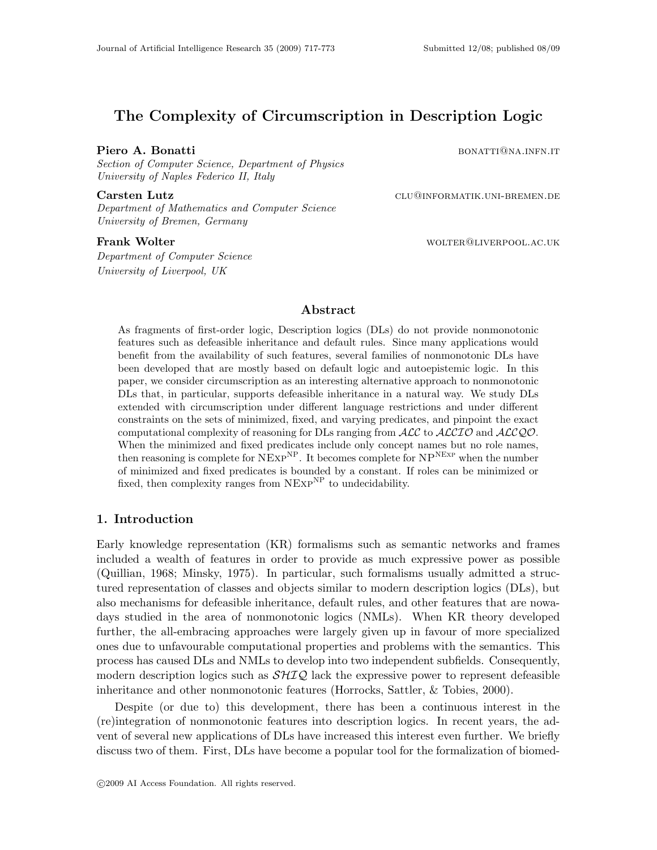# The Complexity of Circumscription in Description Logic

# **Piero A. Bonatti** bonatti bonatti bonatti bonatti bonatti bonatti bonatti bonatti bonatti bonatti bonatti bonatti bonatti bonatti bonatti bonatti bonatti bonatti bonatti bonatti bonatti bonatti bonatti bonatti bonatti bon

Section of Computer Science, Department of Physics University of Naples Federico II, Italy

Department of Mathematics and Computer Science University of Bremen, Germany

Carsten Lutz **CALL CARSTER CLU@INFORMATIK.UNI-BREMEN.DE** 

**Frank Wolter Wolfer State Controller work and MOLTER CONTER CONTER CONTER CONTER CONTENTS OF A STATE OF A STATE OF A STATE OF A STATE OF A STATE OF A STATE OF A STATE OF A STATE OF A STATE OF A STATE OF A STATE OF A STATE** 

Department of Computer Science University of Liverpool, UK

# Abstract

As fragments of first-order logic, Description logics (DLs) do not provide nonmonotonic features such as defeasible inheritance and default rules. Since many applications would benefit from the availability of such features, several families of nonmonotonic DLs have been developed that are mostly based on default logic and autoepistemic logic. In this paper, we consider circumscription as an interesting alternative approach to nonmonotonic DLs that, in particular, supports defeasible inheritance in a natural way. We study DLs extended with circumscription under different language restrictions and under different constraints on the sets of minimized, fixed, and varying predicates, and pinpoint the exact computational complexity of reasoning for DLs ranging from  $\mathcal{ALC}$  to  $\mathcal{ALCIO}$  and  $\mathcal{ALCQO}$ . When the minimized and fixed predicates include only concept names but no role names, then reasoning is complete for  $NExP^{NP}$ . It becomes complete for  $NP^{NExP}$  when the number of minimized and fixed predicates is bounded by a constant. If roles can be minimized or fixed, then complexity ranges from  $NExp^{NP}$  to undecidability.

# 1. Introduction

Early knowledge representation (KR) formalisms such as semantic networks and frames included a wealth of features in order to provide as much expressive power as possible (Quillian, 1968; Minsky, 1975). In particular, such formalisms usually admitted a structured representation of classes and objects similar to modern description logics (DLs), but also mechanisms for defeasible inheritance, default rules, and other features that are nowadays studied in the area of nonmonotonic logics (NMLs). When KR theory developed further, the all-embracing approaches were largely given up in favour of more specialized ones due to unfavourable computational properties and problems with the semantics. This process has caused DLs and NMLs to develop into two independent subfields. Consequently, modern description logics such as  $\mathcal{SHIQ}$  lack the expressive power to represent defeasible inheritance and other nonmonotonic features (Horrocks, Sattler, & Tobies, 2000).

Despite (or due to) this development, there has been a continuous interest in the (re)integration of nonmonotonic features into description logics. In recent years, the advent of several new applications of DLs have increased this interest even further. We briefly discuss two of them. First, DLs have become a popular tool for the formalization of biomed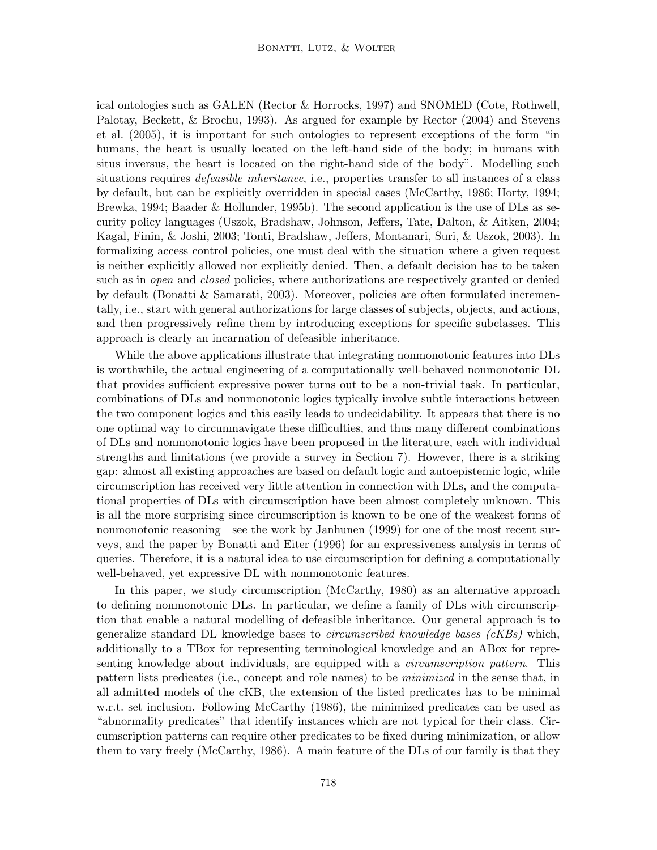ical ontologies such as GALEN (Rector & Horrocks, 1997) and SNOMED (Cote, Rothwell, Palotay, Beckett, & Brochu, 1993). As argued for example by Rector (2004) and Stevens et al. (2005), it is important for such ontologies to represent exceptions of the form "in humans, the heart is usually located on the left-hand side of the body; in humans with situs inversus, the heart is located on the right-hand side of the body". Modelling such situations requires *defeasible inheritance*, i.e., properties transfer to all instances of a class by default, but can be explicitly overridden in special cases (McCarthy, 1986; Horty, 1994; Brewka, 1994; Baader & Hollunder, 1995b). The second application is the use of DLs as security policy languages (Uszok, Bradshaw, Johnson, Jeffers, Tate, Dalton, & Aitken, 2004; Kagal, Finin, & Joshi, 2003; Tonti, Bradshaw, Jeffers, Montanari, Suri, & Uszok, 2003). In formalizing access control policies, one must deal with the situation where a given request is neither explicitly allowed nor explicitly denied. Then, a default decision has to be taken such as in *open* and *closed* policies, where authorizations are respectively granted or denied by default (Bonatti & Samarati, 2003). Moreover, policies are often formulated incrementally, i.e., start with general authorizations for large classes of subjects, objects, and actions, and then progressively refine them by introducing exceptions for specific subclasses. This approach is clearly an incarnation of defeasible inheritance.

While the above applications illustrate that integrating nonmonotonic features into DLs is worthwhile, the actual engineering of a computationally well-behaved nonmonotonic DL that provides sufficient expressive power turns out to be a non-trivial task. In particular, combinations of DLs and nonmonotonic logics typically involve subtle interactions between the two component logics and this easily leads to undecidability. It appears that there is no one optimal way to circumnavigate these difficulties, and thus many different combinations of DLs and nonmonotonic logics have been proposed in the literature, each with individual strengths and limitations (we provide a survey in Section 7). However, there is a striking gap: almost all existing approaches are based on default logic and autoepistemic logic, while circumscription has received very little attention in connection with DLs, and the computational properties of DLs with circumscription have been almost completely unknown. This is all the more surprising since circumscription is known to be one of the weakest forms of nonmonotonic reasoning—see the work by Janhunen (1999) for one of the most recent surveys, and the paper by Bonatti and Eiter (1996) for an expressiveness analysis in terms of queries. Therefore, it is a natural idea to use circumscription for defining a computationally well-behaved, yet expressive DL with nonmonotonic features.

In this paper, we study circumscription (McCarthy, 1980) as an alternative approach to defining nonmonotonic DLs. In particular, we define a family of DLs with circumscription that enable a natural modelling of defeasible inheritance. Our general approach is to generalize standard DL knowledge bases to circumscribed knowledge bases (cKBs) which, additionally to a TBox for representing terminological knowledge and an ABox for representing knowledge about individuals, are equipped with a *circumscription pattern*. This pattern lists predicates (i.e., concept and role names) to be minimized in the sense that, in all admitted models of the cKB, the extension of the listed predicates has to be minimal w.r.t. set inclusion. Following McCarthy (1986), the minimized predicates can be used as "abnormality predicates" that identify instances which are not typical for their class. Circumscription patterns can require other predicates to be fixed during minimization, or allow them to vary freely (McCarthy, 1986). A main feature of the DLs of our family is that they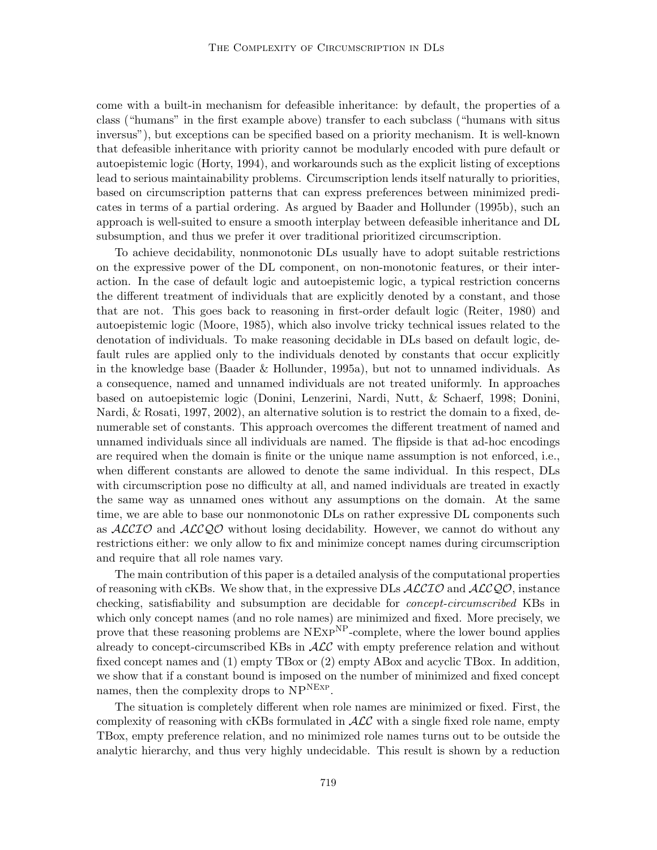come with a built-in mechanism for defeasible inheritance: by default, the properties of a class ("humans" in the first example above) transfer to each subclass ("humans with situs inversus"), but exceptions can be specified based on a priority mechanism. It is well-known that defeasible inheritance with priority cannot be modularly encoded with pure default or autoepistemic logic (Horty, 1994), and workarounds such as the explicit listing of exceptions lead to serious maintainability problems. Circumscription lends itself naturally to priorities, based on circumscription patterns that can express preferences between minimized predicates in terms of a partial ordering. As argued by Baader and Hollunder (1995b), such an approach is well-suited to ensure a smooth interplay between defeasible inheritance and DL subsumption, and thus we prefer it over traditional prioritized circumscription.

To achieve decidability, nonmonotonic DLs usually have to adopt suitable restrictions on the expressive power of the DL component, on non-monotonic features, or their interaction. In the case of default logic and autoepistemic logic, a typical restriction concerns the different treatment of individuals that are explicitly denoted by a constant, and those that are not. This goes back to reasoning in first-order default logic (Reiter, 1980) and autoepistemic logic (Moore, 1985), which also involve tricky technical issues related to the denotation of individuals. To make reasoning decidable in DLs based on default logic, default rules are applied only to the individuals denoted by constants that occur explicitly in the knowledge base (Baader & Hollunder, 1995a), but not to unnamed individuals. As a consequence, named and unnamed individuals are not treated uniformly. In approaches based on autoepistemic logic (Donini, Lenzerini, Nardi, Nutt, & Schaerf, 1998; Donini, Nardi, & Rosati, 1997, 2002), an alternative solution is to restrict the domain to a fixed, denumerable set of constants. This approach overcomes the different treatment of named and unnamed individuals since all individuals are named. The flipside is that ad-hoc encodings are required when the domain is finite or the unique name assumption is not enforced, i.e., when different constants are allowed to denote the same individual. In this respect, DLs with circumscription pose no difficulty at all, and named individuals are treated in exactly the same way as unnamed ones without any assumptions on the domain. At the same time, we are able to base our nonmonotonic DLs on rather expressive DL components such as  $ALCIO$  and  $ALCQO$  without losing decidability. However, we cannot do without any restrictions either: we only allow to fix and minimize concept names during circumscription and require that all role names vary.

The main contribution of this paper is a detailed analysis of the computational properties of reasoning with cKBs. We show that, in the expressive DLs  $ALCIO$  and  $ALCQO$ , instance checking, satisfiability and subsumption are decidable for *concept-circumscribed* KBs in which only concept names (and no role names) are minimized and fixed. More precisely, we prove that these reasoning problems are  $NExP^{NP}$ -complete, where the lower bound applies already to concept-circumscribed KBs in  $\mathcal{ALC}$  with empty preference relation and without fixed concept names and (1) empty TBox or (2) empty ABox and acyclic TBox. In addition, we show that if a constant bound is imposed on the number of minimized and fixed concept names, then the complexity drops to NP<sup>NEXP</sup>.

The situation is completely different when role names are minimized or fixed. First, the complexity of reasoning with cKBs formulated in  $\mathcal{ALC}$  with a single fixed role name, empty TBox, empty preference relation, and no minimized role names turns out to be outside the analytic hierarchy, and thus very highly undecidable. This result is shown by a reduction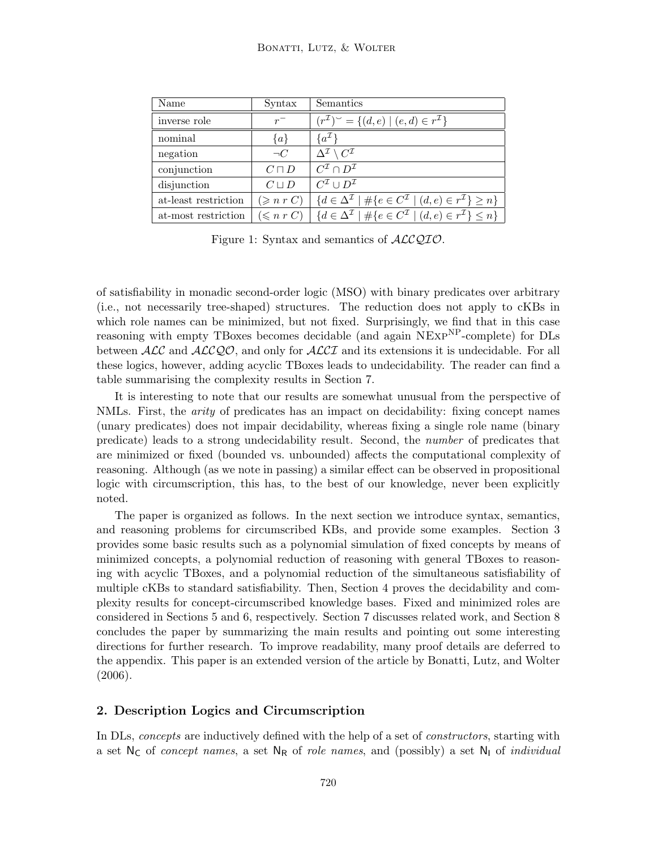| Name                 | Syntax              | Semantics                                                                                                                            |
|----------------------|---------------------|--------------------------------------------------------------------------------------------------------------------------------------|
| inverse role         | $r^{-}$             | $(r^{\mathcal{I}})^{\sim} = \{(d, e) \mid (e, d) \in r^{\mathcal{I}}\}\$                                                             |
| nominal              | $\{a\}$             | $\{a^{\mathcal{I}}\}$                                                                                                                |
| negation             | $\neg C$            | $\Delta^{\mathcal{I}} \setminus C^{\mathcal{I}}$                                                                                     |
| conjunction          | $C \sqcap D$        | $C^{\mathcal{I}} \cap D^{\mathcal{I}}$                                                                                               |
| disjunction          | $C \sqcup D$        | $C^{\mathcal{I}} \cup D^{\mathcal{I}}$                                                                                               |
| at-least restriction | $(\geqslant n r C)$ | $\{d \in \Delta^{\mathcal{I}} \mid \#\{e \in C^{\mathcal{I}} \mid (d,e) \in r^{\mathcal{I}}\} \geq n\}$                              |
| at-most restriction  |                     | $(\leqslant n \ r \ C) \ \mid \{d \in \Delta^{\mathcal{I}} \mid \#\{e \in C^{\mathcal{I}} \mid (d,e) \in r^{\mathcal{I}}\} \leq n\}$ |

Figure 1: Syntax and semantics of  $\text{ALCQIO}.$ 

of satisfiability in monadic second-order logic (MSO) with binary predicates over arbitrary (i.e., not necessarily tree-shaped) structures. The reduction does not apply to cKBs in which role names can be minimized, but not fixed. Surprisingly, we find that in this case reasoning with empty TBoxes becomes decidable (and again NEXP<sup>NP</sup>-complete) for DLs between  $\mathcal{ALC}$  and  $\mathcal{ALCQO}$ , and only for  $\mathcal{ALCI}$  and its extensions it is undecidable. For all these logics, however, adding acyclic TBoxes leads to undecidability. The reader can find a table summarising the complexity results in Section 7.

It is interesting to note that our results are somewhat unusual from the perspective of NMLs. First, the *arity* of predicates has an impact on decidability: fixing concept names (unary predicates) does not impair decidability, whereas fixing a single role name (binary predicate) leads to a strong undecidability result. Second, the number of predicates that are minimized or fixed (bounded vs. unbounded) affects the computational complexity of reasoning. Although (as we note in passing) a similar effect can be observed in propositional logic with circumscription, this has, to the best of our knowledge, never been explicitly noted.

The paper is organized as follows. In the next section we introduce syntax, semantics, and reasoning problems for circumscribed KBs, and provide some examples. Section 3 provides some basic results such as a polynomial simulation of fixed concepts by means of minimized concepts, a polynomial reduction of reasoning with general TBoxes to reasoning with acyclic TBoxes, and a polynomial reduction of the simultaneous satisfiability of multiple cKBs to standard satisfiability. Then, Section 4 proves the decidability and complexity results for concept-circumscribed knowledge bases. Fixed and minimized roles are considered in Sections 5 and 6, respectively. Section 7 discusses related work, and Section 8 concludes the paper by summarizing the main results and pointing out some interesting directions for further research. To improve readability, many proof details are deferred to the appendix. This paper is an extended version of the article by Bonatti, Lutz, and Wolter  $(2006).$ 

# 2. Description Logics and Circumscription

In DLs, concepts are inductively defined with the help of a set of *constructors*, starting with a set  $N_c$  of *concept names*, a set  $N_R$  of *role names*, and (possibly) a set  $N_l$  of *individual*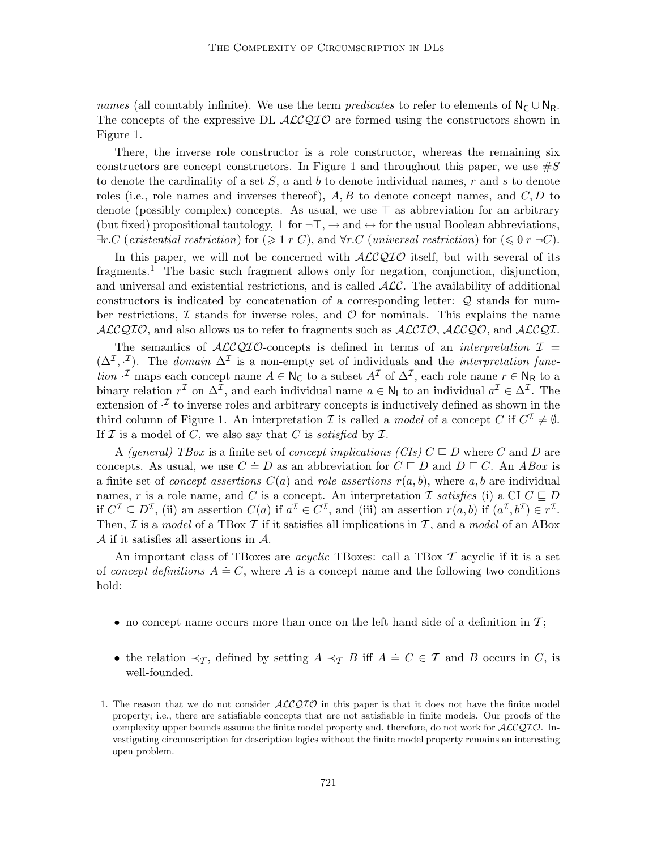names (all countably infinite). We use the term *predicates* to refer to elements of  $N_C \cup N_R$ . The concepts of the expressive DL  $ALCQIO$  are formed using the constructors shown in Figure 1.

There, the inverse role constructor is a role constructor, whereas the remaining six constructors are concept constructors. In Figure 1 and throughout this paper, we use  $\#S$ to denote the cardinality of a set  $S$ , a and b to denote individual names, r and s to denote roles (i.e., role names and inverses thereof),  $A, B$  to denote concept names, and  $C, D$  to denote (possibly complex) concepts. As usual, we use  $\top$  as abbreviation for an arbitrary (but fixed) propositional tautology,  $\perp$  for  $\neg$   $\top$ ,  $\rightarrow$  and  $\leftrightarrow$  for the usual Boolean abbreviations,  $\exists r.C$  (existential restriction) for  $(\geq 1 r C)$ , and  $\forall r.C$  (universal restriction) for  $(\leq 0 r \neg C)$ .

In this paper, we will not be concerned with  $\text{ACCQIO}$  itself, but with several of its fragments.<sup>1</sup> The basic such fragment allows only for negation, conjunction, disjunction, and universal and existential restrictions, and is called  $ALC$ . The availability of additional constructors is indicated by concatenation of a corresponding letter: Q stands for number restrictions,  $\mathcal I$  stands for inverse roles, and  $\mathcal O$  for nominals. This explains the name  $ALCQIO$ , and also allows us to refer to fragments such as  $ALCIO$ ,  $ALCQO$ , and  $ALCQL$ .

The semantics of  $ALCQIO$ -concepts is defined in terms of an *interpretation*  $I =$  $(\Delta^{\mathcal{I}}, \cdot^{\mathcal{I}})$ . The *domain*  $\Delta^{\mathcal{I}}$  is a non-empty set of individuals and the *interpretation function*  $\cdot^{\mathcal{I}}$  maps each concept name  $A \in \mathsf{N}_{\mathsf{C}}$  to a subset  $A^{\mathcal{I}}$  of  $\Delta^{\mathcal{I}}$ , each role name  $r \in \mathsf{N}_{\mathsf{R}}$  to a binary relation  $r^{\mathcal{I}}$  on  $\Delta^{\mathcal{I}}$ , and each individual name  $a \in \mathsf{N}_{\mathsf{I}}$  to an individual  $a^{\mathcal{I}} \in \Delta^{\mathcal{I}}$ . The extension of  $\cdot^{\mathcal{I}}$  to inverse roles and arbitrary concepts is inductively defined as shown in the third column of Figure 1. An interpretation  $\mathcal I$  is called a model of a concept  $C$  if  $C^{\mathcal I} \neq \emptyset$ . If  $\mathcal I$  is a model of C, we also say that C is satisfied by  $\mathcal I$ .

A (general) TBox is a finite set of concept implications (CIs)  $C \sqsubseteq D$  where C and D are concepts. As usual, we use  $C = D$  as an abbreviation for  $C \subseteq D$  and  $D \subseteq C$ . An *ABox* is a finite set of *concept assertions*  $C(a)$  and *role assertions*  $r(a, b)$ , where a, b are individual names, r is a role name, and C is a concept. An interpretation I satisfies (i) a CI  $C \sqsubseteq D$ if  $C^{\mathcal{I}} \subseteq D^{\mathcal{I}}$ , (ii) an assertion  $C(a)$  if  $a^{\mathcal{I}} \in C^{\mathcal{I}}$ , and (iii) an assertion  $r(a, b)$  if  $(a^{\mathcal{I}}, b^{\mathcal{I}}) \in r^{\mathcal{I}}$ . Then,  $\mathcal I$  is a model of a TBox  $\mathcal T$  if it satisfies all implications in  $\mathcal T$ , and a model of an ABox  $A$  if it satisfies all assertions in  $A$ .

An important class of TBoxes are *acyclic* TBoxes: call a TBox  $\mathcal T$  acyclic if it is a set of concept definitions  $A \doteq C$ , where A is a concept name and the following two conditions hold:

- no concept name occurs more than once on the left hand side of a definition in  $\mathcal{T}$ ;
- the relation  $\prec_{\mathcal{T}}$ , defined by setting  $A \prec_{\mathcal{T}} B$  iff  $A \doteq C \in \mathcal{T}$  and B occurs in C, is well-founded.

<sup>1.</sup> The reason that we do not consider  $ALCQIO$  in this paper is that it does not have the finite model property; i.e., there are satisfiable concepts that are not satisfiable in finite models. Our proofs of the complexity upper bounds assume the finite model property and, therefore, do not work for  $ALCQIO$ . Investigating circumscription for description logics without the finite model property remains an interesting open problem.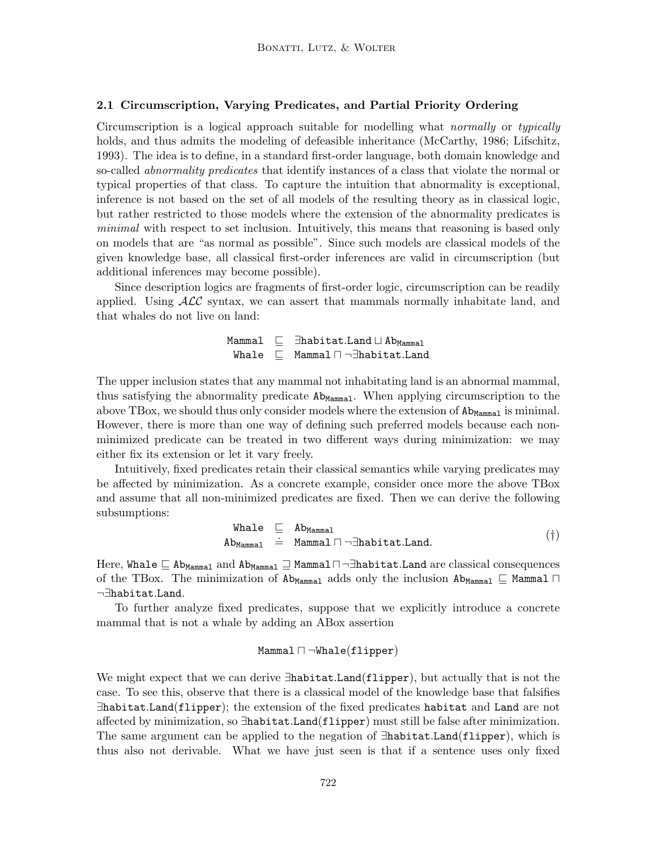# 2.1 Circumscription, Varying Predicates, and Partial Priority Ordering

Circumscription is a logical approach suitable for modelling what normally or typically holds, and thus admits the modeling of defeasible inheritance (McCarthy, 1986; Lifschitz, 1993). The idea is to define, in a standard first-order language, both domain knowledge and so-called *abnormality predicates* that identify instances of a class that violate the normal or typical properties of that class. To capture the intuition that abnormality is exceptional, inference is not based on the set of all models of the resulting theory as in classical logic, but rather restricted to those models where the extension of the abnormality predicates is minimal with respect to set inclusion. Intuitively, this means that reasoning is based only on models that are "as normal as possible". Since such models are classical models of the given knowledge base, all classical first-order inferences are valid in circumscription (but additional inferences may become possible).

Since description logics are fragments of first-order logic, circumscription can be readily applied. Using  $\mathcal{ALC}$  syntax, we can assert that mammals normally inhabitate land, and that whales do not live on land:

> Mammal  $\sqsubseteq$   $\exists$ habitat.Land  $\sqcup$  Ab<sub>Mammal</sub> Whale  $\sqsubseteq$  Mammal  $\sqcap \neg \exists$ habitat.Land

The upper inclusion states that any mammal not inhabitating land is an abnormal mammal, thus satisfying the abnormality predicate  $Ab_{Mammal}$ . When applying circumscription to the above TBox, we should thus only consider models where the extension of  $\texttt{Ab}$ <sub>Mammal</sub> is minimal. However, there is more than one way of defining such preferred models because each nonminimized predicate can be treated in two different ways during minimization: we may either fix its extension or let it vary freely.

Intuitively, fixed predicates retain their classical semantics while varying predicates may be affected by minimization. As a concrete example, consider once more the above TBox and assume that all non-minimized predicates are fixed. Then we can derive the following subsumptions:

$$
\begin{array}{rcl}\n\text{What } & \sqsubseteq & \text{Ab}_{\text{Mammal}} \\
\text{Ab}_{\text{Mammal}} & \doteq & \text{Mammal} \sqcap \neg \exists \text{habitat.Land.}\n\end{array} \tag{\dagger}
$$

Here, Whale  $\sqsubseteq$  Ab<sub>Mammal</sub> and Ab<sub>Mammal</sub>  $\sqsupseteq$  Mammal $\sqcap \neg \exists$ habitat.Land are classical consequences of the TBox. The minimization of  $\Delta b_{Mammal}$  adds only the inclusion  $\Delta b_{Mammal} \subseteq Mammal \sqcap$ ¬∃habitat.Land.

To further analyze fixed predicates, suppose that we explicitly introduce a concrete mammal that is not a whale by adding an ABox assertion

$$
\mathtt{Mammal} \sqcap \neg \mathtt{Whale}(\mathtt{flipper})
$$

We might expect that we can derive ∃habitat.Land(flipper), but actually that is not the case. To see this, observe that there is a classical model of the knowledge base that falsifies ∃habitat.Land(flipper); the extension of the fixed predicates habitat and Land are not affected by minimization, so ∃habitat.Land(flipper) must still be false after minimization. The same argument can be applied to the negation of ∃habitat.Land(flipper), which is thus also not derivable. What we have just seen is that if a sentence uses only fixed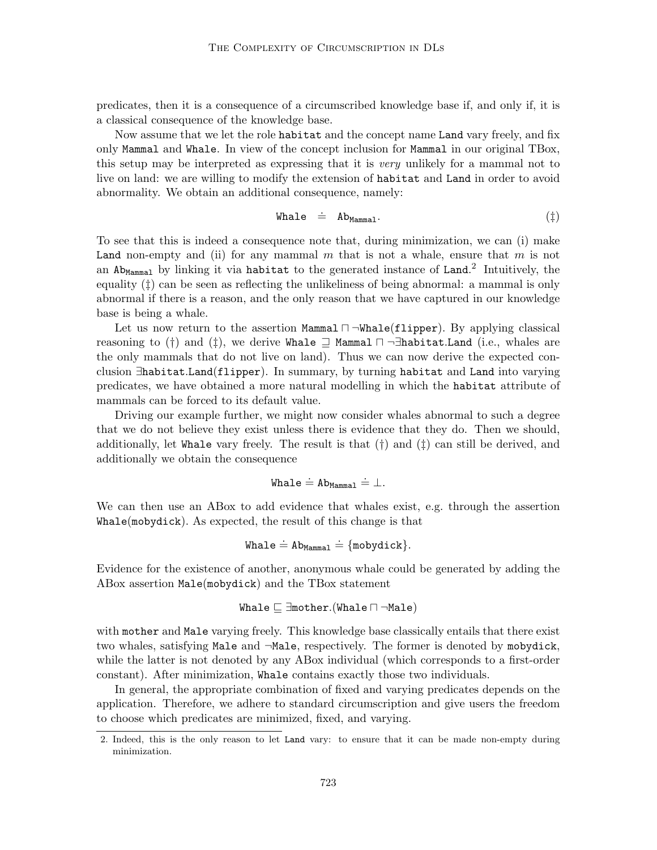predicates, then it is a consequence of a circumscribed knowledge base if, and only if, it is a classical consequence of the knowledge base.

Now assume that we let the role habitat and the concept name Land vary freely, and fix only Mammal and Whale. In view of the concept inclusion for Mammal in our original TBox, this setup may be interpreted as expressing that it is very unlikely for a mammal not to live on land: we are willing to modify the extension of habitat and Land in order to avoid abnormality. We obtain an additional consequence, namely:

$$
\text{Whale} \quad \dot{=} \quad \text{Ab}_{\text{Mammal}}. \tag{\dagger}
$$

To see that this is indeed a consequence note that, during minimization, we can (i) make Land non-empty and (ii) for any mammal  $m$  that is not a whale, ensure that  $m$  is not an  $\texttt{Ab}$ <sub>Mammal</sub> by linking it via habitat to the generated instance of Land.<sup>2</sup> Intuitively, the equality (‡) can be seen as reflecting the unlikeliness of being abnormal: a mammal is only abnormal if there is a reason, and the only reason that we have captured in our knowledge base is being a whale.

Let us now return to the assertion Mammal  $\neg$ Whale(flipper). By applying classical reasoning to (†) and (‡), we derive Whale  $\supseteq$  Mammal  $\Box$   $\neg \exists$ habitat.Land (i.e., whales are the only mammals that do not live on land). Thus we can now derive the expected conclusion ∃habitat.Land(flipper). In summary, by turning habitat and Land into varying predicates, we have obtained a more natural modelling in which the habitat attribute of mammals can be forced to its default value.

Driving our example further, we might now consider whales abnormal to such a degree that we do not believe they exist unless there is evidence that they do. Then we should, additionally, let Whale vary freely. The result is that  $(\dagger)$  and  $(\dagger)$  can still be derived, and additionally we obtain the consequence

$$
\mathtt{Whale} \doteq \mathtt{Ab}_{\mathtt{Mammal}} \doteq \bot.
$$

We can then use an ABox to add evidence that whales exist, e.g. through the assertion Whale(mobydick). As expected, the result of this change is that

$$
\mathtt{Whale} \doteq \mathtt{Ab}_{\mathtt{Mammal}} \doteq \{\mathtt{mobydict}\}.
$$

Evidence for the existence of another, anonymous whale could be generated by adding the ABox assertion Male(mobydick) and the TBox statement

$$
\mathtt{Whale} \sqsubseteq \exists \mathtt{mother}.(\mathtt{Whale} \sqcap \neg \mathtt{Male})
$$

with mother and Male varying freely. This knowledge base classically entails that there exist two whales, satisfying Male and ¬Male, respectively. The former is denoted by mobydick, while the latter is not denoted by any ABox individual (which corresponds to a first-order constant). After minimization, Whale contains exactly those two individuals.

In general, the appropriate combination of fixed and varying predicates depends on the application. Therefore, we adhere to standard circumscription and give users the freedom to choose which predicates are minimized, fixed, and varying.

<sup>2.</sup> Indeed, this is the only reason to let Land vary: to ensure that it can be made non-empty during minimization.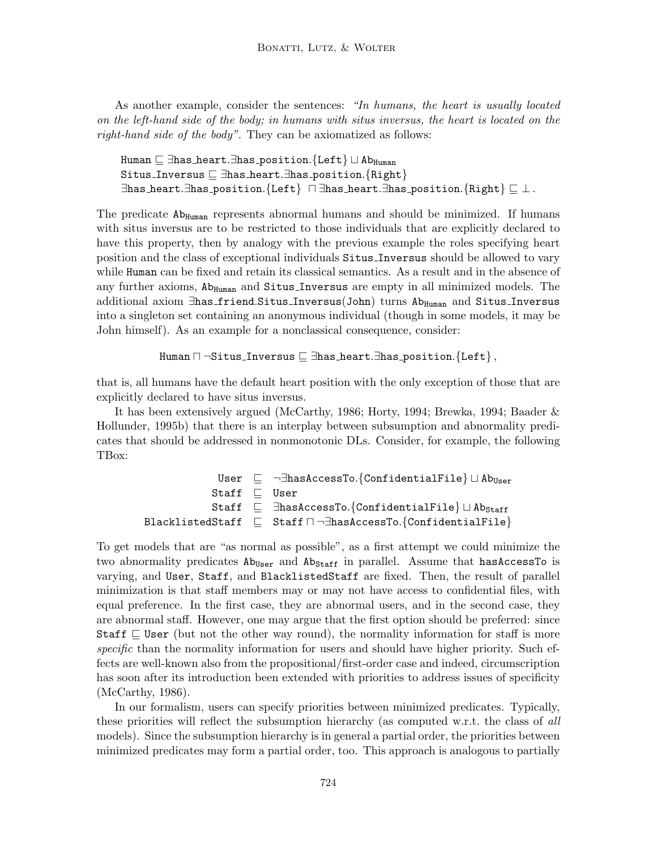As another example, consider the sentences: "In humans, the heart is usually located on the left-hand side of the body; in humans with situs inversus, the heart is located on the right-hand side of the body". They can be axiomatized as follows:

Human  $\sqsubseteq$  ∃has heart.∃has position.{Left}  $\sqcup$  Ab<sub>Human</sub> Situs\_Inversus  $\subseteq \exists$ has\_heart. $\exists$ has\_position.{Right}  $\exists$ has heart. $\exists$ has position.{Left}  $\Box$  $\exists$ has heart. $\exists$ has position.{Right}  $\Box \perp$ .

The predicate Ab<sub>Human</sub> represents abnormal humans and should be minimized. If humans with situs inversus are to be restricted to those individuals that are explicitly declared to have this property, then by analogy with the previous example the roles specifying heart position and the class of exceptional individuals Situs Inversus should be allowed to vary while Human can be fixed and retain its classical semantics. As a result and in the absence of any further axioms,  $Ab_{Human}$  and  $Situs_{Inversus}$  are empty in all minimized models. The additional axiom ∃has friend.Situs Inversus(John) turns Ab<sub>Human</sub> and Situs Inversus into a singleton set containing an anonymous individual (though in some models, it may be John himself). As an example for a nonclassical consequence, consider:

```
Human \sqcap ¬Situs_Inversus \sqsubseteq \existshas heart.\existshas position.{Left},
```
that is, all humans have the default heart position with the only exception of those that are explicitly declared to have situs inversus.

It has been extensively argued (McCarthy, 1986; Horty, 1994; Brewka, 1994; Baader & Hollunder, 1995b) that there is an interplay between subsumption and abnormality predicates that should be addressed in nonmonotonic DLs. Consider, for example, the following TBox:

> User  $\sqsubseteq$   $\neg \exists$ hasAccessTo.{ConfidentialFile}  $\sqcup$  Ab<sub>User</sub> Staff  $\sqsubseteq$  User Staff  $\sqsubseteq$   $\exists$ hasAccessTo.{ConfidentialFile}  $\sqcup$  Ab<sub>Staff</sub> BlacklistedStaff  $\sqsubseteq$  Staff  $\sqcap \neg \exists$ hasAccessTo.{ConfidentialFile}

To get models that are "as normal as possible", as a first attempt we could minimize the two abnormality predicates  $\text{Ab}_{\text{User}}$  and  $\text{Ab}_{\text{Staff}}$  in parallel. Assume that has AccessTo is varying, and User, Staff, and BlacklistedStaff are fixed. Then, the result of parallel minimization is that staff members may or may not have access to confidential files, with equal preference. In the first case, they are abnormal users, and in the second case, they are abnormal staff. However, one may argue that the first option should be preferred: since Staff  $\subseteq$  User (but not the other way round), the normality information for staff is more specific than the normality information for users and should have higher priority. Such effects are well-known also from the propositional/first-order case and indeed, circumscription has soon after its introduction been extended with priorities to address issues of specificity (McCarthy, 1986).

In our formalism, users can specify priorities between minimized predicates. Typically, these priorities will reflect the subsumption hierarchy (as computed w.r.t. the class of all models). Since the subsumption hierarchy is in general a partial order, the priorities between minimized predicates may form a partial order, too. This approach is analogous to partially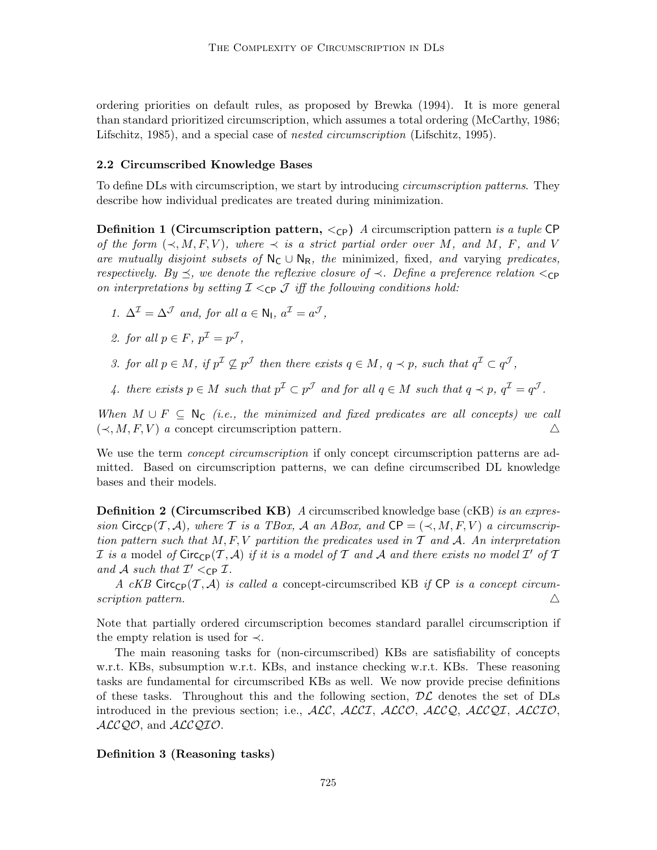ordering priorities on default rules, as proposed by Brewka (1994). It is more general than standard prioritized circumscription, which assumes a total ordering (McCarthy, 1986; Lifschitz, 1985), and a special case of *nested circumscription* (Lifschitz, 1995).

#### 2.2 Circumscribed Knowledge Bases

To define DLs with circumscription, we start by introducing *circumscription patterns*. They describe how individual predicates are treated during minimization.

**Definition 1 (Circumscription pattern,**  $\langle c \rangle$ ) A circumscription pattern is a tuple CP of the form  $(\prec, M, F, V)$ , where  $\prec$  is a strict partial order over M, and M, F, and V are mutually disjoint subsets of  $N_c \cup N_R$ , the minimized, fixed, and varying predicates, respectively. By  $\preceq$ , we denote the reflexive closure of  $\prec$ . Define a preference relation  $\lt_{\text{CP}}$ on interpretations by setting  $\mathcal{I} \leq_{\mathbb{C}P} \mathcal{I}$  iff the following conditions hold:

1.  $\Delta^{\mathcal{I}} = \Delta^{\mathcal{J}}$  and, for all  $a \in \mathsf{N}_{\mathsf{I}}$ ,  $a^{\mathcal{I}} = a^{\mathcal{J}}$ ,

2. for all 
$$
p \in F
$$
,  $p^{\mathcal{I}} = p^{\mathcal{J}}$ ,

- 3. for all  $p \in M$ , if  $p^{\mathcal{I}} \nsubseteq p^{\mathcal{J}}$  then there exists  $q \in M$ ,  $q \prec p$ , such that  $q^{\mathcal{I}} \subset q^{\mathcal{J}}$ ,
- 4. there exists  $p \in M$  such that  $p^{\mathcal{I}} \subset p^{\mathcal{J}}$  and for all  $q \in M$  such that  $q \prec p$ ,  $q^{\mathcal{I}} = q^{\mathcal{J}}$ .

When  $M \cup F \subseteq N_C$  (i.e., the minimized and fixed predicates are all concepts) we call  $(\prec, M, F, V)$  a concept circumscription pattern.  $\triangle$ 

We use the term *concept circumscription* if only concept circumscription patterns are admitted. Based on circumscription patterns, we can define circumscribed DL knowledge bases and their models.

**Definition 2 (Circumscribed KB)** A circumscribed knowledge base (cKB) is an expression Circ<sub>CP</sub>(T, A), where T is a TBox, A an ABox, and CP =  $(\prec, M, F, V)$  a circumscription pattern such that  $M, F, V$  partition the predicates used in  $T$  and  $A$ . An interpretation I is a model of  $\textsf{Circ}_{\textsf{CP}}(\mathcal{T},\mathcal{A})$  if it is a model of T and A and there exists no model I' of T and A such that  $\mathcal{I}' <_{\mathsf{CP}} \mathcal{I}$ .

A cKB Circ<sub>CP</sub>(T, A) is called a concept-circumscribed KB if CP is a concept circumscription pattern.  $\Delta$ 

Note that partially ordered circumscription becomes standard parallel circumscription if the empty relation is used for  $\prec$ .

The main reasoning tasks for (non-circumscribed) KBs are satisfiability of concepts w.r.t. KBs, subsumption w.r.t. KBs, and instance checking w.r.t. KBs. These reasoning tasks are fundamental for circumscribed KBs as well. We now provide precise definitions of these tasks. Throughout this and the following section,  $\mathcal{DL}$  denotes the set of DLs introduced in the previous section; i.e.,  $\text{ALC}$ ,  $\text{ALCI}$ ,  $\text{ALCO}$ ,  $\text{ALCO}$ ,  $\text{ALCQ}$ ,  $\text{ALCIO}$ , ALCQO, and ALCQIO.

# Definition 3 (Reasoning tasks)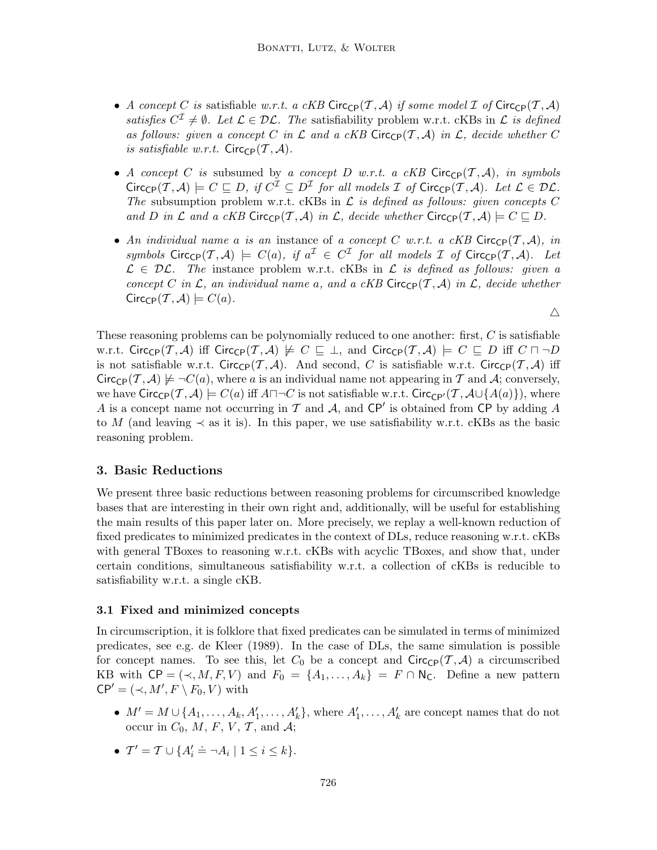- A concept C is satisfiable w.r.t. a cKB Circ<sub>CP</sub>(T, A) if some model I of Circ<sub>CP</sub>(T, A) satisfies  $C^{\mathcal{I}} \neq \emptyset$ . Let  $\mathcal{L} \in \mathcal{DL}$ . The satisfiability problem w.r.t. cKBs in  $\mathcal{L}$  is defined as follows: given a concept C in L and a cKB Circ<sub>CP</sub> $(\mathcal{T}, \mathcal{A})$  in L, decide whether C is satisfiable w.r.t.  $Circ_{\text{CP}}(\mathcal{T}, \mathcal{A})$ .
- A concept C is subsumed by a concept D w.r.t. a cKB Circ $_{\text{CP}}(\mathcal{T}, \mathcal{A})$ , in symbols  $Circ_{\mathsf{CP}}(\mathcal{T},\mathcal{A}) \models C \sqsubseteq D$ , if  $C^{\mathcal{I}} \subseteq D^{\mathcal{I}}$  for all models  $\mathcal{I}$  of  $Circ_{\mathsf{CP}}(\mathcal{T},\mathcal{A})$ . Let  $\mathcal{L} \in \mathcal{DL}$ . The subsumption problem w.r.t. cKBs in  $\mathcal L$  is defined as follows: given concepts C and D in L and a cKB Circ<sub>CP</sub>(T, A) in L, decide whether Circ<sub>CP</sub>(T, A)  $\models$  C  $\sqsubseteq$  D.
- An individual name a is an instance of a concept C w.r.t. a cKB Circ<sub>CP</sub> $(\mathcal{T}, \mathcal{A})$ , in symbols  $Circ_{\mathbb{CP}}(T, \mathcal{A}) \models C(a),$  if  $a^{\mathcal{I}} \in C^{\mathcal{I}}$  for all models  $\mathcal I$  of  $Circ_{\mathbb{CP}}(T, \mathcal{A})$ . Let  $\mathcal{L} \in \mathcal{DL}$ . The instance problem w.r.t. cKBs in  $\mathcal{L}$  is defined as follows: given a concept C in L, an individual name a, and a cKB Circ<sub>CP</sub>(T, A) in L, decide whether  $Circ_{\mathbb{CP}}(\mathcal{T}, \mathcal{A}) \models C(a).$

 $\triangle$ 

These reasoning problems can be polynomially reduced to one another: first, C is satisfiable w.r.t. Circ<sub>CP</sub>(T, A) iff Circ<sub>CP</sub>(T, A)  $\not\models C \sqsubseteq \bot$ , and Circ<sub>CP</sub>(T, A)  $\models C \sqsubseteq D$  iff  $C \sqcap \neg D$ is not satisfiable w.r.t. Circ<sub>CP</sub> $(\mathcal{T}, \mathcal{A})$ . And second, C is satisfiable w.r.t. Circ<sub>CP</sub> $(\mathcal{T}, \mathcal{A})$  iff  $Circ_{\mathcal{CP}}(\mathcal{T}, \mathcal{A}) \not\models \neg C(a)$ , where a is an individual name not appearing in T and A; conversely, we have  $Circ_{\text{CP}}(\mathcal{T}, \mathcal{A}) \models C(a)$  iff  $A \sqcap \neg C$  is not satisfiable w.r.t. Circ<sub>CP</sub> $(\mathcal{T}, \mathcal{A} \cup \{A(a)\})$ , where A is a concept name not occurring in  $\mathcal T$  and  $\mathcal A$ , and  $\mathsf{CP}'$  is obtained from  $\mathsf{CP}$  by adding A to M (and leaving  $\prec$  as it is). In this paper, we use satisfiability w.r.t. cKBs as the basic reasoning problem.

# 3. Basic Reductions

We present three basic reductions between reasoning problems for circumscribed knowledge bases that are interesting in their own right and, additionally, will be useful for establishing the main results of this paper later on. More precisely, we replay a well-known reduction of fixed predicates to minimized predicates in the context of DLs, reduce reasoning w.r.t. cKBs with general TBoxes to reasoning w.r.t. cKBs with acyclic TBoxes, and show that, under certain conditions, simultaneous satisfiability w.r.t. a collection of cKBs is reducible to satisfiability w.r.t. a single cKB.

#### 3.1 Fixed and minimized concepts

In circumscription, it is folklore that fixed predicates can be simulated in terms of minimized predicates, see e.g. de Kleer (1989). In the case of DLs, the same simulation is possible for concept names. To see this, let  $C_0$  be a concept and  $Circ_{\mathbb{CP}}(\mathcal{T}, \mathcal{A})$  a circumscribed KB with  $\mathsf{CP} = (\prec, M, F, V)$  and  $F_0 = \{A_1, \ldots, A_k\} = F \cap \mathsf{N}_\mathsf{C}$ . Define a new pattern  $\mathsf{CP}' = (\prec, M', F \setminus F_0, V)$  with

- $M' = M \cup \{A_1, \ldots, A_k, A'_1, \ldots, A'_k\}$ , where  $A'_1, \ldots, A'_k$  are concept names that do not occur in  $C_0$ , M, F, V, T, and A;
- $T' = T \cup \{A'_i = \neg A_i \mid 1 \leq i \leq k\}.$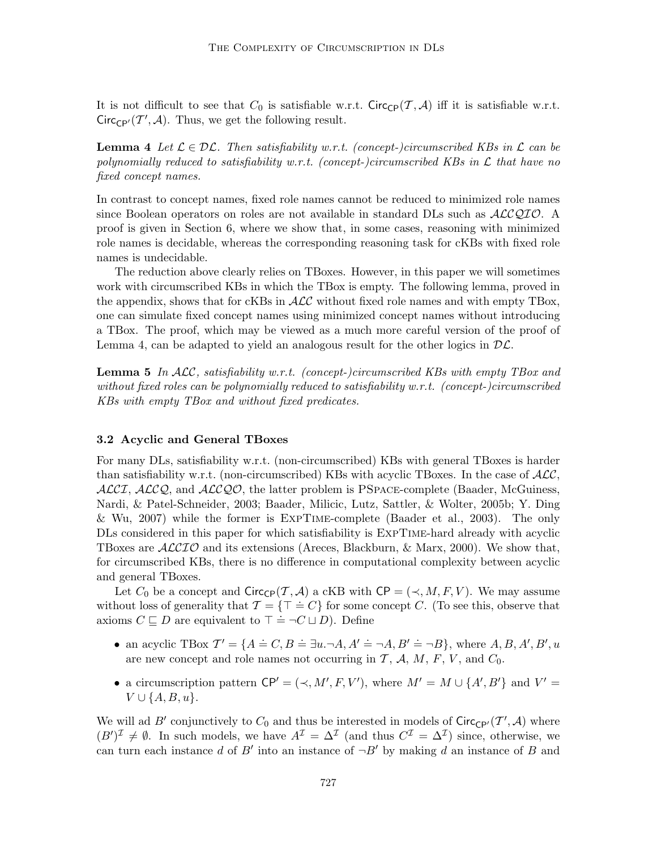It is not difficult to see that  $C_0$  is satisfiable w.r.t. Circ<sub>CP</sub> $(\mathcal{T}, \mathcal{A})$  iff it is satisfiable w.r.t.  $Circ_{\mathbb{CP}'}(\mathcal{T}',\mathcal{A})$ . Thus, we get the following result.

**Lemma 4** Let  $\mathcal{L} \in \mathcal{DL}$ . Then satisfiability w.r.t. (concept-)circumscribed KBs in  $\mathcal{L}$  can be polynomially reduced to satisfiability w.r.t. (concept-)circumscribed KBs in  $\mathcal L$  that have no fixed concept names.

In contrast to concept names, fixed role names cannot be reduced to minimized role names since Boolean operators on roles are not available in standard DLs such as  $ALCQIO$ . A proof is given in Section 6, where we show that, in some cases, reasoning with minimized role names is decidable, whereas the corresponding reasoning task for cKBs with fixed role names is undecidable.

The reduction above clearly relies on TBoxes. However, in this paper we will sometimes work with circumscribed KBs in which the TBox is empty. The following lemma, proved in the appendix, shows that for cKBs in  $\mathcal{ALC}$  without fixed role names and with empty TBox, one can simulate fixed concept names using minimized concept names without introducing a TBox. The proof, which may be viewed as a much more careful version of the proof of Lemma 4, can be adapted to yield an analogous result for the other logics in  $D\mathcal{L}$ .

**Lemma 5** In  $ALC$ , satisfiability w.r.t. (concept-)circumscribed KBs with empty TBox and without fixed roles can be polynomially reduced to satisfiability w.r.t. (concept-)circumscribed KBs with empty TBox and without fixed predicates.

#### 3.2 Acyclic and General TBoxes

For many DLs, satisfiability w.r.t. (non-circumscribed) KBs with general TBoxes is harder than satisfiability w.r.t. (non-circumscribed) KBs with acyclic TBoxes. In the case of  $\mathcal{ALC}$ ,  $\text{ALCI}, \text{ALCQ},$  and  $\text{ALCQO}$ , the latter problem is PSPACE-complete (Baader, McGuiness, Nardi, & Patel-Schneider, 2003; Baader, Milicic, Lutz, Sattler, & Wolter, 2005b; Y. Ding & Wu, 2007) while the former is ExpTime-complete (Baader et al., 2003). The only DLs considered in this paper for which satisfiability is ExpTime-hard already with acyclic TBoxes are  $\mathcal{ALCIO}$  and its extensions (Areces, Blackburn, & Marx, 2000). We show that, for circumscribed KBs, there is no difference in computational complexity between acyclic and general TBoxes.

Let  $C_0$  be a concept and  $Circ_{\mathbb{C}P}(\mathcal{T}, \mathcal{A})$  a cKB with  $\mathbb{C}P = (\prec, M, F, V)$ . We may assume without loss of generality that  $\mathcal{T} = \{\top = C\}$  for some concept C. (To see this, observe that axioms  $C \subseteq D$  are equivalent to  $\top = \neg C \sqcup D$ ). Define

- an acyclic TBox  $\mathcal{T}' = \{A = C, B = \exists u. \neg A, A' = \neg A, B' = \neg B\}$ , where  $A, B, A', B', u$ are new concept and role names not occurring in  $\mathcal{T}, \mathcal{A}, M, F, V$ , and  $C_0$ .
- a circumscription pattern  $\mathsf{CP}' = (\prec, M', F, V')$ , where  $M' = M \cup \{A', B'\}$  and  $V' =$  $V \cup \{A, B, u\}.$

We will ad B' conjunctively to  $C_0$  and thus be interested in models of  $Circ_{\mathbb{CP}'}(\mathcal{T}',\mathcal{A})$  where  $(B')^{\mathcal{I}} \neq \emptyset$ . In such models, we have  $A^{\mathcal{I}} = \Delta^{\mathcal{I}}$  (and thus  $C^{\mathcal{I}} = \Delta^{\mathcal{I}}$ ) since, otherwise, we can turn each instance d of B' into an instance of  $\neg B'$  by making d an instance of B and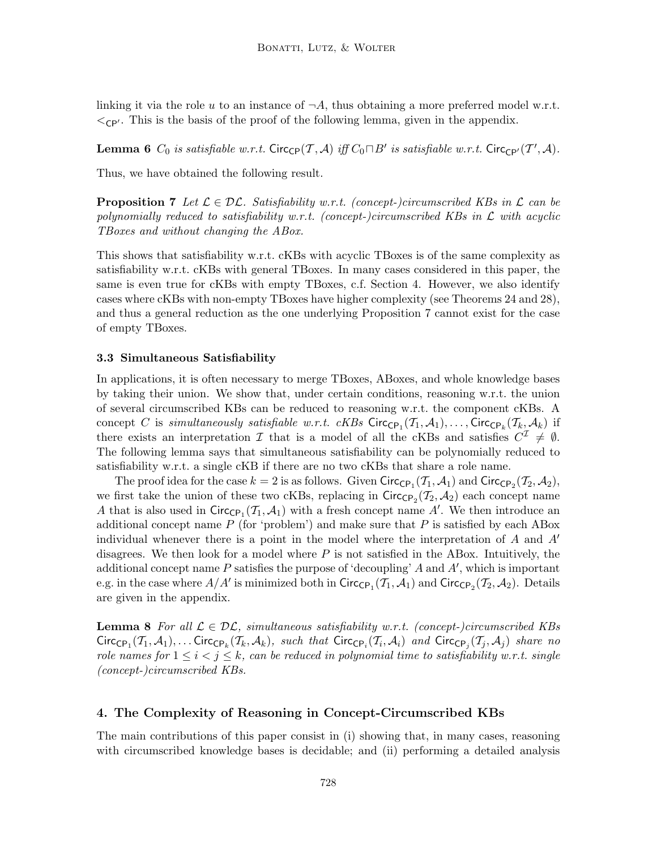linking it via the role u to an instance of  $\neg A$ , thus obtaining a more preferred model w.r.t.  $\langle$ <sub>CP'</sub>. This is the basis of the proof of the following lemma, given in the appendix.

**Lemma 6**  $C_0$  is satisfiable w.r.t. Circ<sub>CP</sub> $(\mathcal{T}, \mathcal{A})$  iff  $C_0 \sqcap B'$  is satisfiable w.r.t. Circ<sub>CP'</sub> $(\mathcal{T}', \mathcal{A})$ .

Thus, we have obtained the following result.

**Proposition 7** Let  $\mathcal{L} \in \mathcal{DL}$ . Satisfiability w.r.t. (concept-)circumscribed KBs in  $\mathcal{L}$  can be polynomially reduced to satisfiability w.r.t. (concept-)circumscribed KBs in  $\mathcal L$  with acyclic TBoxes and without changing the ABox.

This shows that satisfiability w.r.t. cKBs with acyclic TBoxes is of the same complexity as satisfiability w.r.t. cKBs with general TBoxes. In many cases considered in this paper, the same is even true for cKBs with empty TBoxes, c.f. Section 4. However, we also identify cases where cKBs with non-empty TBoxes have higher complexity (see Theorems 24 and 28), and thus a general reduction as the one underlying Proposition 7 cannot exist for the case of empty TBoxes.

#### 3.3 Simultaneous Satisfiability

In applications, it is often necessary to merge TBoxes, ABoxes, and whole knowledge bases by taking their union. We show that, under certain conditions, reasoning w.r.t. the union of several circumscribed KBs can be reduced to reasoning w.r.t. the component cKBs. A concept C is simultaneously satisfiable w.r.t.  $cKBs$  Circ<sub>CP<sub>1</sub></sub> $(\mathcal{T}_1, \mathcal{A}_1), \ldots,$  Circ<sub>CP<sub>k</sub></sub> $(\mathcal{T}_k, \mathcal{A}_k)$  if there exists an interpretation  $\mathcal I$  that is a model of all the cKBs and satisfies  $C^{\mathcal I} \neq \emptyset$ . The following lemma says that simultaneous satisfiability can be polynomially reduced to satisfiability w.r.t. a single cKB if there are no two cKBs that share a role name.

The proof idea for the case  $k = 2$  is as follows. Given  $Circ_{\mathsf{CP}_1}(\mathcal{T}_1, \mathcal{A}_1)$  and  $Circ_{\mathsf{CP}_2}(\mathcal{T}_2, \mathcal{A}_2)$ , we first take the union of these two cKBs, replacing in  $\text{Circ}_{\text{CP}_2}(\mathcal{T}_2, \mathcal{A}_2)$  each concept name A that is also used in  $Circ_{\mathbb{CP}_1}(\mathcal{I}_1, \mathcal{A}_1)$  with a fresh concept name A'. We then introduce an additional concept name  $P$  (for 'problem') and make sure that  $P$  is satisfied by each ABox individual whenever there is a point in the model where the interpretation of  $A$  and  $A'$ disagrees. We then look for a model where  $P$  is not satisfied in the ABox. Intuitively, the additional concept name  $P$  satisfies the purpose of 'decoupling'  $A$  and  $A'$ , which is important e.g. in the case where  $A/A'$  is minimized both in  $\textsf{Circ}_{\textsf{CP}_1}(\mathcal{T}_1, \mathcal{A}_1)$  and  $\textsf{Circ}_{\textsf{CP}_2}(\mathcal{T}_2, \mathcal{A}_2)$ . Details are given in the appendix.

**Lemma 8** For all  $\mathcal{L} \in \mathcal{DL}$ , simultaneous satisfiability w.r.t. (concept-)circumscribed KBs Circ<sub>CP1</sub>( $T_1$ ,  $A_1$ ),... Circ<sub>CP<sub>k</sub></sub>( $T_k$ ,  $A_k$ ), such that Circ<sub>CP<sub>i</sub></sub>( $T_i$ ,  $A_i$ ) and Circ<sub>CP<sub>j</sub></sub>( $T_j$ ,  $A_j$ ) share no role names for  $1 \leq i \leq j \leq k$ , can be reduced in polynomial time to satisfiability w.r.t. single (concept-)circumscribed KBs.

# 4. The Complexity of Reasoning in Concept-Circumscribed KBs

The main contributions of this paper consist in (i) showing that, in many cases, reasoning with circumscribed knowledge bases is decidable; and (ii) performing a detailed analysis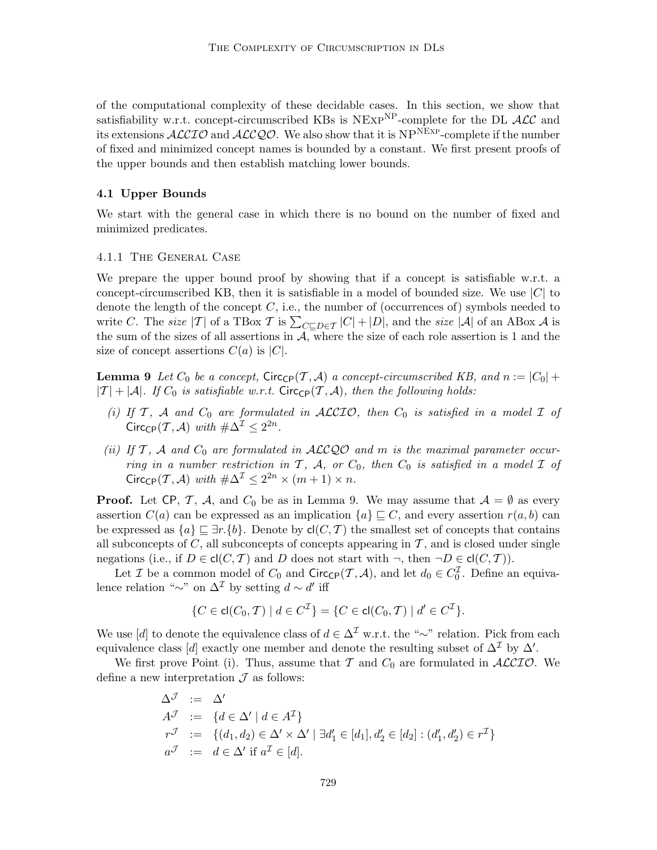of the computational complexity of these decidable cases. In this section, we show that satisfiability w.r.t. concept-circumscribed KBs is  $NEXP<sup>NP</sup>$ -complete for the DL  $ACC$  and its extensions  $ALCIO$  and  $ALCQO$ . We also show that it is  $NP<sup>NEXP</sup>$ -complete if the number of fixed and minimized concept names is bounded by a constant. We first present proofs of the upper bounds and then establish matching lower bounds.

# 4.1 Upper Bounds

We start with the general case in which there is no bound on the number of fixed and minimized predicates.

#### 4.1.1 The General Case

We prepare the upper bound proof by showing that if a concept is satisfiable w.r.t. a concept-circumscribed KB, then it is satisfiable in a model of bounded size. We use  $|C|$  to denote the length of the concept  $C$ , i.e., the number of (occurrences of) symbols needed to write C. The size  $|\mathcal{T}|$  of a TBox T is  $\sum_{C \sqsubseteq D \in \mathcal{T}} |C| + |D|$ , and the size  $|\mathcal{A}|$  of an ABox A is the sum of the sizes of all assertions in  $A$ , where the size of each role assertion is 1 and the size of concept assertions  $C(a)$  is  $|C|$ .

**Lemma 9** Let  $C_0$  be a concept, Circ<sub>CP</sub> $(T, \mathcal{A})$  a concept-circumscribed KB, and  $n := |C_0| +$  $|T| + |\mathcal{A}|$ . If  $C_0$  is satisfiable w.r.t. Circ<sub>CP</sub>(T, A), then the following holds:

- (i) If  $T$ ,  $A$  and  $C_0$  are formulated in ACCIO, then  $C_0$  is satisfied in a model  $I$  of Circ<sub>CP</sub> $(T, \mathcal{A})$  with  $\#\Delta^{\mathcal{I}} \leq 2^{2n}$ .
- (ii) If  $\mathcal{T}$ ,  $\mathcal{A}$  and  $C_0$  are formulated in  $\mathcal{ALCQO}$  and m is the maximal parameter occurring in a number restriction in  $\mathcal{T}$ ,  $\mathcal{A}$ , or  $C_0$ , then  $C_0$  is satisfied in a model  $\mathcal{I}$  of Circ<sub>CP</sub> $(T, \mathcal{A})$  with  $\#\Delta^{\mathcal{I}} \leq 2^{2n} \times (m+1) \times n$ .

**Proof.** Let CP, T, A, and  $C_0$  be as in Lemma 9. We may assume that  $A = \emptyset$  as every assertion  $C(a)$  can be expressed as an implication  $\{a\} \subseteq C$ , and every assertion  $r(a, b)$  can be expressed as  $\{a\} \subseteq \exists r.\{b\}$ . Denote by  $\mathsf{cl}(C, \mathcal{T})$  the smallest set of concepts that contains all subconcepts of  $C$ , all subconcepts of concepts appearing in  $T$ , and is closed under single negations (i.e., if  $D \in \text{cl}(C, \mathcal{T})$  and D does not start with  $\neg$ , then  $\neg D \in \text{cl}(C, \mathcal{T})$ ).

Let *I* be a common model of  $C_0$  and  $Circ_{\mathsf{CP}}(\mathcal{T}, \mathcal{A})$ , and let  $d_0 \in C_0^{\mathcal{I}}$ . Define an equivalence relation "∼" on  $\Delta^{\mathcal{I}}$  by setting  $d \sim d'$  iff

$$
\{C \in \mathsf{cl}(C_0, \mathcal{T}) \mid d \in C^{\mathcal{I}}\} = \{C \in \mathsf{cl}(C_0, \mathcal{T}) \mid d' \in C^{\mathcal{I}}\}.
$$

We use [d] to denote the equivalence class of  $d \in \Delta^{\mathcal{I}}$  w.r.t. the "∼" relation. Pick from each equivalence class [d] exactly one member and denote the resulting subset of  $\Delta^{\mathcal{I}}$  by  $\Delta'$ .

We first prove Point (i). Thus, assume that T and  $C_0$  are formulated in  $ALCIO$ . We define a new interpretation  $\mathcal J$  as follows:

$$
\begin{aligned}\n\Delta^{\mathcal{J}} &:= \Delta' \\
A^{\mathcal{J}} &:= \{d \in \Delta' \mid d \in A^{\mathcal{I}}\} \\
r^{\mathcal{J}} &:= \{(d_1, d_2) \in \Delta' \times \Delta' \mid \exists d'_1 \in [d_1], d'_2 \in [d_2] : (d'_1, d'_2) \in r^{\mathcal{I}}\} \\
a^{\mathcal{J}} &:= d \in \Delta' \text{ if } a^{\mathcal{I}} \in [d].\n\end{aligned}
$$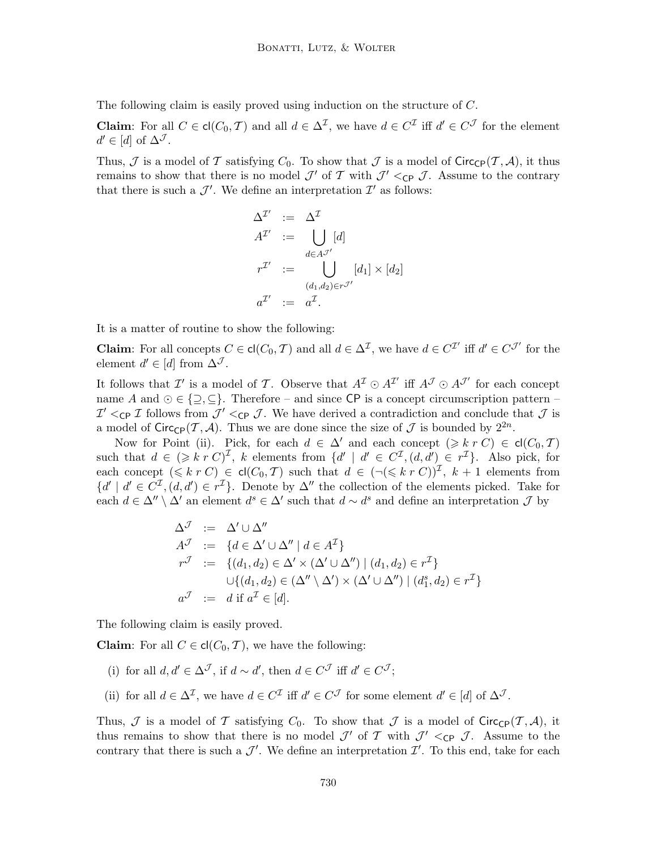The following claim is easily proved using induction on the structure of C.

**Claim**: For all  $C \in \text{cl}(C_0, T)$  and all  $d \in \Delta^{\mathcal{I}}$ , we have  $d \in C^{\mathcal{I}}$  iff  $d' \in C^{\mathcal{J}}$  for the element  $d' \in [d]$  of  $\Delta^{\mathcal{J}}$ .

Thus,  $\mathcal J$  is a model of  $\mathcal T$  satisfying  $C_0$ . To show that  $\mathcal J$  is a model of Circ<sub>CP</sub>( $\mathcal T, \mathcal A$ ), it thus remains to show that there is no model  $\mathcal{J}'$  of  $\mathcal{T}$  with  $\mathcal{J}' <_{\mathsf{CP}} \mathcal{J}$ . Assume to the contrary that there is such a  $\mathcal{J}'$ . We define an interpretation  $\mathcal{I}'$  as follows:

$$
\Delta^{\mathcal{I}'} := \Delta^{\mathcal{I}}
$$
  
\n
$$
A^{\mathcal{I}'} := \bigcup_{d \in A^{\mathcal{I}'}} [d]
$$
  
\n
$$
r^{\mathcal{I}'} := \bigcup_{(d_1, d_2) \in r^{\mathcal{I}'}} [d_1] \times [d_2]
$$
  
\n
$$
a^{\mathcal{I}'} := a^{\mathcal{I}}.
$$

It is a matter of routine to show the following:

**Claim**: For all concepts  $C \in \text{cl}(C_0, \mathcal{T})$  and all  $d \in \Delta^{\mathcal{I}}$ , we have  $d \in C^{\mathcal{I}'}$  iff  $d' \in C^{\mathcal{J}'}$  for the element  $d' \in [d]$  from  $\Delta^{\mathcal{J}}$ .

It follows that  $\mathcal{I}'$  is a model of T. Observe that  $A^{\mathcal{I}} \odot A^{\mathcal{I}'}$  iff  $A^{\mathcal{J}} \odot A^{\mathcal{J}'}$  for each concept name A and  $\odot \in \{\supseteq, \subseteq\}$ . Therefore – and since CP is a concept circumscription pattern –  $\mathcal{I}'$  <cp  $\mathcal{I}$  follows from  $\mathcal{J}'$  <cp  $\mathcal{J}$ . We have derived a contradiction and conclude that  $\mathcal{J}$  is a model of  $Circ_{\mathbb{CP}}(\mathcal{T}, \mathcal{A})$ . Thus we are done since the size of  $\mathcal{J}$  is bounded by  $2^{2n}$ .

Now for Point (ii). Pick, for each  $d \in \Delta'$  and each concept  $(\geq k r C) \in cl(C_0, \mathcal{T})$ such that  $d \in (\geq k r C)^{\mathcal{I}}$ , k elements from  $\{d' \mid d' \in C^{\mathcal{I}}, (d, d') \in r^{\mathcal{I}}\}$ . Also pick, for each concept  $(\leq k r C) \in cl(C_0, \mathcal{T})$  such that  $d \in (\neg(\leq k r C))^{\mathcal{I}}$ ,  $k+1$  elements from  $\{d' \mid d' \in C^{\mathcal{I}}, (d, d') \in r^{\mathcal{I}}\}$ . Denote by  $\Delta''$  the collection of the elements picked. Take for each  $d \in \Delta'' \setminus \Delta'$  an element  $d^s \in \Delta'$  such that  $d \sim d^s$  and define an interpretation  $\mathcal J$  by

$$
\Delta^{\mathcal{J}} := \Delta' \cup \Delta''
$$
  
\n
$$
A^{\mathcal{J}} := \{ d \in \Delta' \cup \Delta'' \mid d \in A^{\mathcal{I}} \}
$$
  
\n
$$
r^{\mathcal{J}} := \{ (d_1, d_2) \in \Delta' \times (\Delta' \cup \Delta'') \mid (d_1, d_2) \in r^{\mathcal{I}} \}
$$
  
\n
$$
\cup \{ (d_1, d_2) \in (\Delta'' \setminus \Delta') \times (\Delta' \cup \Delta'') \mid (d_1^s, d_2) \in r^{\mathcal{I}} \}
$$
  
\n
$$
a^{\mathcal{J}} := d \text{ if } a^{\mathcal{I}} \in [d].
$$

The following claim is easily proved.

**Claim:** For all  $C \in cl(C_0, T)$ , we have the following:

- (i) for all  $d, d' \in \Delta^{\mathcal{J}}$ , if  $d \sim d'$ , then  $d \in C^{\mathcal{J}}$  iff  $d' \in C^{\mathcal{J}}$ ;
- (ii) for all  $d \in \Delta^{\mathcal{I}}$ , we have  $d \in C^{\mathcal{I}}$  iff  $d' \in C^{\mathcal{J}}$  for some element  $d' \in [d]$  of  $\Delta^{\mathcal{J}}$ .

Thus,  $\mathcal J$  is a model of  $\mathcal T$  satisfying  $C_0$ . To show that  $\mathcal J$  is a model of Circ<sub>CP</sub>(T, A), it thus remains to show that there is no model  $\mathcal{J}'$  of  $\mathcal{T}$  with  $\mathcal{J}' <_{\mathsf{CP}} \mathcal{J}$ . Assume to the contrary that there is such a  $\mathcal{J}'$ . We define an interpretation  $\mathcal{I}'$ . To this end, take for each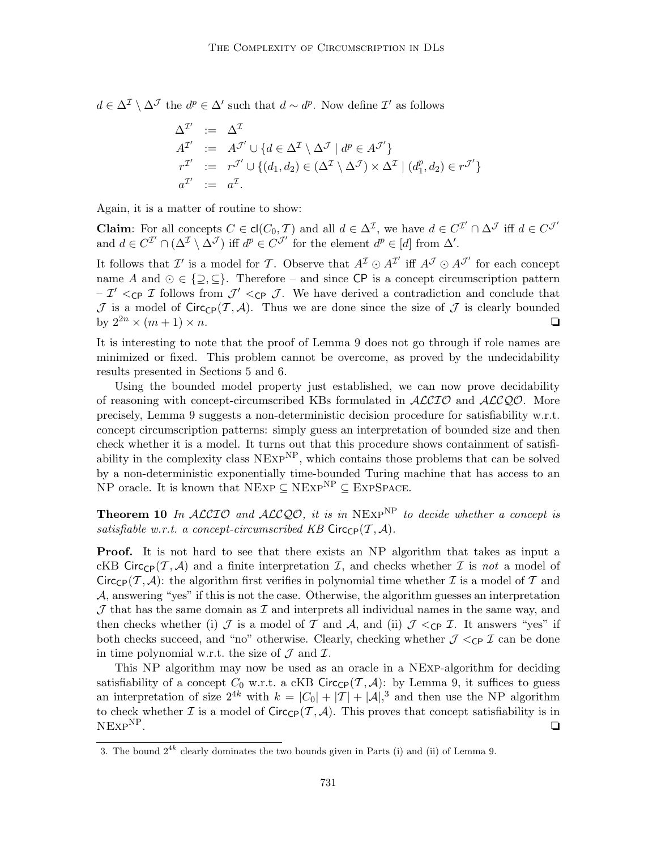$d \in \Delta^{\mathcal{I}} \setminus \Delta^{\mathcal{J}}$  the  $d^p \in \Delta'$  such that  $d \sim d^p$ . Now define  $\mathcal{I}'$  as follows

$$
\begin{aligned}\n\Delta^{\mathcal{I}'} &:= \Delta^{\mathcal{I}} \\
A^{\mathcal{I}'} &:= A^{\mathcal{J}'} \cup \{ d \in \Delta^{\mathcal{I}} \setminus \Delta^{\mathcal{J}} \mid d^p \in A^{\mathcal{J}'} \} \\
r^{\mathcal{I}'} &:= r^{\mathcal{J}'} \cup \{ (d_1, d_2) \in (\Delta^{\mathcal{I}} \setminus \Delta^{\mathcal{J}}) \times \Delta^{\mathcal{I}} \mid (d_1^p, d_2) \in r^{\mathcal{J}'} \} \\
a^{\mathcal{I}'} &:= a^{\mathcal{I}}.\n\end{aligned}
$$

Again, it is a matter of routine to show:

**Claim**: For all concepts  $C \in \text{cl}(C_0, \mathcal{T})$  and all  $d \in \Delta^{\mathcal{I}}$ , we have  $d \in C^{\mathcal{I}'} \cap \Delta^{\mathcal{J}}$  iff  $d \in C^{\mathcal{J}'}$ and  $d \in C^{\mathcal{I}'} \cap (\Delta^{\mathcal{I}} \setminus \Delta^{\mathcal{J}})$  iff  $d^p \in C^{\mathcal{J}'}$  for the element  $d^p \in [d]$  from  $\Delta'$ .

It follows that  $\mathcal{I}'$  is a model for  $\mathcal{T}$ . Observe that  $A^{\mathcal{I}} \odot A^{\mathcal{I}'}$  iff  $A^{\mathcal{J}} \odot A^{\mathcal{J}'}$  for each concept name A and  $\odot \in \{\supseteq, \subseteq\}$ . Therefore – and since CP is a concept circumscription pattern  $-\mathcal{I}' <_{\mathsf{CP}} \mathcal{I}$  follows from  $\mathcal{J}' <_{\mathsf{CP}} \mathcal{I}$ . We have derived a contradiction and conclude that  $\mathcal J$  is a model of Circ<sub>CP</sub>(T, A). Thus we are done since the size of  $\mathcal J$  is clearly bounded by  $2^{2n} \times (m+1) \times n$ .

It is interesting to note that the proof of Lemma 9 does not go through if role names are minimized or fixed. This problem cannot be overcome, as proved by the undecidability results presented in Sections 5 and 6.

Using the bounded model property just established, we can now prove decidability of reasoning with concept-circumscribed KBs formulated in  $ALCIO$  and  $ALCQO$ . More precisely, Lemma 9 suggests a non-deterministic decision procedure for satisfiability w.r.t. concept circumscription patterns: simply guess an interpretation of bounded size and then check whether it is a model. It turns out that this procedure shows containment of satisfiability in the complexity class  $NExp^{NP}$ , which contains those problems that can be solved by a non-deterministic exponentially time-bounded Turing machine that has access to an NP oracle. It is known that NEXP  $\subseteq$  NEXP<sup>NP</sup>  $\subseteq$  EXPSPACE.

**Theorem 10** In ALCIO and ALCQO, it is in NEXP<sup>NP</sup> to decide whether a concept is satisfiable w.r.t. a concept-circumscribed KB Circ $_{CP}(\mathcal{T}, \mathcal{A})$ .

Proof. It is not hard to see that there exists an NP algorithm that takes as input a cKB Circ<sub>CP</sub>(T, A) and a finite interpretation I, and checks whether I is not a model of Circ<sub>CP</sub>(T, A): the algorithm first verifies in polynomial time whether I is a model of T and A, answering "yes" if this is not the case. Otherwise, the algorithm guesses an interpretation  $J$  that has the same domain as  $I$  and interprets all individual names in the same way, and then checks whether (i) J is a model of T and A, and (ii)  $\mathcal{J} <_{\text{CP}} \mathcal{I}$ . It answers "yes" if both checks succeed, and "no" otherwise. Clearly, checking whether  $\mathcal{J} \leq_{\text{CP}} \mathcal{I}$  can be done in time polynomial w.r.t. the size of  $\mathcal J$  and  $\mathcal I$ .

This NP algorithm may now be used as an oracle in a NExp-algorithm for deciding satisfiability of a concept  $C_0$  w.r.t. a cKB Circ<sub>CP</sub> $(\mathcal{T}, \mathcal{A})$ : by Lemma 9, it suffices to guess an interpretation of size  $2^{4k}$  with  $k = |C_0| + |T| + |\mathcal{A}|^3$  and then use the NP algorithm to check whether  $\mathcal I$  is a model of  $\text{Circ}_{\text{CP}}(\mathcal T, \mathcal A)$ . This proves that concept satisfiability is in  $N\text{Exp}^{\text{NP}}$ .  $NExp^{NP}$ .  $\Box$ 

<sup>3.</sup> The bound  $2^{4k}$  clearly dominates the two bounds given in Parts (i) and (ii) of Lemma 9.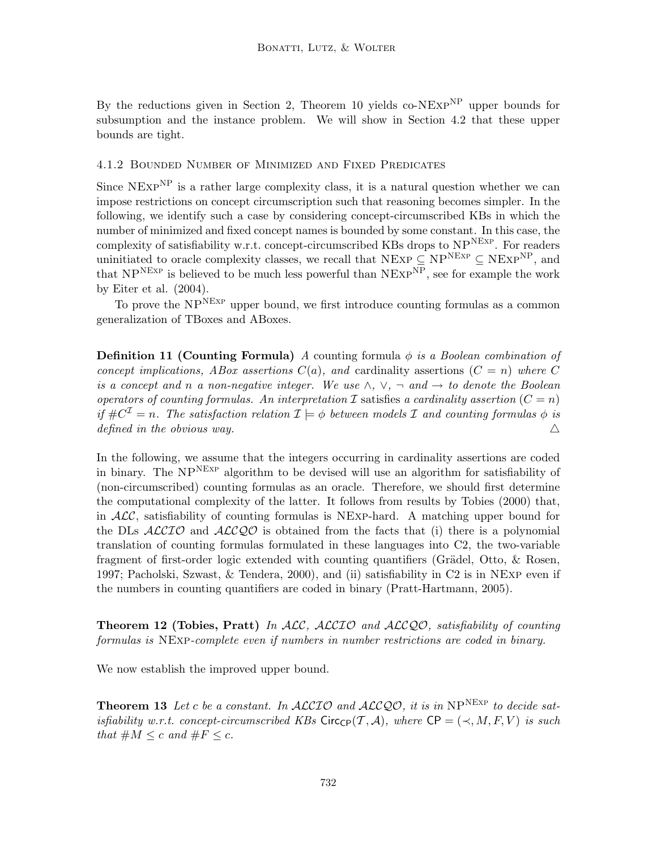By the reductions given in Section 2, Theorem 10 yields co-NE $\chi$ P<sup>NP</sup> upper bounds for subsumption and the instance problem. We will show in Section 4.2 that these upper bounds are tight.

# 4.1.2 Bounded Number of Minimized and Fixed Predicates

Since  $NExP^{NP}$  is a rather large complexity class, it is a natural question whether we can impose restrictions on concept circumscription such that reasoning becomes simpler. In the following, we identify such a case by considering concept-circumscribed KBs in which the number of minimized and fixed concept names is bounded by some constant. In this case, the complexity of satisfiability w.r.t. concept-circumscribed KBs drops to  $NP<sup>NEXP</sup>$ . For readers uninitiated to oracle complexity classes, we recall that NExp  $\subseteq$  NP<sup>NEXP</sup>  $\subseteq$  NEXP<sup>NP</sup>, and that  $NP<sup>NEXP</sup>$  is believed to be much less powerful than  $NEXP<sup>NP</sup>$ , see for example the work by Eiter et al. (2004).

To prove the NP<sup>NEXP</sup> upper bound, we first introduce counting formulas as a common generalization of TBoxes and ABoxes.

**Definition 11 (Counting Formula)** A counting formula  $\phi$  is a Boolean combination of concept implications, ABox assertions  $C(a)$ , and cardinality assertions  $(C = n)$  where C is a concept and n a non-negative integer. We use  $\wedge$ ,  $\vee$ ,  $\neg$  and  $\rightarrow$  to denote the Boolean operators of counting formulas. An interpretation I satisfies a cardinality assertion  $(C = n)$ if  $\#C^{\mathcal{I}}=n$ . The satisfaction relation  $\mathcal{I}\models\phi$  between models  $\mathcal I$  and counting formulas  $\phi$  is defined in the obvious way.  $\triangle$ 

In the following, we assume that the integers occurring in cardinality assertions are coded in binary. The  $NP<sup>NEXP</sup>$  algorithm to be devised will use an algorithm for satisfiability of (non-circumscribed) counting formulas as an oracle. Therefore, we should first determine the computational complexity of the latter. It follows from results by Tobies (2000) that, in  $ALC$ , satisfiability of counting formulas is NExp-hard. A matching upper bound for the DLs  $ALCLO$  and  $ALCQO$  is obtained from the facts that (i) there is a polynomial translation of counting formulas formulated in these languages into C2, the two-variable fragment of first-order logic extended with counting quantifiers (Grädel, Otto,  $\&$  Rosen, 1997; Pacholski, Szwast, & Tendera, 2000), and (ii) satisfiability in C2 is in NExp even if the numbers in counting quantifiers are coded in binary (Pratt-Hartmann, 2005).

**Theorem 12 (Tobies, Pratt)** In ALC, ALCIO and ALCQO, satisfiability of counting formulas is NExp-complete even if numbers in number restrictions are coded in binary.

We now establish the improved upper bound.

**Theorem 13** Let c be a constant. In  $ALCIO$  and  $ALCQ.O$ , it is in  $NP<sup>NEXP</sup>$  to decide satisfiability w.r.t. concept-circumscribed KBs Circ<sub>CP</sub>(T, A), where  $\text{CP} = (\prec, M, F, V)$  is such that  $\#M \leq c$  and  $\#F \leq c$ .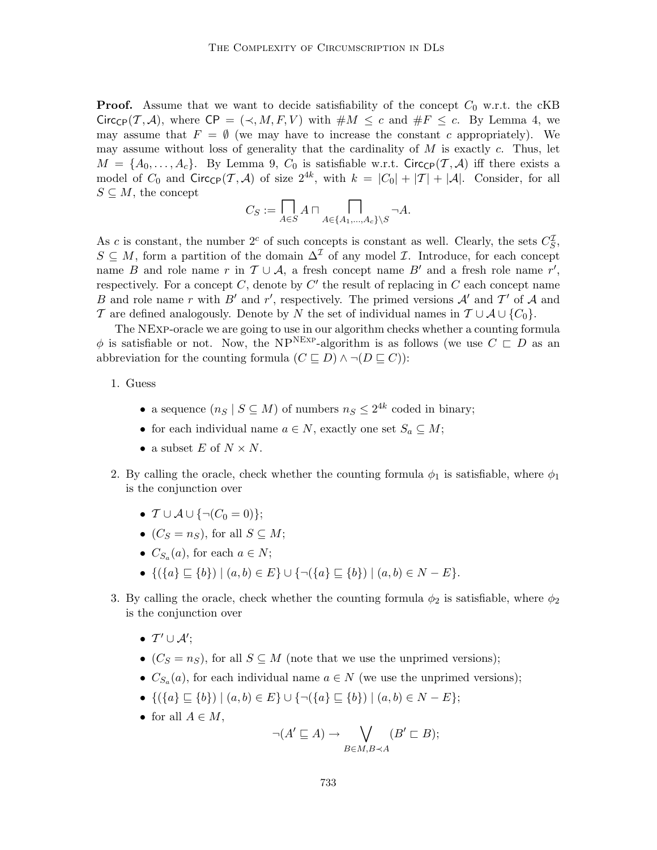**Proof.** Assume that we want to decide satisfiability of the concept  $C_0$  w.r.t. the cKB  $Circ_{\mathbb{C}P}(\mathcal{T}, \mathcal{A})$ , where  $\mathbb{C}P = (\prec, M, F, V)$  with  $\#M \leq c$  and  $\#F \leq c$ . By Lemma 4, we may assume that  $F = \emptyset$  (we may have to increase the constant c appropriately). We may assume without loss of generality that the cardinality of  $M$  is exactly  $c$ . Thus, let  $M = \{A_0, \ldots, A_c\}$ . By Lemma 9,  $C_0$  is satisfiable w.r.t. Circ<sub>CP</sub> $(\mathcal{T}, \mathcal{A})$  iff there exists a model of  $C_0$  and  $Circ_{\mathbb{CP}}(\mathcal{T}, \mathcal{A})$  of size  $2^{4k}$ , with  $k = |C_0| + |\mathcal{T}| + |\mathcal{A}|$ . Consider, for all  $S \subseteq M$ , the concept

$$
C_S := \prod_{A \in S} A \cap \prod_{A \in \{A_1, \dots, A_c\} \setminus S} \neg A.
$$

As c is constant, the number  $2^c$  of such concepts is constant as well. Clearly, the sets  $C_S^{\mathcal{I}}$ ,  $S \subseteq M$ , form a partition of the domain  $\Delta^{\mathcal{I}}$  of any model  $\mathcal{I}$ . Introduce, for each concept name B and role name r in  $\mathcal{T} \cup \mathcal{A}$ , a fresh concept name B' and a fresh role name r', respectively. For a concept  $C$ , denote by  $C'$  the result of replacing in  $C$  each concept name B and role name r with B' and r', respectively. The primed versions  $A'$  and T' of A and T are defined analogously. Denote by N the set of individual names in  $T \cup A \cup \{C_0\}$ .

The NExp-oracle we are going to use in our algorithm checks whether a counting formula  $\phi$  is satisfiable or not. Now, the NP<sup>NEXP</sup>-algorithm is as follows (we use  $C \subset D$  as an abbreviation for the counting formula  $(C \sqsubseteq D) \land \neg (D \sqsubseteq C)$ :

# 1. Guess

- a sequence  $(n_S | S \subseteq M)$  of numbers  $n_S \leq 2^{4k}$  coded in binary;
- for each individual name  $a \in N$ , exactly one set  $S_a \subseteq M$ ;
- a subset  $E$  of  $N \times N$ .
- 2. By calling the oracle, check whether the counting formula  $\phi_1$  is satisfiable, where  $\phi_1$ is the conjunction over
	- $T \cup A \cup \{\neg(C_0 = 0)\};$
	- $(C_S = n_S)$ , for all  $S \subseteq M$ ;
	- $C_{S_a}(a)$ , for each  $a \in N$ ;
	- $\{(\{a\} \sqsubseteq \{b\}) | (a, b) \in E\} \cup \{\neg(\{a\} \sqsubseteq \{b\}) | (a, b) \in N E\}.$
- 3. By calling the oracle, check whether the counting formula  $\phi_2$  is satisfiable, where  $\phi_2$ is the conjunction over
	- $T' \cup A';$
	- $(C<sub>S</sub> = n<sub>S</sub>)$ , for all  $S \subseteq M$  (note that we use the unprimed versions);
	- $C_{S_a}(a)$ , for each individual name  $a \in N$  (we use the unprimed versions);
	- $\{(\{a\} \sqsubseteq \{b\}) \mid (a, b) \in E\} \cup \{\neg(\{a\} \sqsubseteq \{b\}) \mid (a, b) \in N E\};$
	- for all  $A \in M$ ,

$$
\neg(A' \sqsubseteq A) \to \bigvee_{B \in M, B \prec A} (B' \sqsubset B);
$$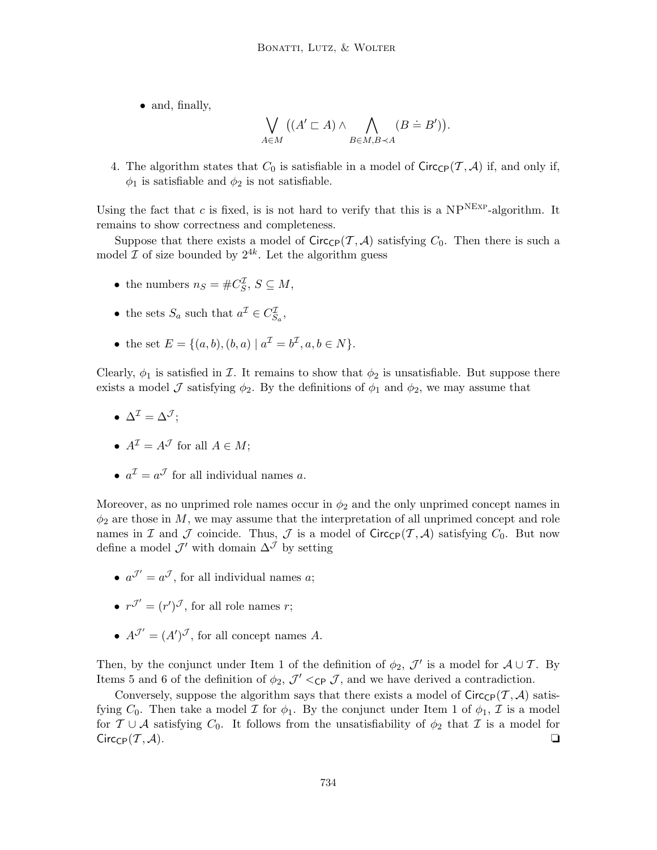• and, finally,

$$
\bigvee_{A \in M} ((A' \sqsubset A) \land \bigwedge_{B \in M, B \prec A} (B \doteq B')).
$$

4. The algorithm states that  $C_0$  is satisfiable in a model of  $Circ_{\mathsf{CP}}(\mathcal{T}, \mathcal{A})$  if, and only if,  $\phi_1$  is satisfiable and  $\phi_2$  is not satisfiable.

Using the fact that c is fixed, is is not hard to verify that this is a  $NP<sup>NEXP</sup>$ -algorithm. It remains to show correctness and completeness.

Suppose that there exists a model of  $Circ_{\mathsf{CP}}(\mathcal{T}, \mathcal{A})$  satisfying  $C_0$ . Then there is such a model  $\mathcal I$  of size bounded by  $2^{4k}$ . Let the algorithm guess

- the numbers  $n_S = \#C_S^{\mathcal{I}}, S \subseteq M$ ,
- the sets  $S_a$  such that  $a^{\mathcal{I}} \in C_{S_a}^{\mathcal{I}}$ ,
- the set  $E = \{(a, b), (b, a) | a^{\mathcal{I}} = b^{\mathcal{I}}, a, b \in N\}.$

Clearly,  $\phi_1$  is satisfied in *I*. It remains to show that  $\phi_2$  is unsatisfiable. But suppose there exists a model J satisfying  $\phi_2$ . By the definitions of  $\phi_1$  and  $\phi_2$ , we may assume that

- $\Delta^{\mathcal{I}} = \Delta^{\mathcal{J}}$ :
- $A^{\mathcal{I}} = A^{\mathcal{J}}$  for all  $A \in M$ ;
- $a^{\mathcal{I}} = a^{\mathcal{J}}$  for all individual names a.

Moreover, as no unprimed role names occur in  $\phi_2$  and the only unprimed concept names in  $\phi_2$  are those in M, we may assume that the interpretation of all unprimed concept and role names in I and J coincide. Thus, J is a model of  $Circ_{\mathbb{CP}}(\mathcal{T}, \mathcal{A})$  satisfying  $C_0$ . But now define a model  $\mathcal{J}'$  with domain  $\Delta^{\mathcal{J}}$  by setting

- $a^{\mathcal{J}'} = a^{\mathcal{J}}$ , for all individual names a;
- $r^{\mathcal{J}'} = (r')^{\mathcal{J}}$ , for all role names r;
- $A^{\mathcal{J}'} = (A')^{\mathcal{J}}$ , for all concept names A.

Then, by the conjunct under Item 1 of the definition of  $\phi_2$ ,  $\mathcal{J}'$  is a model for  $\mathcal{A} \cup \mathcal{T}$ . By Items 5 and 6 of the definition of  $\phi_2$ ,  $\mathcal{J}' <_{\mathsf{CP}} \mathcal{J}$ , and we have derived a contradiction.

Conversely, suppose the algorithm says that there exists a model of  $Circ_{\mathbb{CP}}(\mathcal{T}, \mathcal{A})$  satisfying  $C_0$ . Then take a model  $\mathcal I$  for  $\phi_1$ . By the conjunct under Item 1 of  $\phi_1$ ,  $\mathcal I$  is a model for  $\mathcal{T} \cup \mathcal{A}$  satisfying  $C_0$ . It follows from the unsatisfiability of  $\phi_2$  that  $\mathcal{I}$  is a model for  $\text{Circ}_{\text{CP}}(\mathcal{T}, \mathcal{A}).$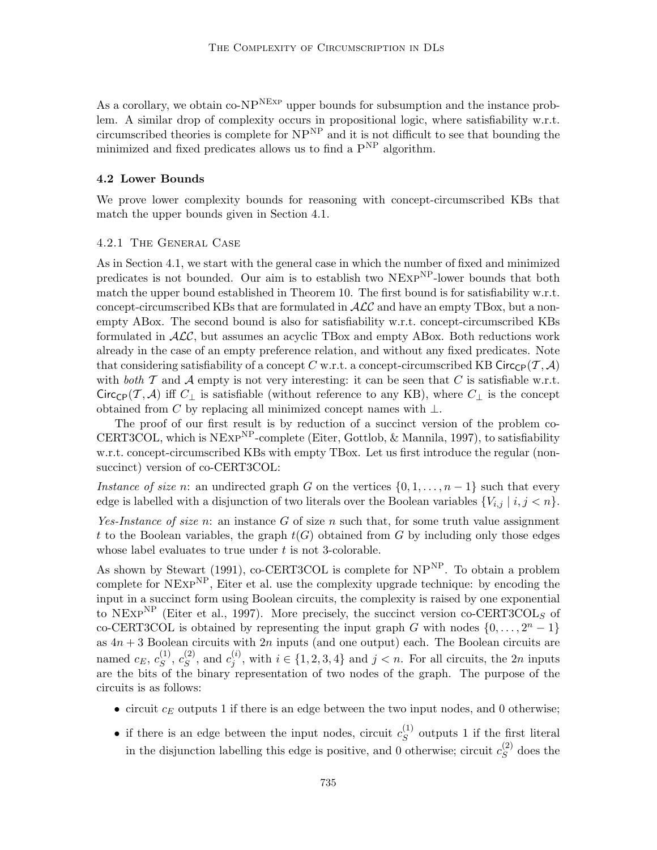As a corollary, we obtain  $\text{co-NP}^{\text{NExp}}$  upper bounds for subsumption and the instance problem. A similar drop of complexity occurs in propositional logic, where satisfiability w.r.t. circumscribed theories is complete for  $NP<sup>NP</sup>$  and it is not difficult to see that bounding the minimized and fixed predicates allows us to find a  $P^{NP}$  algorithm.

#### 4.2 Lower Bounds

We prove lower complexity bounds for reasoning with concept-circumscribed KBs that match the upper bounds given in Section 4.1.

# 4.2.1 The General Case

As in Section 4.1, we start with the general case in which the number of fixed and minimized predicates is not bounded. Our aim is to establish two NEXP<sup>NP</sup>-lower bounds that both match the upper bound established in Theorem 10. The first bound is for satisfiability w.r.t. concept-circumscribed KBs that are formulated in  $\mathcal{ALC}$  and have an empty TBox, but a nonempty ABox. The second bound is also for satisfiability w.r.t. concept-circumscribed KBs formulated in  $ALC$ , but assumes an acyclic TBox and empty ABox. Both reductions work already in the case of an empty preference relation, and without any fixed predicates. Note that considering satisfiability of a concept C w.r.t. a concept-circumscribed KB Circ<sub>CP</sub>( $\mathcal{T}, \mathcal{A}$ ) with both  $\mathcal T$  and  $\mathcal A$  empty is not very interesting: it can be seen that C is satisfiable w.r.t. Circ<sub>CP</sub>(T, A) iff  $C_{\perp}$  is satisfiable (without reference to any KB), where  $C_{\perp}$  is the concept obtained from C by replacing all minimized concept names with  $\bot$ .

The proof of our first result is by reduction of a succinct version of the problem co-CERT3COL, which is  $N \text{Exp}^{\text{NP}}$ -complete (Eiter, Gottlob, & Mannila, 1997), to satisfiability w.r.t. concept-circumscribed KBs with empty TBox. Let us first introduce the regular (nonsuccinct) version of co-CERT3COL:

Instance of size n: an undirected graph G on the vertices  $\{0, 1, \ldots, n-1\}$  such that every edge is labelled with a disjunction of two literals over the Boolean variables  $\{V_{i,j} \mid i,j \leq n\}$ .

Yes-Instance of size n: an instance G of size n such that, for some truth value assignment t to the Boolean variables, the graph  $t(G)$  obtained from G by including only those edges whose label evaluates to true under t is not 3-colorable.

As shown by Stewart (1991), co-CERT3COL is complete for  $NP<sup>NP</sup>$ . To obtain a problem complete for  $NEXP<sup>NP</sup>$ , Eiter et al. use the complexity upgrade technique: by encoding the input in a succinct form using Boolean circuits, the complexity is raised by one exponential to NEXP<sup>NP</sup> (Eiter et al., 1997). More precisely, the succinct version co-CERT3COL<sub>S</sub> of co-CERT3COL is obtained by representing the input graph G with nodes  $\{0, \ldots, 2<sup>n</sup> - 1\}$ as  $4n + 3$  Boolean circuits with  $2n$  inputs (and one output) each. The Boolean circuits are named  $c_E, c_S^{(1)}$  $S^{(1)},\,c_S^{(2)}$  $s^{(2)}$ , and  $c_j^{(i)}$  $j^{(i)}$ , with  $i \in \{1, 2, 3, 4\}$  and  $j < n$ . For all circuits, the 2*n* inputs are the bits of the binary representation of two nodes of the graph. The purpose of the circuits is as follows:

- circuit  $c_E$  outputs 1 if there is an edge between the two input nodes, and 0 otherwise;
- if there is an edge between the input nodes, circuit  $c_S^{(1)}$  $S^{(1)}$  outputs 1 if the first literal in the disjunction labelling this edge is positive, and 0 otherwise; circuit  $c_S^{(2)}$  $S<sup>(2)</sup>$  does the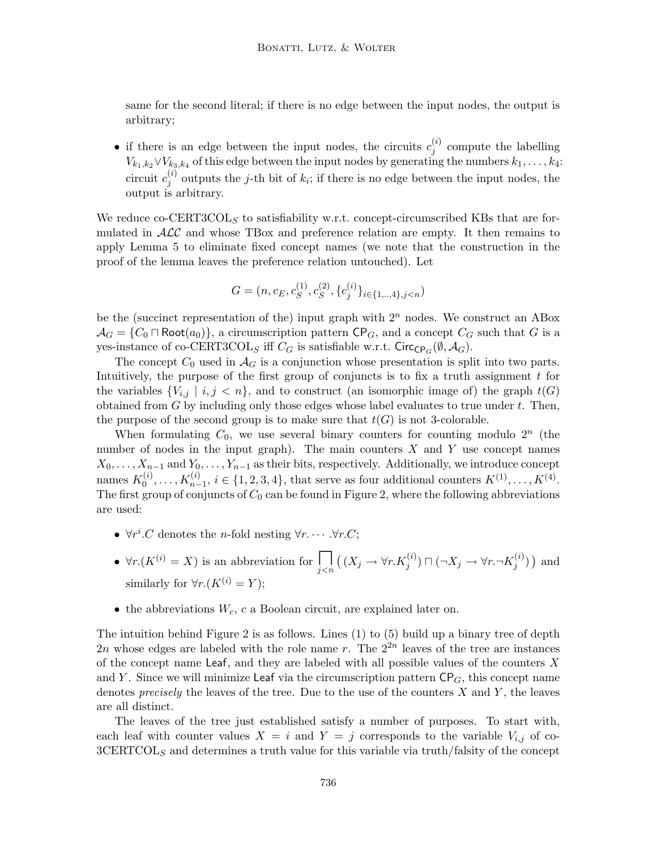same for the second literal; if there is no edge between the input nodes, the output is arbitrary;

• if there is an edge between the input nodes, the circuits  $c_i^{(i)}$  $j^{(i)}$  compute the labelling  $V_{k_1,k_2} \vee V_{k_3,k_4}$  of this edge between the input nodes by generating the numbers  $k_1, \ldots, k_4$ : circuit  $c_i^{(i)}$  $j^{(i)}$  outputs the j-th bit of  $k_i$ ; if there is no edge between the input nodes, the output is arbitrary.

We reduce co-CERT3COL<sub>S</sub> to satisfiability w.r.t. concept-circumscribed KBs that are formulated in  $\mathcal{ALC}$  and whose TBox and preference relation are empty. It then remains to apply Lemma 5 to eliminate fixed concept names (we note that the construction in the proof of the lemma leaves the preference relation untouched). Let

$$
G=(n, c_E, c_S^{(1)}, c_S^{(2)}, \{c_j^{(i)}\}_{i\in\{1,..,4\}, j
$$

be the (succinct representation of the) input graph with  $2<sup>n</sup>$  nodes. We construct an ABox  $\mathcal{A}_G = \{C_0 \cap \text{Root}(a_0)\}\text{, a circumscription pattern } \text{CP}_G \text{, and a concept } C_G \text{ such that } G \text{ is a }$ yes-instance of co-CERT3COL<sub>S</sub> iff  $C_G$  is satisfiable w.r.t. Circ<sub>CP<sub>G</sub>( $\emptyset$ ,  $\mathcal{A}_G$ ).</sub>

The concept  $C_0$  used in  $\mathcal{A}_G$  is a conjunction whose presentation is split into two parts. Intuitively, the purpose of the first group of conjuncts is to fix a truth assignment  $t$  for the variables  ${V_{i,j} | i,j \lt n}$ , and to construct (an isomorphic image of) the graph  $t(G)$ obtained from  $G$  by including only those edges whose label evaluates to true under  $t$ . Then, the purpose of the second group is to make sure that  $t(G)$  is not 3-colorable.

When formulating  $C_0$ , we use several binary counters for counting modulo  $2^n$  (the number of nodes in the input graph). The main counters  $X$  and  $Y$  use concept names  $X_0, \ldots, X_{n-1}$  and  $Y_0, \ldots, Y_{n-1}$  as their bits, respectively. Additionally, we introduce concept names  $K_0^{(i)}$  $S_0^{(i)}, \ldots, K_{n-1}^{(i)}, i \in \{1, 2, 3, 4\},\$ that serve as four additional counters  $K^{(1)}, \ldots, K^{(4)}$ . The first group of conjuncts of  $C_0$  can be found in Figure 2, where the following abbreviations are used:

- $\forall r^i \text{.} C$  denotes the *n*-fold nesting  $\forall r \text{.} \cdots \forall r \text{.} C;$
- $\forall r.(K^{(i)} = X)$  is an abbreviation for  $\prod_{j < n} ((X_j \to \forall r.K_j^{(i)}) \sqcap (\neg X_j \to \forall r.\neg K_j^{(i)})$  $j^{(i)}$ ) and similarly for  $\forall r.(K^{(i)} = Y);$
- the abbreviations  $W_c$ , c a Boolean circuit, are explained later on.

The intuition behind Figure 2 is as follows. Lines (1) to (5) build up a binary tree of depth 2n whose edges are labeled with the role name r. The  $2^{2n}$  leaves of the tree are instances of the concept name Leaf, and they are labeled with all possible values of the counters  $X$ and Y. Since we will minimize Leaf via the circumscription pattern  $\mathsf{CP}_G$ , this concept name denotes *precisely* the leaves of the tree. Due to the use of the counters  $X$  and  $Y$ , the leaves are all distinct.

The leaves of the tree just established satisfy a number of purposes. To start with, each leaf with counter values  $X = i$  and  $Y = j$  corresponds to the variable  $V_{i,j}$  of co- $3CERTCOL<sub>S</sub>$  and determines a truth value for this variable via truth/falsity of the concept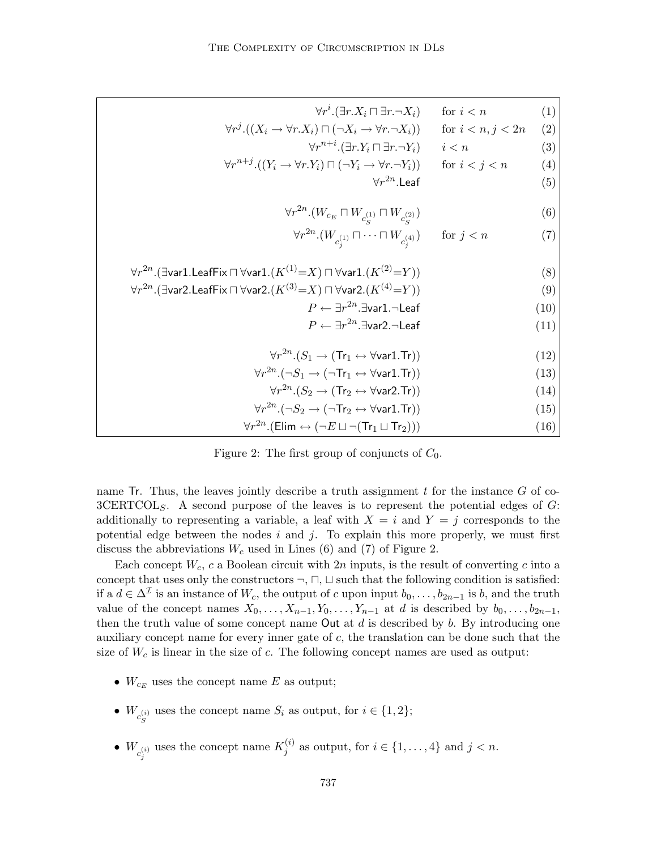| $\forall r^i.(\exists r.X_i \sqcap \exists r.\neg X_i)$                                                                | for $i < n$         | (1)  |
|------------------------------------------------------------------------------------------------------------------------|---------------------|------|
| $\forall r^{j} \cdot ((X_{i} \rightarrow \forall r.X_{i}) \sqcap (\neg X_{i} \rightarrow \forall r.\neg X_{i}))$       | for $i < n, j < 2n$ | (2)  |
| $\forall r^{n+i}.(\exists r.Y_i\sqcap \exists r.\neg Y_i)$                                                             | i < n               | (3)  |
| $\forall r^{n+j}.((Y_i \rightarrow \forall r.Y_i) \sqcap (\neg Y_i \rightarrow \forall r.\neg Y_i))$                   | for $i < j < n$     | (4)  |
| $\forall r^{2n}$ I eaf                                                                                                 |                     | (5)  |
| $\forall r^{2n}.\left(W_{c_E} \sqcap W_{c_{\alpha}^{(1)}} \sqcap W_{c_{\alpha}^{(2)}}\right)$                          |                     | (6)  |
| $\forall r^{2n}.(W_{c_i^{(1)}} \sqcap \cdots \sqcap W_{c_i^{(4)}})$ for $j < n$                                        |                     | (7)  |
| $\forall r^{2n}.(\exists$ var1.LeafFix $\sqcap$ $\forall$ var1. $(K^{(1)}=X)$ $\sqcap$ $\forall$ var1. $(K^{(2)}=Y)$ ) |                     | (8)  |
| $\forall r^{2n}$ . (Evar2. LeafFix $\Box$ $\forall$ var2. $(K^{(3)}=X)$ $\Box$ $\forall$ var2. $(K^{(4)}=Y)$ )         |                     | (9)  |
| $P \leftarrow \exists r^{2n}.\exists$ var1. $\neg$ Leaf                                                                |                     | (10) |
| $P \leftarrow \exists r^{2n}.\exists$ var2. $\neg$ Leaf                                                                |                     | (11) |
| $\forall r^{2n}. (S_1 \rightarrow (Tr_1 \leftrightarrow \forall \text{var1}.\text{Tr}))$                               |                     | (12) |
| $\forall r^{2n}. (\neg S_1 \rightarrow (\neg \text{Tr}_1 \leftrightarrow \forall \text{var1}.\text{Tr}))$              |                     | (13) |
| $\forall r^{2n} (S_2 \rightarrow (\text{Tr}_2 \leftrightarrow \forall \text{var} 2.\text{Tr}))$                        |                     | (14) |
| $\forall r^{2n}. (\neg S_2 \rightarrow (\neg \text{Tr}_2 \leftrightarrow \forall \text{var1}.\text{Tr}))$              |                     | (15) |
| $\forall r^{2n}$ . (Elim $\leftrightarrow (\neg E \sqcup \neg (Tr_1 \sqcup Tr_2)))$                                    |                     | (16) |

Figure 2: The first group of conjuncts of  $C_0$ .

name  $\text{Tr.}$  Thus, the leaves jointly describe a truth assignment t for the instance G of co- $3CERTCOL<sub>S</sub>$ . A second purpose of the leaves is to represent the potential edges of  $G$ : additionally to representing a variable, a leaf with  $X = i$  and  $Y = j$  corresponds to the potential edge between the nodes  $i$  and  $j$ . To explain this more properly, we must first discuss the abbreviations  $W_c$  used in Lines (6) and (7) of Figure 2.

Each concept  $W_c$ , c a Boolean circuit with  $2n$  inputs, is the result of converting c into a concept that uses only the constructors  $\neg$ ,  $\neg$ ,  $\neg$ ,  $\neg$  such that the following condition is satisfied: if a  $d \in \Delta^{\mathcal{I}}$  is an instance of  $W_c$ , the output of c upon input  $b_0, \ldots, b_{2n-1}$  is b, and the truth value of the concept names  $X_0, \ldots, X_{n-1}, Y_0, \ldots, Y_{n-1}$  at d is described by  $b_0, \ldots, b_{2n-1}$ , then the truth value of some concept name Out at  $d$  is described by  $b$ . By introducing one auxiliary concept name for every inner gate of c, the translation can be done such that the size of  $W_c$  is linear in the size of c. The following concept names are used as output:

- $W_{c_E}$  uses the concept name E as output;
- $W_{c_{\rm s}^{(i)}}$  uses the concept name  $S_i$  as output, for  $i \in \{1,2\};$ S
- $W_{c_j^{(i)}}$  uses the concept name  $K_j^{(i)}$  $j^{(i)}$  as output, for  $i \in \{1, \ldots, 4\}$  and  $j < n$ .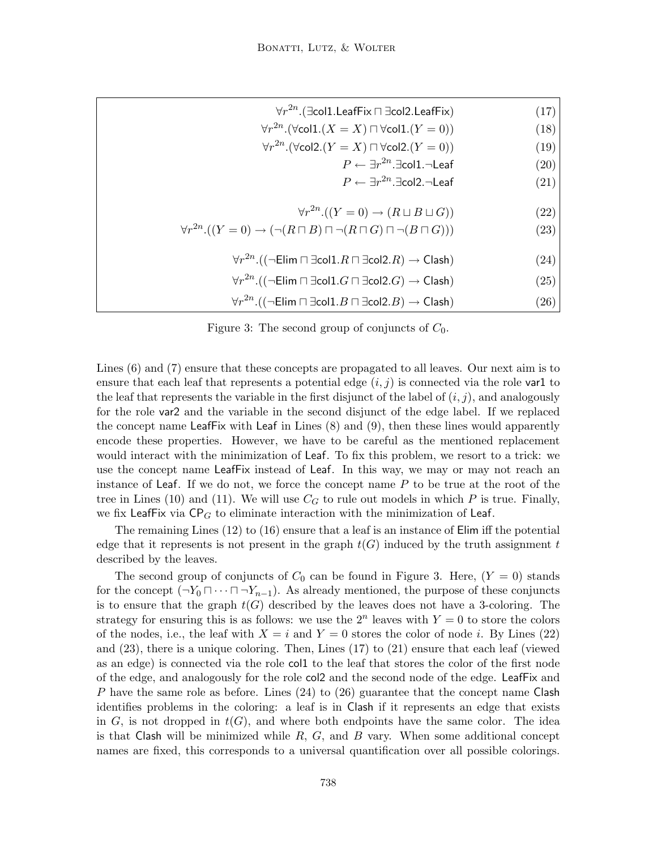| (17) | $\forall r^{2n}$ . ( $\exists$ col1. LeafFix $\sqcap \exists$ col2. LeafFix)                                       |
|------|--------------------------------------------------------------------------------------------------------------------|
| (18) | $\forall r^{2n}.(\forall \text{coll.}(X=X) \sqcap \forall \text{coll.}(Y=0))$                                      |
| (19) | $\forall r^{2n}$ . ( $\forall$ col2. ( $Y = X$ ) $\sqcap \forall$ col2. ( $Y = 0$ ))                               |
| (20) | $P \leftarrow \exists r^{2n}.\exists$ col1. $\neg$ Leaf                                                            |
| (21) | $P \leftarrow \exists r^{2n}.\exists \text{col2.}\neg \text{Leaf}$                                                 |
|      |                                                                                                                    |
| (22) | $\forall r^{2n} \cdot ((Y=0) \rightarrow (R \sqcup B \sqcup G))$                                                   |
| (23) | $\forall r^{2n} \cdot ((Y = 0) \rightarrow (\neg (R \sqcap B) \sqcap \neg (R \sqcap G) \sqcap \neg (B \sqcap G)))$ |
|      |                                                                                                                    |
| (24) | $\forall r^{2n}$ . (( $\neg$ Elim $\Box$ $\exists$ col1. $R \Box$ $\exists$ col2. $R$ ) $\rightarrow$ Clash)       |
| (25) | $\forall r^{2n}$ . (( $\neg$ Elim $\Box$ $\exists$ col $1.G \Box \exists$ col $2.G) \rightarrow$ Clash)            |
| (26) | $\forall r^{2n}$ . (( $\neg$ Elim $\Box$ $\exists$ col1. $B \Box$ $\exists$ col2. $B) \rightarrow$ Clash)          |

Figure 3: The second group of conjuncts of  $C_0$ .

Lines (6) and (7) ensure that these concepts are propagated to all leaves. Our next aim is to ensure that each leaf that represents a potential edge  $(i, j)$  is connected via the role var1 to the leaf that represents the variable in the first disjunct of the label of  $(i, j)$ , and analogously for the role var2 and the variable in the second disjunct of the edge label. If we replaced the concept name LeafFix with Leaf in Lines (8) and (9), then these lines would apparently encode these properties. However, we have to be careful as the mentioned replacement would interact with the minimization of Leaf. To fix this problem, we resort to a trick: we use the concept name LeafFix instead of Leaf. In this way, we may or may not reach an instance of Leaf. If we do not, we force the concept name  $P$  to be true at the root of the tree in Lines (10) and (11). We will use  $C_G$  to rule out models in which P is true. Finally, we fix LeafFix via  $CP_G$  to eliminate interaction with the minimization of Leaf.

The remaining Lines (12) to (16) ensure that a leaf is an instance of Elim iff the potential edge that it represents is not present in the graph  $t(G)$  induced by the truth assignment t described by the leaves.

The second group of conjuncts of  $C_0$  can be found in Figure 3. Here,  $(Y = 0)$  stands for the concept  $(\neg Y_0 \sqcap \cdots \sqcap \neg Y_{n-1})$ . As already mentioned, the purpose of these conjuncts is to ensure that the graph  $t(G)$  described by the leaves does not have a 3-coloring. The strategy for ensuring this is as follows: we use the  $2^n$  leaves with  $Y = 0$  to store the colors of the nodes, i.e., the leaf with  $X = i$  and  $Y = 0$  stores the color of node i. By Lines (22) and (23), there is a unique coloring. Then, Lines (17) to (21) ensure that each leaf (viewed as an edge) is connected via the role col1 to the leaf that stores the color of the first node of the edge, and analogously for the role col2 and the second node of the edge. LeafFix and P have the same role as before. Lines  $(24)$  to  $(26)$  guarantee that the concept name Clash identifies problems in the coloring: a leaf is in Clash if it represents an edge that exists in G, is not dropped in  $t(G)$ , and where both endpoints have the same color. The idea is that Clash will be minimized while  $R, G$ , and  $B$  vary. When some additional concept names are fixed, this corresponds to a universal quantification over all possible colorings.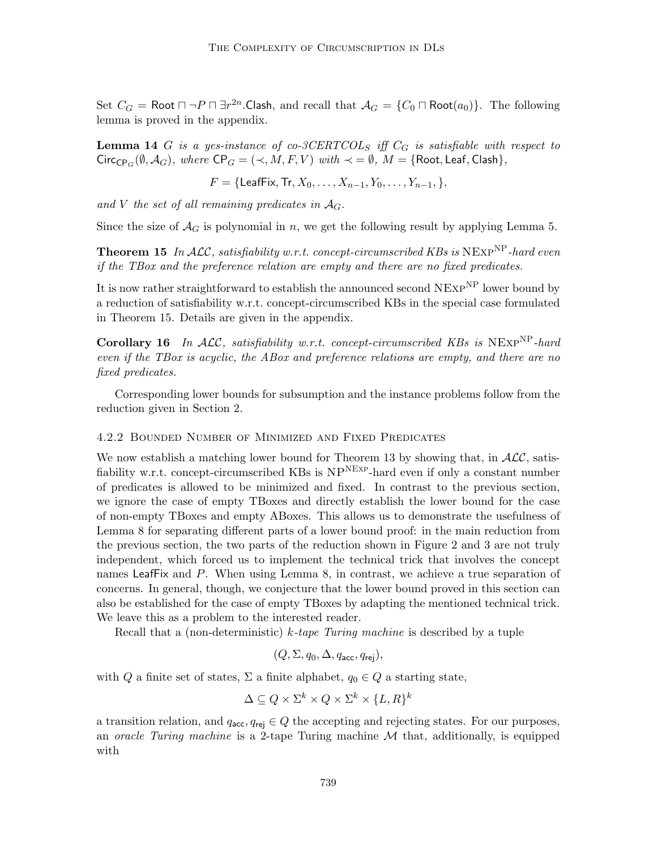Set  $C_G = \text{Root} \sqcap \neg P \sqcap \exists r^{2n}$ .Clash, and recall that  $\mathcal{A}_G = \{C_0 \sqcap \text{Root}(a_0)\}.$  The following lemma is proved in the appendix.

**Lemma 14** G is a yes-instance of co-3CERTCOL<sub>S</sub> iff  $C_G$  is satisfiable with respect to  $\text{Circ}_{\text{CP}_G}(\emptyset, \mathcal{A}_G)$ , where  $\text{CP}_G = (\prec, M, F, V)$  with  $\prec = \emptyset$ ,  $M = \{\text{Root}, \text{Leaf}, \text{Cash}\},$ 

$$
F = \{ \text{LeafFix}, \text{Tr}, X_0, \ldots, X_{n-1}, Y_0, \ldots, Y_{n-1}, \},
$$

and V the set of all remaining predicates in  $A_G$ .

Since the size of  $\mathcal{A}_G$  is polynomial in n, we get the following result by applying Lemma 5.

**Theorem 15** In ALC, satisfiability w.r.t. concept-circumscribed KBs is NEXP<sup>NP</sup>-hard even if the TBox and the preference relation are empty and there are no fixed predicates.

It is now rather straightforward to establish the announced second  $NExp^{NP}$  lower bound by a reduction of satisfiability w.r.t. concept-circumscribed KBs in the special case formulated in Theorem 15. Details are given in the appendix.

Corollary 16 In ALC, satisfiability w.r.t. concept-circumscribed KBs is  $NEXP^{NP}$ -hard even if the TBox is acyclic, the ABox and preference relations are empty, and there are no fixed predicates.

Corresponding lower bounds for subsumption and the instance problems follow from the reduction given in Section 2.

# 4.2.2 Bounded Number of Minimized and Fixed Predicates

We now establish a matching lower bound for Theorem 13 by showing that, in  $\mathcal{ALC}$ , satisfiability w.r.t. concept-circumscribed KBs is  $NP<sup>NEXP</sup>$ -hard even if only a constant number of predicates is allowed to be minimized and fixed. In contrast to the previous section, we ignore the case of empty TBoxes and directly establish the lower bound for the case of non-empty TBoxes and empty ABoxes. This allows us to demonstrate the usefulness of Lemma 8 for separating different parts of a lower bound proof: in the main reduction from the previous section, the two parts of the reduction shown in Figure 2 and 3 are not truly independent, which forced us to implement the technical trick that involves the concept names LeafFix and P. When using Lemma 8, in contrast, we achieve a true separation of concerns. In general, though, we conjecture that the lower bound proved in this section can also be established for the case of empty TBoxes by adapting the mentioned technical trick. We leave this as a problem to the interested reader.

Recall that a (non-deterministic)  $k$ -tape Turing machine is described by a tuple

$$
(Q, \Sigma, q_0, \Delta, q_{\mathsf{acc}}, q_{\mathsf{rej}}),
$$

with Q a finite set of states,  $\Sigma$  a finite alphabet,  $q_0 \in Q$  a starting state,

$$
\Delta \subseteq Q \times \Sigma^k \times Q \times \Sigma^k \times \{L, R\}^k
$$

a transition relation, and  $q_{\text{acc}}$ ,  $q_{\text{rei}} \in Q$  the accepting and rejecting states. For our purposes, an *oracle Turing machine* is a 2-tape Turing machine  $M$  that, additionally, is equipped with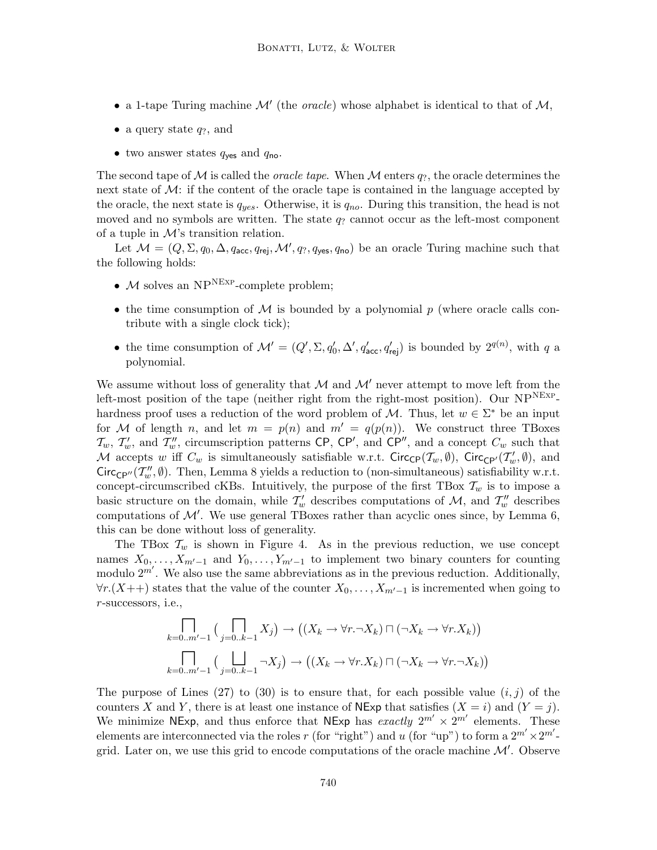- a 1-tape Turing machine  $\mathcal{M}'$  (the *oracle*) whose alphabet is identical to that of  $\mathcal{M},$
- a query state  $q_?$ , and
- two answer states  $q_{\text{yes}}$  and  $q_{\text{no}}$ .

The second tape of M is called the *oracle tape*. When M enters  $q_?$ , the oracle determines the next state of  $\mathcal{M}$ : if the content of the oracle tape is contained in the language accepted by the oracle, the next state is  $q_{yes}$ . Otherwise, it is  $q_{no}$ . During this transition, the head is not moved and no symbols are written. The state  $q_?$  cannot occur as the left-most component of a tuple in  $\mathcal{M}$ 's transition relation.

Let  $\mathcal{M} = (Q, \Sigma, q_0, \Delta, q_{\text{acc}}, q_{\text{rej}}, \mathcal{M}', q_?, q_{\text{yes}}, q_{\text{no}})$  be an oracle Turing machine such that the following holds:

- $M$  solves an NP<sup>NEXP</sup>-complete problem;
- the time consumption of  $\mathcal M$  is bounded by a polynomial  $p$  (where oracle calls contribute with a single clock tick);
- the time consumption of  $\mathcal{M}' = (Q', \Sigma, q'_0, \Delta', q'_{\text{acc}}, q'_{\text{rej}})$  is bounded by  $2^{q(n)}$ , with q a polynomial.

We assume without loss of generality that  $\mathcal M$  and  $\mathcal M'$  never attempt to move left from the left-most position of the tape (neither right from the right-most position). Our  $NP<sup>NEXP</sup>$ hardness proof uses a reduction of the word problem of M. Thus, let  $w \in \Sigma^*$  be an input for M of length n, and let  $m = p(n)$  and  $m' = q(p(n))$ . We construct three TBoxes  $\mathcal{T}_w$ ,  $\mathcal{T}'_w$ , and  $\mathcal{T}''_w$ , circumscription patterns CP, CP', and CP'', and a concept  $C_w$  such that M accepts w iff  $C_w$  is simultaneously satisfiable w.r.t. Circ<sub>CP</sub>( $\mathcal{T}_w$ ,  $\emptyset$ ), Circ<sub>CP'</sub>( $\mathcal{T}'_w$ ,  $\emptyset$ ), and  $Circ_{\mathbb{CP}''}(\mathcal{I}''_w, \emptyset)$ . Then, Lemma 8 yields a reduction to (non-simultaneous) satisfiability w.r.t. concept-circumscribed cKBs. Intuitively, the purpose of the first TBox  $\mathcal{T}_w$  is to impose a basic structure on the domain, while  $\mathcal{T}'_w$  describes computations of  $\mathcal{M}$ , and  $\mathcal{T}''_w$  describes computations of  $\mathcal{M}'$ . We use general TBoxes rather than acyclic ones since, by Lemma 6, this can be done without loss of generality.

The TBox  $\mathcal{T}_w$  is shown in Figure 4. As in the previous reduction, we use concept names  $X_0, \ldots, X_{m'-1}$  and  $Y_0, \ldots, Y_{m'-1}$  to implement two binary counters for counting modulo  $2^{m'}$ . We also use the same abbreviations as in the previous reduction. Additionally,  $\forall r.(X++)$  states that the value of the counter  $X_0, \ldots, X_{m'-1}$  is incremented when going to r-successors, i.e.,

$$
\prod_{k=0..m'-1} \left( \prod_{j=0..k-1} X_j \right) \to \left( (X_k \to \forall r. \neg X_k) \sqcap (\neg X_k \to \forall r. X_k) \right)
$$
  

$$
\prod_{k=0..m'-1} \left( \prod_{j=0..k-1} \neg X_j \right) \to \left( (X_k \to \forall r. X_k) \sqcap (\neg X_k \to \forall r. \neg X_k) \right)
$$

The purpose of Lines (27) to (30) is to ensure that, for each possible value  $(i, j)$  of the counters X and Y, there is at least one instance of NExp that satisfies  $(X = i)$  and  $(Y = j)$ . We minimize NExp, and thus enforce that NExp has exactly  $2^{m'} \times 2^{m'}$  elements. These elements are interconnected via the roles r (for "right") and u (for "up") to form a  $2^{m'} \times 2^{m'}$ grid. Later on, we use this grid to encode computations of the oracle machine  $\mathcal{M}'$ . Observe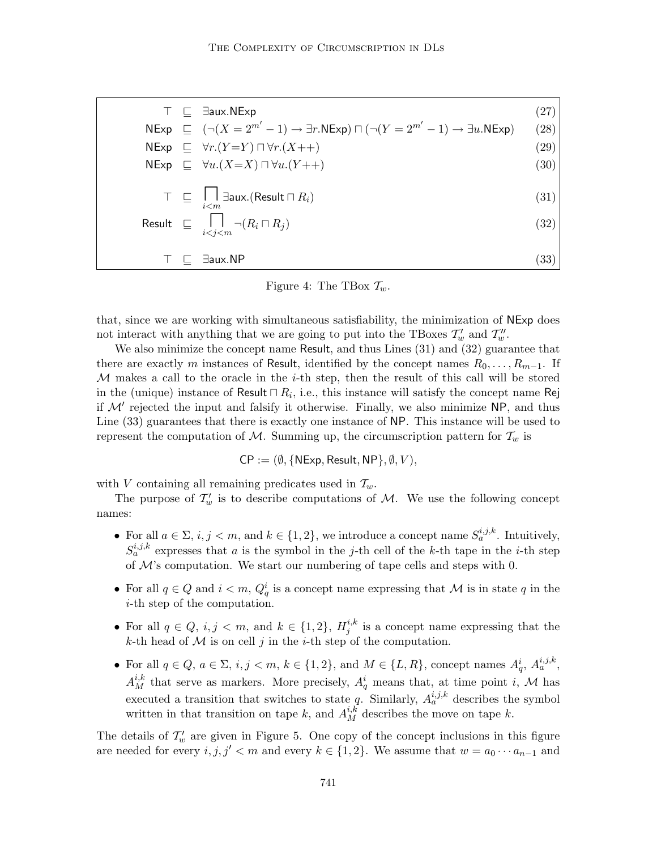$$
\top \sqsubseteq \exists \text{aux.NExp} \tag{27}
$$
\n
$$
\begin{array}{rcl}\n\text{NExp} & \sqsubseteq & (\neg(X = 2^{m'} - 1) \rightarrow \exists r.\text{NExp}) \sqcap (\neg(Y = 2^{m'} - 1) \rightarrow \exists u.\text{NExp}) \tag{28} \\
\text{NExp} & \sqsubseteq \forall r. (Y = Y) \sqcap \forall r. (X++) \tag{29} \\
\text{NExp} & \sqsubseteq \forall u. (X = X) \sqcap \forall u. (Y++) \tag{30} \\
\text{NExp} & \sqsubseteq \forall u. (X = X) \sqcap \forall u. (Y++) \tag{31} \\
\top \sqsubseteq & \bigcap_{i < j < m} \neg(R_i \sqcap R_j) \tag{32} \\
\top \sqsubseteq & \exists \text{aux.NP} \tag{33}\n\end{array}
$$

Figure 4: The TBox  $\mathcal{T}_w$ .

that, since we are working with simultaneous satisfiability, the minimization of NExp does not interact with anything that we are going to put into the TBoxes  $\mathcal{T}'_w$  and  $\mathcal{T}''_w$ .

We also minimize the concept name Result, and thus Lines (31) and (32) guarantee that there are exactly m instances of Result, identified by the concept names  $R_0, \ldots, R_{m-1}$ . If  $M$  makes a call to the oracle in the *i*-th step, then the result of this call will be stored in the (unique) instance of Result  $\sqcap R_i$ , i.e., this instance will satisfy the concept name Rej if  $\mathcal{M}'$  rejected the input and falsify it otherwise. Finally, we also minimize NP, and thus Line (33) guarantees that there is exactly one instance of NP. This instance will be used to represent the computation of M. Summing up, the circumscription pattern for  $\mathcal{T}_w$  is

$$
CP := (\emptyset, \{NExp, Result, NP\}, \emptyset, V),
$$

with V containing all remaining predicates used in  $\mathcal{T}_{w}$ .

The purpose of  $\mathcal{T}'_w$  is to describe computations of M. We use the following concept names:

- For all  $a \in \Sigma$ ,  $i, j < m$ , and  $k \in \{1, 2\}$ , we introduce a concept name  $S_a^{i, j, k}$ . Intuitively,  $S_a^{i,j,k}$  expresses that a is the symbol in the j-th cell of the k-th tape in the i-th step of  $\mathcal{M}$ 's computation. We start our numbering of tape cells and steps with 0.
- For all  $q \in Q$  and  $i < m$ ,  $Q_q^i$  is a concept name expressing that M is in state q in the i-th step of the computation.
- For all  $q \in Q$ ,  $i, j < m$ , and  $k \in \{1, 2\}$ ,  $H_i^{i, k}$  $i<sub>j</sub><sup>i,k</sup>$  is a concept name expressing that the k-th head of  $M$  is on cell j in the *i*-th step of the computation.
- For all  $q \in Q$ ,  $a \in \Sigma$ ,  $i, j < m, k \in \{1, 2\}$ , and  $M \in \{L, R\}$ , concept names  $A_q^i$ ,  $A_a^{i, j, k}$ ,  $A_M^{i,k}$  that serve as markers. More precisely,  $A_q^i$  means that, at time point i, M has executed a transition that switches to state q. Similarly,  $A_a^{i,j,k}$  describes the symbol written in that transition on tape k, and  $A_M^{i,k}$  describes the move on tape k.

The details of  $\mathcal{T}'_w$  are given in Figure 5. One copy of the concept inclusions in this figure are needed for every  $i, j, j' < m$  and every  $k \in \{1, 2\}$ . We assume that  $w = a_0 \cdots a_{n-1}$  and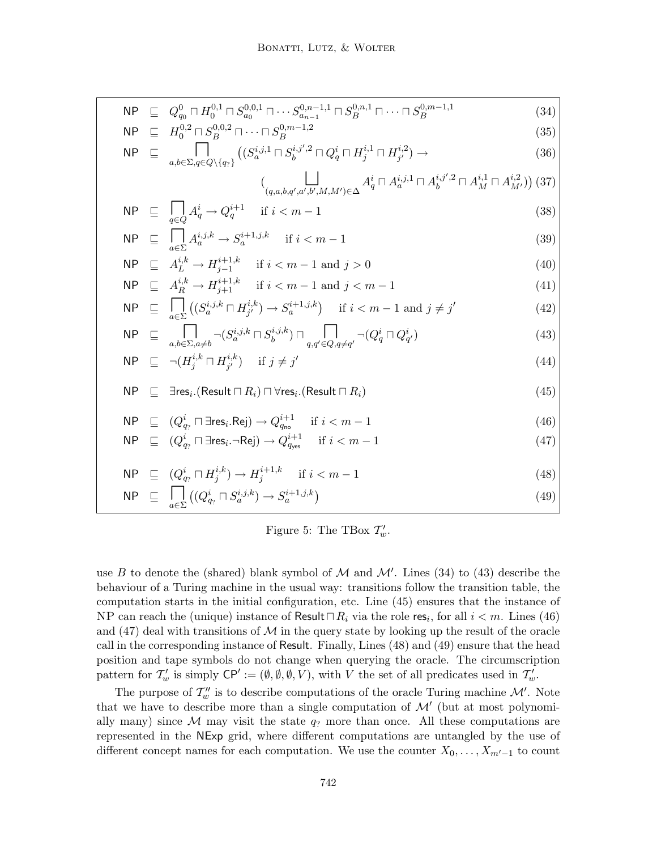$$
NP \subseteq Q_{q_0}^0 \sqcap H_0^{0,1} \sqcap S_{a_0}^{0,0,1} \sqcap \cdots S_{a_{n-1}}^{0,n-1,1} \sqcap S_B^{0,n,1} \sqcap \cdots \sqcap S_B^{0,m-1,1}
$$
\n
$$
ND \sqsubset H_0^{0,2} \sqcap S_0^{0,0,2} \sqcap \cdots \sqcap S_0^{0,m-1,2}
$$
\n(34)

$$
NP \subseteq H_0^{0,2} \cap S_B^{0,0,2} \cap \cdots \cap S_B^{0,m-1,2}
$$
\n
$$
NP \subseteq \prod_{i,k \in \mathbb{N}} \bigcap_{i \in \mathbb{N}} \big( (S_a^{i,j,1} \cap S_b^{i,j',2} \cap Q_q^i \cap H_j^{i,1} \cap H_{j'}^{i,2}) \to \big(36)
$$

$$
\mathsf{VP} \quad \sqsubseteq \quad \bigcup_{a,b \in \Sigma, q \in Q \setminus \{q_? \}} \left( (S_a^{i,j,1} \sqcap S_b^{i,j',2} \sqcap Q_q^i \sqcap H_j^{i,1} \sqcap H_{j'}^{i,2}) \to \right) \tag{36}
$$

$$
\big(\bigsqcup_{(q,a,b,q',a',b',M,M')\in\Delta} A_q^i \sqcap A_a^{i,j,1} \sqcap A_b^{i,j',2} \sqcap A_M^{i,1} \sqcap A_{M'}^{i,2}\big)\big) (37)
$$

$$
\mathsf{NP} \quad \sqsubseteq \quad \bigcap_{q \in Q} A_q^i \to Q_q^{i+1} \quad \text{if } i < m-1 \tag{38}
$$

$$
\mathsf{NP} \quad \sqsubseteq \quad \bigcap_{a \in \Sigma} A_a^{i,j,k} \to S_a^{i+1,j,k} \quad \text{if } i < m-1 \tag{39}
$$

$$
\mathsf{NP} \ \sqsubseteq \ A_L^{i,k} \to H_{j-1}^{i+1,k} \quad \text{if } i < m-1 \text{ and } j > 0 \tag{40}
$$

$$
\mathsf{NP} \quad \sqsubseteq \quad A_R^{i,k} \to H_{j+1}^{i+1,k} \quad \text{if } i < m-1 \text{ and } j < m-1 \tag{41}
$$

$$
\mathsf{NP} \quad \sqsubseteq \quad \bigcap_{a \in \Sigma} \left( (S_a^{i,j,k} \sqcap H_{j'}^{i,k}) \to S_a^{i+1,j,k} \right) \quad \text{if } i < m-1 \text{ and } j \neq j' \tag{42}
$$

$$
\mathsf{NP} \quad \sqsubseteq \quad \bigcap_{a,b \in \Sigma, a \neq b} \neg (S_a^{i,j,k} \sqcap S_b^{i,j,k}) \sqcap \bigcap_{q,q' \in Q, q \neq q'} \neg (Q_q^i \sqcap Q_{q'}^i) \tag{43}
$$

$$
\mathsf{NP} \quad \sqsubseteq \quad \neg(H_j^{i,k} \sqcap H_{j'}^{i,k}) \quad \text{if } j \neq j' \tag{44}
$$

$$
\mathsf{NP} \quad \sqsubseteq \quad \exists \mathsf{res}_i. (\mathsf{Result} \sqcap R_i) \sqcap \forall \mathsf{res}_i. (\mathsf{Result} \sqcap R_i) \tag{45}
$$

$$
\mathsf{NP} \quad \sqsubseteq \quad (Q^i_{q_?} \sqcap \exists \mathsf{res}_i. \mathsf{Rej}) \to Q^{i+1}_{q_{\mathsf{no}}} \quad \text{if } i < m-1 \tag{46}
$$
\n
$$
\mathsf{one} \quad \sqsubset \quad (2^i) \quad \sqsubset \quad \sqcap \quad \sqcap \quad (3^i) \quad \sqcup \quad (4^i) \tag{47}
$$

$$
\mathsf{NP} \quad \sqsubseteq \quad (Q^i_{q_?} \sqcap \exists \mathsf{res}_i \ldots \sqcap \mathsf{Rej}) \to Q^{i+1}_{q_{\mathsf{yes}}} \quad \text{if } i < m-1 \tag{47}
$$

$$
\mathsf{NP} \quad \sqsubseteq \quad (Q^i_{q_?} \sqcap H^{i,k}_j) \to H^{i+1,k}_j \quad \text{if } i < m-1 \tag{48}
$$

$$
\mathsf{NP} \quad \sqsubseteq \quad \bigcap_{a \in \Sigma} \left( (Q^i_{q_2} \sqcap S^{i,j,k}_a) \to S^{i+1,j,k}_a \right) \tag{49}
$$

# Figure 5: The TBox  $\mathcal{T}'_w$ .

use B to denote the (shared) blank symbol of M and  $\mathcal{M}'$ . Lines (34) to (43) describe the behaviour of a Turing machine in the usual way: transitions follow the transition table, the computation starts in the initial configuration, etc. Line (45) ensures that the instance of NP can reach the (unique) instance of Result $\Box R_i$  via the role res<sub>i</sub>, for all  $i < m$ . Lines (46) and  $(47)$  deal with transitions of M in the query state by looking up the result of the oracle call in the corresponding instance of Result. Finally, Lines (48) and (49) ensure that the head position and tape symbols do not change when querying the oracle. The circumscription pattern for  $T'_w$  is simply  $\mathsf{CP}' := (\emptyset, \emptyset, \emptyset, V)$ , with V the set of all predicates used in  $T'_w$ .

The purpose of  $\mathcal{T}''_w$  is to describe computations of the oracle Turing machine  $\mathcal{M}'$ . Note that we have to describe more than a single computation of  $\mathcal{M}'$  (but at most polynomially many) since M may visit the state  $q_2$  more than once. All these computations are represented in the NExp grid, where different computations are untangled by the use of different concept names for each computation. We use the counter  $X_0, \ldots, X_{m'-1}$  to count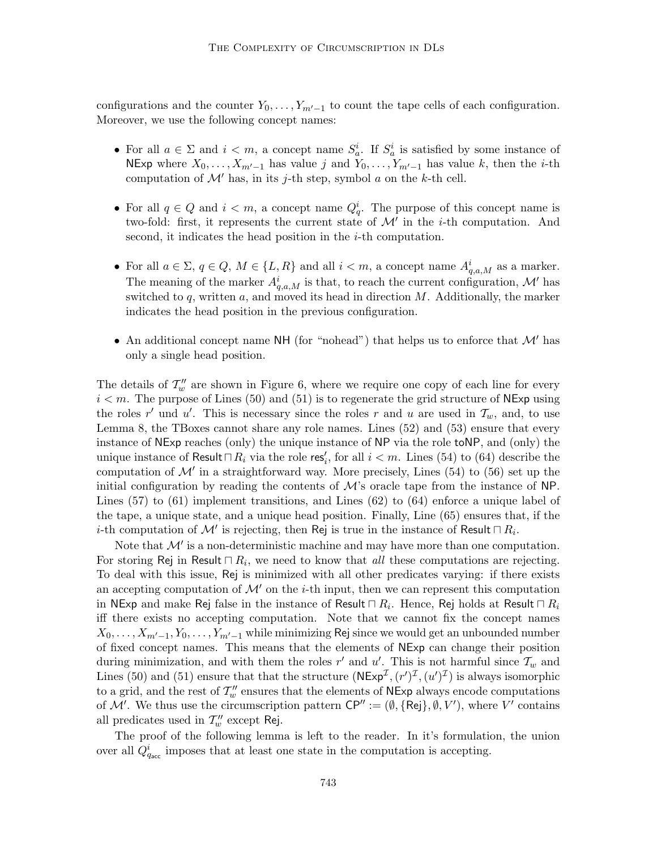configurations and the counter  $Y_0, \ldots, Y_{m'-1}$  to count the tape cells of each configuration. Moreover, we use the following concept names:

- For all  $a \in \Sigma$  and  $i < m$ , a concept name  $S_a^i$ . If  $S_a^i$  is satisfied by some instance of NExp where  $X_0, \ldots, X_{m'-1}$  has value j and  $Y_0, \ldots, Y_{m'-1}$  has value k, then the i-th computation of  $\mathcal{M}'$  has, in its j-th step, symbol a on the k-th cell.
- For all  $q \in Q$  and  $i < m$ , a concept name  $Q_q^i$ . The purpose of this concept name is two-fold: first, it represents the current state of  $\mathcal{M}'$  in the *i*-th computation. And second, it indicates the head position in the *i*-th computation.
- For all  $a \in \Sigma$ ,  $q \in Q$ ,  $M \in \{L, R\}$  and all  $i < m$ , a concept name  $A_{q,a,M}^i$  as a marker. The meaning of the marker  $A_{q,a,M}^i$  is that, to reach the current configuration, M' has switched to  $q$ , written  $a$ , and moved its head in direction  $M$ . Additionally, the marker indicates the head position in the previous configuration.
- An additional concept name NH (for "nohead") that helps us to enforce that  $\mathcal{M}'$  has only a single head position.

The details of  $\mathcal{T}''_w$  are shown in Figure 6, where we require one copy of each line for every  $i < m$ . The purpose of Lines (50) and (51) is to regenerate the grid structure of NExp using the roles r' und u'. This is necessary since the roles r and u are used in  $\mathcal{T}_w$ , and, to use Lemma 8, the TBoxes cannot share any role names. Lines (52) and (53) ensure that every instance of NExp reaches (only) the unique instance of NP via the role toNP, and (only) the unique instance of Result $\Box R_i$  via the role res<sup>t</sup><sub>i</sub>, for all  $i < m$ . Lines (54) to (64) describe the computation of  $\mathcal{M}'$  in a straightforward way. More precisely, Lines (54) to (56) set up the initial configuration by reading the contents of  $\mathcal{M}$ 's oracle tape from the instance of NP. Lines (57) to (61) implement transitions, and Lines (62) to (64) enforce a unique label of the tape, a unique state, and a unique head position. Finally, Line (65) ensures that, if the *i*-th computation of  $\mathcal{M}'$  is rejecting, then Rej is true in the instance of Result  $\Box R_i$ .

Note that  $\mathcal{M}'$  is a non-deterministic machine and may have more than one computation. For storing Rej in Result  $\sqcap R_i$ , we need to know that *all* these computations are rejecting. To deal with this issue, Rej is minimized with all other predicates varying: if there exists an accepting computation of  $\mathcal{M}'$  on the *i*-th input, then we can represent this computation in NExp and make Rej false in the instance of Result  $\sqcap$   $R_i.$  Hence, Rej holds at Result  $\sqcap$   $R_i$ iff there exists no accepting computation. Note that we cannot fix the concept names  $X_0, \ldots, X_{m'-1}, Y_0, \ldots, Y_{m'-1}$  while minimizing Rej since we would get an unbounded number of fixed concept names. This means that the elements of NExp can change their position during minimization, and with them the roles  $r'$  and  $u'$ . This is not harmful since  $\mathcal{T}_w$  and Lines (50) and (51) ensure that that the structure  $(NExp^{\mathcal{I}}, (r')^{\mathcal{I}}, (u')^{\mathcal{I}})$  is always isomorphic to a grid, and the rest of  $\mathcal{T}''_w$  ensures that the elements of  ${\sf NExp}$  always encode computations of M'. We thus use the circumscription pattern  $\mathsf{CP}'' := (\emptyset, \{\mathsf{Rej}\}, \emptyset, V')$ , where V' contains all predicates used in  $\mathcal{T}''_w$  except Rej.

The proof of the following lemma is left to the reader. In it's formulation, the union over all  $Q_{q_{\text{acc}}}^{i}$  imposes that at least one state in the computation is accepting.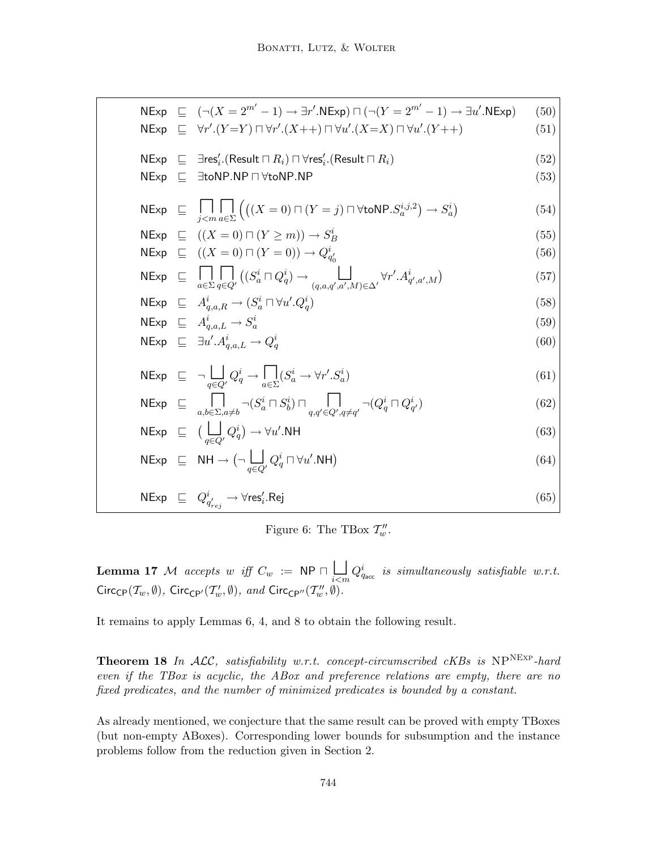NExp ⌆ (−(X = 2<sup>*m'*</sup> − 1) → ∃*r'*.NExp) ∩ (−(Y = 2<sup>*m'*</sup> − 1) → ∃*u'*.NExp) (50)  
\nNExp ⌒ ∃*rr'*.(Y = Y) ∩ ∀*r'*.(X + +) ∩ ∀*u'*.(X = X) ∩ ∀*u'*.(Y + +) (51)  
\nNExp ⓑ ∑res<sub>i</sub>.(Result ∩ R<sub>i</sub>) ∩ ∀res<sub>i</sub>.(Result ∩ R<sub>i</sub>) (52)  
\nNExp ⓑ ∃*st* ∩ (X = 0) ∩ (Y = *j*) ∩ ∀*to* NP. S<sub>a</sub><sup>*i*</sup>, 3) (53)  
\nNExp ⌒ ( (X = 0) ∩ (Y ≥ *m*)) → S<sub>B</sub><sup>*i*</sup> (55)  
\nNExp ⓑ (X = 0) ∩ (Y ≥ *m*)) → S<sub>B</sub><sup>*i*</sup> (56)  
\nNExp ⓑ (X = 0) ∩ (Y = 0)) → Q<sub>q'<sub>0</sub></sub>' (56)  
\nNExp ⓑ ∑<sub>a∈Σ</sub> q ∈ Q' (S<sub>a</sub><sup>*i*</sup> ∩ Q<sub>q</sub><sup>*j*</sup>) → (q<sub>a,a,a',a',M) (57)  
\nNExp ⓑ ∠ A<sub>q,a,B</sub> → (S<sub>a</sub><sup>*i*</sup> ∩ W' . Q<sub>q</sub><sup>*j*</sup>) (59)  
\nNExp ⓑ ∑ A<sub>q,a,B</sub> → (S<sub>a</sub><sup>*i*</sup> ∩ W' . Q<sub>q</sub><sup>*j*</sup>) (60)  
\nNExp ⓑ ∑ A<sub>q,a,B</sub> → S<sub>a</sub><sup>*i*</sup> (69)  
\nNExp ⓑ ∃ 
$$
\frac{1}{q_{a,a,B}
$$
 → S<sub>a</sub><sup>*i*</sup> (69)  
\nNExp ⓑ √  $\frac{1}{q_{a,a,B}}$  → S<sub>a</sub><sup>*i*</sup> (69)  
\nNExp ⓑ ⓑ ∑  $\frac{$</sub> 

Figure 6: The TBox  $\mathcal{T}''_w$ .

**Lemma 17** M accepts w iff  $C_w$  := NP  $\Box \bigcup_{i \leq m} Q_{q_{\text{acc}}}^i$  is simultaneously satisfiable w.r.t.  $Circ_{\mathsf{CP}}(\mathcal{T}_w, \emptyset)$ ,  $Circ_{\mathsf{CP}'}(\mathcal{T}_w', \emptyset)$ , and  $Circ_{\mathsf{CP}''}(\mathcal{T}_w'', \emptyset)$ .

It remains to apply Lemmas 6, 4, and 8 to obtain the following result.

**Theorem 18** In  $ALC$ , satisfiability w.r.t. concept-circumscribed cKBs is  $NP^{NEXP}$ -hard even if the TBox is acyclic, the ABox and preference relations are empty, there are no fixed predicates, and the number of minimized predicates is bounded by a constant.

As already mentioned, we conjecture that the same result can be proved with empty TBoxes (but non-empty ABoxes). Corresponding lower bounds for subsumption and the instance problems follow from the reduction given in Section 2.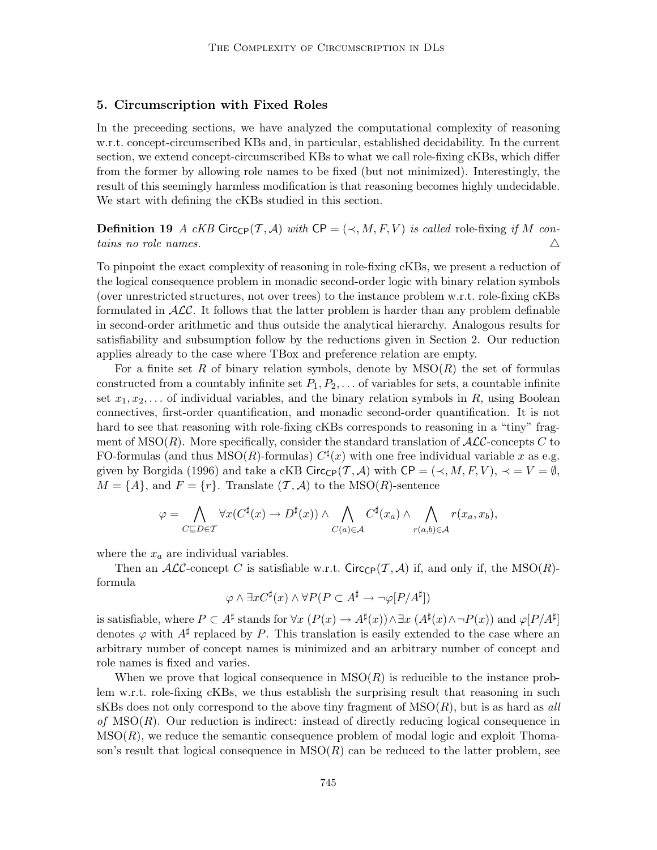### 5. Circumscription with Fixed Roles

In the preceeding sections, we have analyzed the computational complexity of reasoning w.r.t. concept-circumscribed KBs and, in particular, established decidability. In the current section, we extend concept-circumscribed KBs to what we call role-fixing cKBs, which differ from the former by allowing role names to be fixed (but not minimized). Interestingly, the result of this seemingly harmless modification is that reasoning becomes highly undecidable. We start with defining the cKBs studied in this section.

**Definition 19** A cKB Circ<sub>CP</sub> $(T, \mathcal{A})$  with CP =  $(\prec, M, F, V)$  is called role-fixing if M contains no role names.  $\Delta$ 

To pinpoint the exact complexity of reasoning in role-fixing cKBs, we present a reduction of the logical consequence problem in monadic second-order logic with binary relation symbols (over unrestricted structures, not over trees) to the instance problem w.r.t. role-fixing cKBs formulated in  $\text{ALC}$ . It follows that the latter problem is harder than any problem definable in second-order arithmetic and thus outside the analytical hierarchy. Analogous results for satisfiability and subsumption follow by the reductions given in Section 2. Our reduction applies already to the case where TBox and preference relation are empty.

For a finite set R of binary relation symbols, denote by  $MSO(R)$  the set of formulas constructed from a countably infinite set  $P_1, P_2, \ldots$  of variables for sets, a countable infinite set  $x_1, x_2, \ldots$  of individual variables, and the binary relation symbols in R, using Boolean connectives, first-order quantification, and monadic second-order quantification. It is not hard to see that reasoning with role-fixing cKBs corresponds to reasoning in a "tiny" fragment of  $MSO(R)$ . More specifically, consider the standard translation of  $\mathcal{ALC}$ -concepts C to FO-formulas (and thus  $MSO(R)$ -formulas)  $C^{\sharp}(x)$  with one free individual variable x as e.g. given by Borgida (1996) and take a cKB Circ<sub>CP</sub> $(\mathcal{T}, \mathcal{A})$  with CP =  $(\prec, M, F, V)$ ,  $\prec = V = \emptyset$ ,  $M = \{A\}$ , and  $F = \{r\}$ . Translate  $(\mathcal{T}, \mathcal{A})$  to the MSO(R)-sentence

$$
\varphi = \bigwedge_{C \subseteq D \in \mathcal{T}} \forall x (C^{\sharp}(x) \to D^{\sharp}(x)) \land \bigwedge_{C(a) \in \mathcal{A}} C^{\sharp}(x_a) \land \bigwedge_{r(a,b) \in \mathcal{A}} r(x_a, x_b),
$$

where the  $x_a$  are individual variables.

Then an ALC-concept C is satisfiable w.r.t. Circ<sub>CP</sub>(T, A) if, and only if, the MSO(R)formula

$$
\varphi \wedge \exists x C^{\sharp}(x) \wedge \forall P (P \subset A^{\sharp} \to \neg \varphi [P/A^{\sharp}])
$$

is satisfiable, where  $P \subset A^{\sharp}$  stands for  $\forall x \ (P(x) \to A^{\sharp}(x)) \land \exists x \ (A^{\sharp}(x) \land \neg P(x))$  and  $\varphi[P/A^{\sharp}]$ denotes  $\varphi$  with  $A^{\sharp}$  replaced by P. This translation is easily extended to the case where an arbitrary number of concept names is minimized and an arbitrary number of concept and role names is fixed and varies.

When we prove that logical consequence in  $MSO(R)$  is reducible to the instance problem w.r.t. role-fixing cKBs, we thus establish the surprising result that reasoning in such sKBs does not only correspond to the above tiny fragment of  $MSO(R)$ , but is as hard as all of  $MSO(R)$ . Our reduction is indirect: instead of directly reducing logical consequence in  $MSO(R)$ , we reduce the semantic consequence problem of modal logic and exploit Thomason's result that logical consequence in  $MSO(R)$  can be reduced to the latter problem, see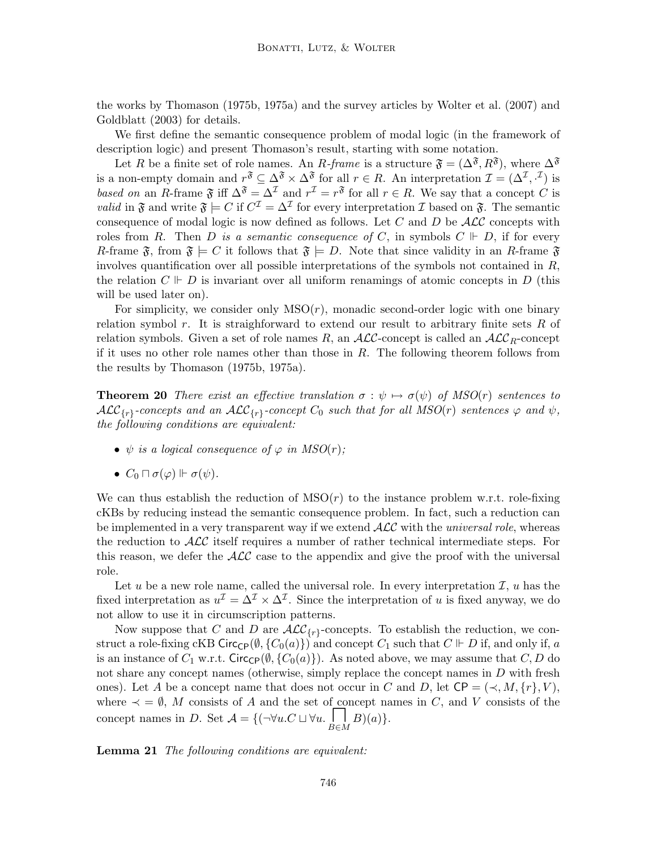the works by Thomason (1975b, 1975a) and the survey articles by Wolter et al. (2007) and Goldblatt (2003) for details.

We first define the semantic consequence problem of modal logic (in the framework of description logic) and present Thomason's result, starting with some notation.

Let R be a finite set of role names. An R-frame is a structure  $\mathfrak{F} = (\Delta^{\mathfrak{F}}, R^{\mathfrak{F}})$ , where  $\Delta^{\mathfrak{F}}$ is a non-empty domain and  $r^{\mathfrak{F}} \subseteq \Delta^{\mathfrak{F}} \times \Delta^{\mathfrak{F}}$  for all  $r \in R$ . An interpretation  $\mathcal{I} = (\Delta^{\mathcal{I}}, \cdot^{\mathcal{I}})$  is based on an R-frame  $\mathfrak{F}$  iff  $\Delta^{\mathfrak{F}} = \Delta^{\mathcal{I}}$  and  $r^{\mathcal{I}} = r^{\mathfrak{F}}$  for all  $r \in R$ . We say that a concept C is *valid* in  $\mathfrak{F}$  and write  $\mathfrak{F} \models C$  if  $C^{\mathcal{I}} = \Delta^{\mathcal{I}}$  for every interpretation  $\mathcal{I}$  based on  $\mathfrak{F}$ . The semantic consequence of modal logic is now defined as follows. Let  $C$  and  $D$  be  $\mathcal{ALC}$  concepts with roles from R. Then D is a semantic consequence of C, in symbols  $C \Vdash D$ , if for every R-frame  $\mathfrak{F}$ , from  $\mathfrak{F} \models C$  it follows that  $\mathfrak{F} \models D$ . Note that since validity in an R-frame  $\mathfrak{F}$ involves quantification over all possible interpretations of the symbols not contained in  $R$ , the relation  $C \Vdash D$  is invariant over all uniform renamings of atomic concepts in D (this will be used later on).

For simplicity, we consider only  $MSO(r)$ , monadic second-order logic with one binary relation symbol  $r$ . It is straighforward to extend our result to arbitrary finite sets  $R$  of relation symbols. Given a set of role names R, an  $\mathcal{ALC}_\text{c}$ -concept is called an  $\mathcal{ALC}_R$ -concept if it uses no other role names other than those in  $R$ . The following theorem follows from the results by Thomason (1975b, 1975a).

**Theorem 20** There exist an effective translation  $\sigma : \psi \mapsto \sigma(\psi)$  of MSO(r) sentences to  $\mathcal{ALC}_{\{r\}}$ -concepts and an  $\mathcal{ALC}_{\{r\}}$ -concept  $C_0$  such that for all  $MSO(r)$  sentences  $\varphi$  and  $\psi$ , the following conditions are equivalent:

- $\psi$  is a logical consequence of  $\varphi$  in MSO(r);
- $C_0 \sqcap \sigma(\varphi) \Vdash \sigma(\psi)$ .

We can thus establish the reduction of  $MSO(r)$  to the instance problem w.r.t. role-fixing cKBs by reducing instead the semantic consequence problem. In fact, such a reduction can be implemented in a very transparent way if we extend  $\mathcal{ALC}$  with the *universal role*, whereas the reduction to  $\mathcal{ALC}$  itself requires a number of rather technical intermediate steps. For this reason, we defer the  $\mathcal{ALC}$  case to the appendix and give the proof with the universal role.

Let u be a new role name, called the universal role. In every interpretation  $\mathcal{I}, u$  has the fixed interpretation as  $u^{\mathcal{I}} = \Delta^{\mathcal{I}} \times \Delta^{\mathcal{I}}$ . Since the interpretation of u is fixed anyway, we do not allow to use it in circumscription patterns.

Now suppose that C and D are  $\mathcal{ALC}_{\{r\}}$ -concepts. To establish the reduction, we construct a role-fixing cKB Circ<sub>CP</sub>( $\emptyset$ , {C<sub>0</sub>(a)}) and concept C<sub>1</sub> such that C  $\mathbb{F}$  D if, and only if, a is an instance of  $C_1$  w.r.t. Circ<sub>CP</sub>( $\emptyset$ , { $C_0(a)$ }). As noted above, we may assume that  $C, D$  do not share any concept names (otherwise, simply replace the concept names in  $D$  with fresh ones). Let A be a concept name that does not occur in C and D, let  $\mathsf{CP} = (\prec, M, \{r\}, V)$ , where  $\prec$  =  $\emptyset$ , M consists of A and the set of concept names in C, and V consists of the concept names in D. Set  $A = \{(\neg \forall u.C \sqcup \forall u.\begin{bmatrix} \neg B \\ \neg B \in M \end{bmatrix}B)(a)\}.$ 

Lemma 21 The following conditions are equivalent: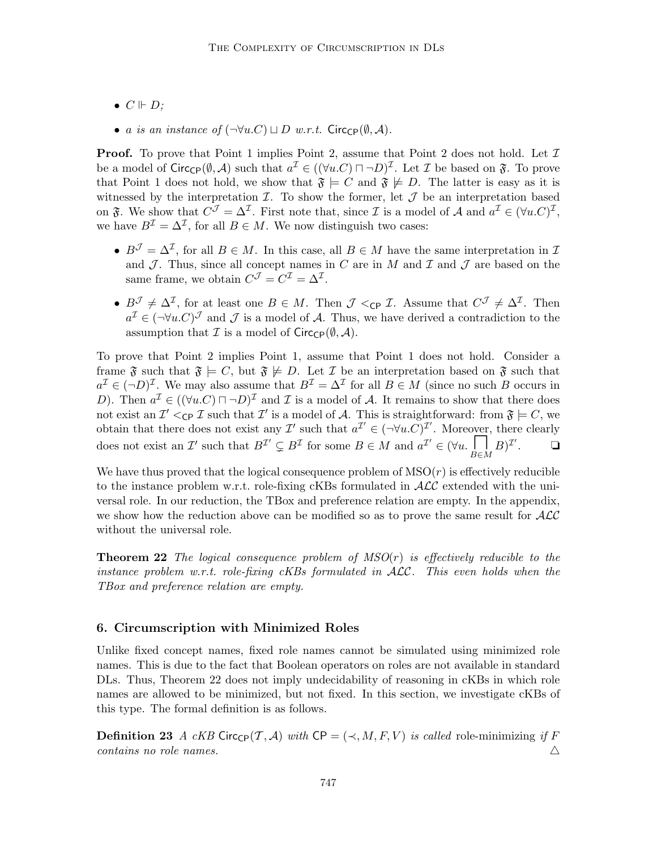- $\bullet \ C \Vdash D;$
- a is an instance of  $(\neg \forall u.C) \sqcup D$  w.r.t. Circ<sub>CP</sub>( $\emptyset$ , A).

**Proof.** To prove that Point 1 implies Point 2, assume that Point 2 does not hold. Let  $\mathcal{I}$ be a model of  $Circ_{\mathbb{CP}}(\emptyset, \mathcal{A})$  such that  $a^{\mathcal{I}} \in ((\forall u.C) \sqcap \neg D)^{\mathcal{I}}$ . Let  $\mathcal{I}$  be based on  $\mathfrak{F}$ . To prove that Point 1 does not hold, we show that  $\mathfrak{F} \models C$  and  $\mathfrak{F} \not\models D$ . The latter is easy as it is witnessed by the interpretation  $\mathcal{I}$ . To show the former, let  $\mathcal{J}$  be an interpretation based on  $\mathfrak{F}$ . We show that  $C^{\mathcal{J}} = \Delta^{\mathcal{I}}$ . First note that, since  $\mathcal{I}$  is a model of A and  $a^{\mathcal{I}} \in (\forall u.C)^{\mathcal{I}}$ , we have  $B^{\mathcal{I}} = \Delta^{\mathcal{I}}$ , for all  $B \in M$ . We now distinguish two cases:

- $B^{\mathcal{J}} = \Delta^{\mathcal{I}}$ , for all  $B \in M$ . In this case, all  $B \in M$  have the same interpretation in  $\mathcal{I}$ and  $\mathcal J$ . Thus, since all concept names in C are in M and  $\mathcal I$  and  $\mathcal J$  are based on the same frame, we obtain  $C^{\mathcal{J}} = C^{\mathcal{I}} = \Delta^{\mathcal{I}}$ .
- $B^{\mathcal{J}} \neq \Delta^{\mathcal{I}}$ , for at least one  $B \in M$ . Then  $\mathcal{J} <_{\mathsf{CP}} \mathcal{I}$ . Assume that  $C^{\mathcal{J}} \neq \Delta^{\mathcal{I}}$ . Then  $a^{\mathcal{I}} \in (\neg \forall u \ldotp C)^{\mathcal{J}}$  and  $\mathcal{J}$  is a model of A. Thus, we have derived a contradiction to the assumption that  $\mathcal I$  is a model of  $Circ_{\mathsf{CP}}(\emptyset, \mathcal A)$ .

To prove that Point 2 implies Point 1, assume that Point 1 does not hold. Consider a frame  $\mathfrak{F}$  such that  $\mathfrak{F} \models C$ , but  $\mathfrak{F} \not\models D$ . Let  $\mathcal I$  be an interpretation based on  $\mathfrak{F}$  such that  $a^{\mathcal{I}} \in (\neg D)^{\mathcal{I}}$ . We may also assume that  $B^{\mathcal{I}} = \Delta^{\mathcal{I}}$  for all  $B \in M$  (since no such B occurs in D). Then  $a^{\mathcal{I}} \in ((\forall u.C) \sqcap \neg D)^{\mathcal{I}}$  and  $\mathcal{I}$  is a model of A. It remains to show that there does not exist an  $\mathcal{I}' <_{\mathsf{CP}} \mathcal{I}$  such that  $\mathcal{I}'$  is a model of A. This is straightforward: from  $\mathfrak{F} \models C$ , we obtain that there does not exist any  $\mathcal{I}'$  such that  $a^{\mathcal{I}'} \in (\neg \forall u \cdot C)^{\mathcal{I}'}$ . Moreover, there clearly does not exist an I' such that  $B^{\mathcal{I}'} \subsetneq B^{\mathcal{I}}$  for some  $B \in M$  and  $a^{\mathcal{I}'} \in (\forall u \cdot \prod_{B \in M} B)^{\mathcal{I}'}$  $\Box$ 

We have thus proved that the logical consequence problem of  $MSO(r)$  is effectively reducible to the instance problem w.r.t. role-fixing cKBs formulated in  $\text{ALC}$  extended with the universal role. In our reduction, the TBox and preference relation are empty. In the appendix, we show how the reduction above can be modified so as to prove the same result for  $\mathcal{ALC}$ without the universal role.

**Theorem 22** The logical consequence problem of  $MSO(r)$  is effectively reducible to the instance problem w.r.t. role-fixing cKBs formulated in ALC. This even holds when the TBox and preference relation are empty.

#### 6. Circumscription with Minimized Roles

Unlike fixed concept names, fixed role names cannot be simulated using minimized role names. This is due to the fact that Boolean operators on roles are not available in standard DLs. Thus, Theorem 22 does not imply undecidability of reasoning in cKBs in which role names are allowed to be minimized, but not fixed. In this section, we investigate cKBs of this type. The formal definition is as follows.

**Definition 23** A cKB Circ<sub>CP</sub>(T, A) with CP = ( $\prec$ , M, F, V) is called role-minimizing if F contains no role names.  $\Delta$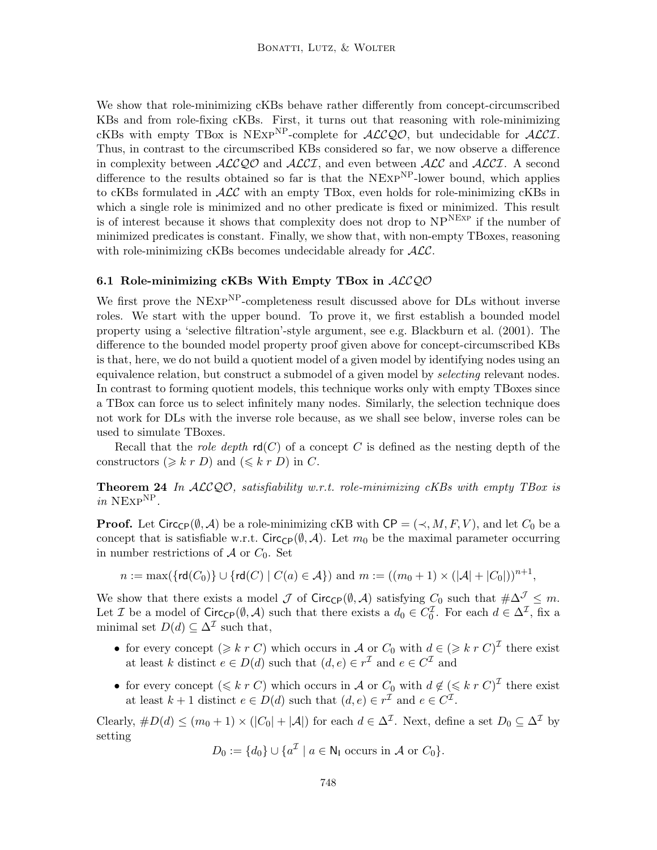We show that role-minimizing cKBs behave rather differently from concept-circumscribed KBs and from role-fixing cKBs. First, it turns out that reasoning with role-minimizing cKBs with empty TBox is NEXP<sup>NP</sup>-complete for  $\mathcal{ALCQO}$ , but undecidable for  $\mathcal{ALCI}$ . Thus, in contrast to the circumscribed KBs considered so far, we now observe a difference in complexity between  $\text{ALCQO}$  and  $\text{ALCI}$ , and even between  $\text{ALC}$  and  $\text{ALCI}$ . A second difference to the results obtained so far is that the  $NExp^{NP}$ -lower bound, which applies to cKBs formulated in  $\mathcal{ALC}$  with an empty TBox, even holds for role-minimizing cKBs in which a single role is minimized and no other predicate is fixed or minimized. This result is of interest because it shows that complexity does not drop to  $NP^{NEXP}$  if the number of minimized predicates is constant. Finally, we show that, with non-empty TBoxes, reasoning with role-minimizing cKBs becomes undecidable already for  $ALC$ .

#### 6.1 Role-minimizing cKBs With Empty TBox in  $ALCQO$

We first prove the NEXP<sup>NP</sup>-completeness result discussed above for DLs without inverse roles. We start with the upper bound. To prove it, we first establish a bounded model property using a 'selective filtration'-style argument, see e.g. Blackburn et al. (2001). The difference to the bounded model property proof given above for concept-circumscribed KBs is that, here, we do not build a quotient model of a given model by identifying nodes using an equivalence relation, but construct a submodel of a given model by *selecting* relevant nodes. In contrast to forming quotient models, this technique works only with empty TBoxes since a TBox can force us to select infinitely many nodes. Similarly, the selection technique does not work for DLs with the inverse role because, as we shall see below, inverse roles can be used to simulate TBoxes.

Recall that the *role depth*  $rd(C)$  of a concept C is defined as the nesting depth of the constructors  $(\geqslant k r D)$  and  $(\leqslant k r D)$  in C.

**Theorem 24** In  $ALCQO$ , satisfiability w.r.t. role-minimizing cKBs with empty TBox is in  $NExp^{NP}$ .

**Proof.** Let Circ<sub>CP</sub>( $\emptyset$ , A) be a role-minimizing cKB with CP = ( $\prec$ , M, F, V), and let  $C_0$  be a concept that is satisfiable w.r.t. Circ<sub>CP</sub>( $\emptyset$ , *A*). Let  $m_0$  be the maximal parameter occurring in number restrictions of  $A$  or  $C_0$ . Set

$$
n := \max(\{\text{rd}(C_0)\} \cup \{\text{rd}(C) \mid C(a) \in \mathcal{A}\}) \text{ and } m := ((m_0 + 1) \times (|\mathcal{A}| + |C_0|))^{n+1},
$$

We show that there exists a model  $\mathcal J$  of Circ<sub>CP</sub>( $\emptyset$ , A) satisfying  $C_0$  such that  $\#\Delta^{\mathcal J} \leq m$ . Let *I* be a model of  $Circ_{\mathbb{C}P}(\emptyset, \mathcal{A})$  such that there exists a  $d_0 \in C_0^{\mathcal{I}}$ . For each  $d \in \Delta^{\mathcal{I}}$ , fix a minimal set  $D(d) \subseteq \Delta^{\mathcal{I}}$  such that,

- for every concept  $(\geq k r C)$  which occurs in A or  $C_0$  with  $d \in (\geq k r C)^{\mathcal{I}}$  there exist at least k distinct  $e \in D(d)$  such that  $(d, e) \in r^{\mathcal{I}}$  and  $e \in C^{\mathcal{I}}$  and
- for every concept  $(\leq k r C)$  which occurs in A or  $C_0$  with  $d \notin (\leq k r C)^{\mathcal{I}}$  there exist at least  $k + 1$  distinct  $e \in D(d)$  such that  $(d, e) \in r^{\mathcal{I}}$  and  $e \in C^{\mathcal{I}}$ .

Clearly,  $\#D(d) \leq (m_0 + 1) \times (|C_0| + |\mathcal{A}|)$  for each  $d \in \Delta^{\mathcal{I}}$ . Next, define a set  $D_0 \subseteq \Delta^{\mathcal{I}}$  by setting

$$
D_0 := \{d_0\} \cup \{a^{\mathcal{I}} \mid a \in \mathsf{N}_1 \text{ occurs in } \mathcal{A} \text{ or } C_0\}.
$$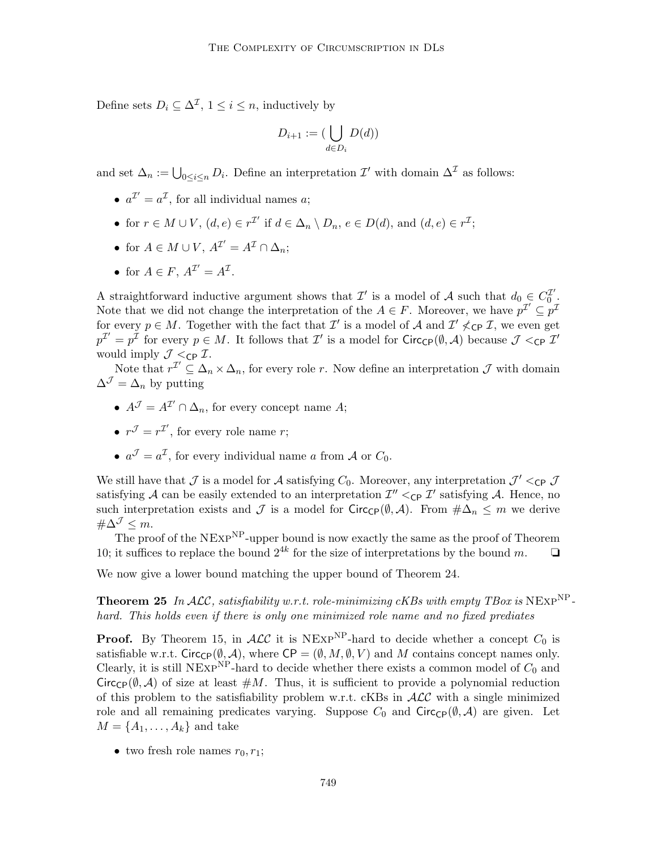Define sets  $D_i \subseteq \Delta^{\mathcal{I}}$ ,  $1 \leq i \leq n$ , inductively by

$$
D_{i+1} := (\bigcup_{d \in D_i} D(d))
$$

and set  $\Delta_n := \bigcup_{0 \leq i \leq n} D_i$ . Define an interpretation  $\mathcal{I}'$  with domain  $\Delta^{\mathcal{I}}$  as follows:

- $a^{\mathcal{I}'} = a^{\mathcal{I}}$ , for all individual names a;
- for  $r \in M \cup V$ ,  $(d, e) \in r^{\mathcal{I}'}$  if  $d \in \Delta_n \setminus D_n$ ,  $e \in D(d)$ , and  $(d, e) \in r^{\mathcal{I}}$ ;
- for  $A \in M \cup V$ ,  $A^{\mathcal{I}'} = A^{\mathcal{I}} \cap \Delta_n$ ;
- for  $A \in F$ ,  $A^{\mathcal{I}'} = A^{\mathcal{I}}$ .

A straightforward inductive argument shows that  $\mathcal{I}'$  is a model of  $\mathcal{A}$  such that  $d_0 \in C_0^{\mathcal{I}'}$  $\begin{smallmatrix} 1' \ 0 \end{smallmatrix}$  . Note that we did not change the interpretation of the  $A \in F$ . Moreover, we have  $p^{\mathcal{I}'} \subseteq p^{\mathcal{I}}$ for every  $p \in M$ . Together with the fact that  $\mathcal{I}'$  is a model of  $\mathcal{A}$  and  $\mathcal{I}' \nless_{\mathsf{CP}} \mathcal{I}$ , we even get  $p^{\mathcal{I}'}=p^{\bar{\mathcal{I}}}$  for every  $p\in M$ . It follows that  $\mathcal{I}'$  is a model for Circ<sub>CP</sub>( $\emptyset$ , A) because  $\mathcal{J}<_{\text{CP}}\mathcal{I}'$ would imply  $\mathcal{J} <_{\mathsf{CP}} \mathcal{I}$ .

Note that  $r^{\mathcal{I}}' \subseteq \Delta_n \times \Delta_n$ , for every role r. Now define an interpretation  $\mathcal{J}$  with domain  $\Delta^{\mathcal{J}} = \Delta_n$  by putting

- $A^{\mathcal{J}} = A^{\mathcal{I}'} \cap \Delta_n$ , for every concept name A;
- $r^{\mathcal{J}} = r^{\mathcal{I}'},$  for every role name r;
- $a^{\mathcal{J}} = a^{\mathcal{I}}$ , for every individual name a from A or  $C_0$ .

We still have that  $\mathcal J$  is a model for  $\mathcal A$  satisfying  $C_0$ . Moreover, any interpretation  $\mathcal J' <_{\mathsf{CP}} \mathcal J$ satisfying A can be easily extended to an interpretation  $\mathcal{I}''<_{\mathsf{CP}} \mathcal{I}'$  satisfying A. Hence, no such interpretation exists and  $\mathcal J$  is a model for Circ<sub>CP</sub>( $\emptyset, \mathcal A$ ). From  $\#\Delta_n \leq m$  we derive  $\#\Delta^{\mathcal{J}} \leq m$ .

The proof of the NEXP<sup>NP</sup>-upper bound is now exactly the same as the proof of Theorem 10; it suffices to replace the bound  $2^{4k}$  for the size of interpretations by the bound m.  $\Box$ 

We now give a lower bound matching the upper bound of Theorem 24.

**Theorem 25** In ALC, satisfiability w.r.t. role-minimizing cKBs with empty TBox is NEXP<sup>NP</sup>hard. This holds even if there is only one minimized role name and no fixed prediates

**Proof.** By Theorem 15, in  $ALC$  it is NEXP<sup>NP</sup>-hard to decide whether a concept  $C_0$  is satisfiable w.r.t. Circ<sub>CP</sub>( $(\emptyset, \mathcal{A})$ , where CP =  $(\emptyset, M, \emptyset, V)$  and M contains concept names only. Clearly, it is still NExp<sup>NP</sup>-hard to decide whether there exists a common model of  $C_0$  and Circ<sub>CP</sub>( $(\emptyset, \mathcal{A})$ ) of size at least  $\#M$ . Thus, it is sufficient to provide a polynomial reduction of this problem to the satisfiability problem w.r.t.  $\alpha$ KBs in  $\mathcal{ALC}$  with a single minimized role and all remaining predicates varying. Suppose  $C_0$  and Circ<sub>CP</sub>( $\emptyset$ , A) are given. Let  $M = \{A_1, \ldots, A_k\}$  and take

• two fresh role names  $r_0, r_1$ ;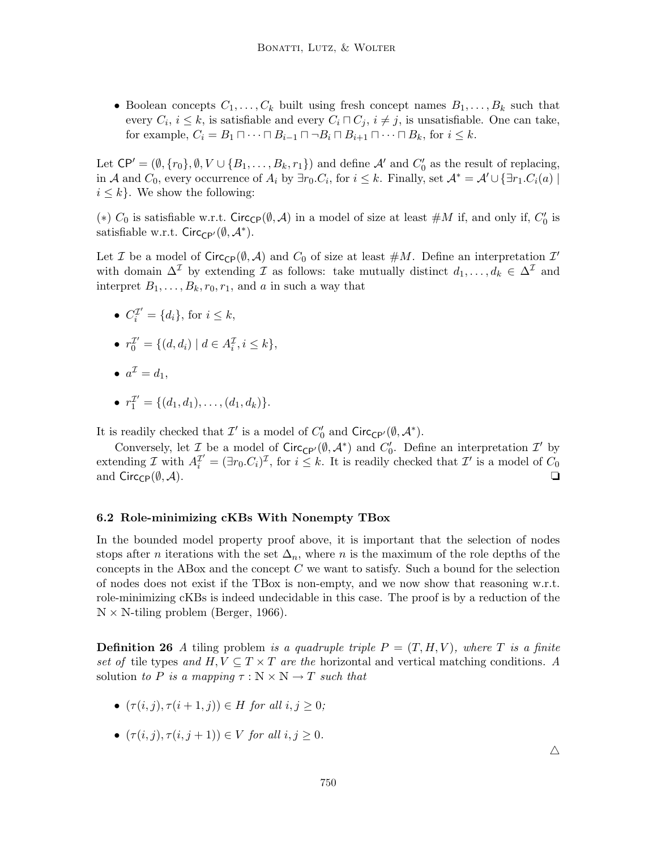• Boolean concepts  $C_1, \ldots, C_k$  built using fresh concept names  $B_1, \ldots, B_k$  such that every  $C_i$ ,  $i \leq k$ , is satisfiable and every  $C_i \sqcap C_j$ ,  $i \neq j$ , is unsatisfiable. One can take, for example,  $C_i = B_1 \sqcap \cdots \sqcap B_{i-1} \sqcap \neg B_i \sqcap B_{i+1} \sqcap \cdots \sqcap B_k$ , for  $i \leq k$ .

Let  $\mathsf{CP}' = (\emptyset, \{r_0\}, \emptyset, V \cup \{B_1, \ldots, B_k, r_1\})$  and define  $\mathcal{A}'$  and  $C'_0$  as the result of replacing, in A and  $C_0$ , every occurrence of  $A_i$  by  $\exists r_0.C_i$ , for  $i \leq k$ . Finally, set  $\mathcal{A}^* = \mathcal{A}' \cup {\exists r_1.C_i(a)}$  $i \leq k$ . We show the following:

(\*)  $C_0$  is satisfiable w.r.t. Circ<sub>CP</sub>( $\emptyset$ , A) in a model of size at least  $\#M$  if, and only if,  $C'_0$  is satisfiable w.r.t.  $Circ_{\mathsf{CP}'}(\emptyset, \mathcal{A}^*)$ .

Let *I* be a model of  $Circ_{\mathbb{CP}}(\emptyset, \mathcal{A})$  and  $C_0$  of size at least  $\#M$ . Define an interpretation  $\mathcal{I}'$ with domain  $\Delta^{\mathcal{I}}$  by extending  $\mathcal{I}$  as follows: take mutually distinct  $d_1, \ldots, d_k \in \Delta^{\mathcal{I}}$  and interpret  $B_1, \ldots, B_k, r_0, r_1$ , and a in such a way that

- $C_i^{\mathcal{I}'} = \{d_i\}$ , for  $i \leq k$ ,
- $r_0^{\mathcal{I}'} = \{ (d, d_i) \mid d \in A_i^{\mathcal{I}}, i \leq k \},\$
- $a^{\mathcal{I}}=d_1,$

• 
$$
r_1^{\mathcal{I}'} = \{(d_1, d_1), \ldots, (d_1, d_k)\}.
$$

It is readily checked that  $\mathcal{I}'$  is a model of  $C'_0$  and  $\text{Circ}_{\text{CP'}}(\emptyset, \mathcal{A}^*).$ 

Conversely, let  $\mathcal{I}$  be a model of Circ<sub>CP'</sub> $(\emptyset, \mathcal{A}^*)$  and  $C'_0$ . Define an interpretation  $\mathcal{I}'$  by extending  $\mathcal I$  with  $A_i^{\mathcal I'} = (\exists r_0.C_i)^{\mathcal I}$ , for  $i \leq k$ . It is readily checked that  $\mathcal I'$  is a model of  $C_0$ and  $Circ_{\mathsf{CP}}(\emptyset, \mathcal{A}).$   $\Box$ 

#### 6.2 Role-minimizing cKBs With Nonempty TBox

In the bounded model property proof above, it is important that the selection of nodes stops after *n* iterations with the set  $\Delta_n$ , where *n* is the maximum of the role depths of the concepts in the ABox and the concept  $C$  we want to satisfy. Such a bound for the selection of nodes does not exist if the TBox is non-empty, and we now show that reasoning w.r.t. role-minimizing cKBs is indeed undecidable in this case. The proof is by a reduction of the  $N \times N$ -tiling problem (Berger, 1966).

**Definition 26** A tiling problem is a quadruple triple  $P = (T, H, V)$ , where T is a finite set of tile types and  $H, V \subseteq T \times T$  are the horizontal and vertical matching conditions. A solution to P is a mapping  $\tau : \mathbb{N} \times \mathbb{N} \to T$  such that

- $(\tau(i, j), \tau(i+1, j)) \in H$  for all  $i, j \geq 0$ ;
- $(\tau(i, j), \tau(i, j+1)) \in V$  for all  $i, j \geq 0$ .

 $\triangle$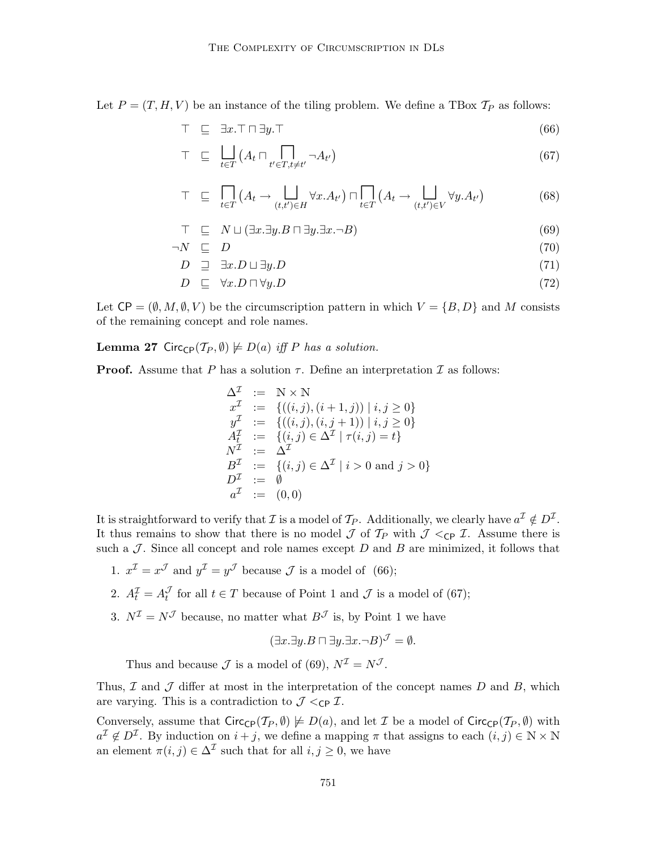Let  $P = (T, H, V)$  be an instance of the tiling problem. We define a TBox  $T_P$  as follows:

$$
\top \quad \sqsubseteq \quad \exists x. \top \sqcap \exists y. \top \tag{66}
$$

$$
\top \quad \sqsubseteq \quad \bigsqcup_{t \in T} \left( A_t \sqcap \bigcap_{t' \in T, t \neq t'} \neg A_{t'} \right) \tag{67}
$$

$$
\top \quad \sqsubseteq \quad \prod_{t \in T} \left( A_t \to \bigcup_{(t,t') \in H} \forall x. A_{t'} \right) \sqcap \prod_{t \in T} \left( A_t \to \bigcup_{(t,t') \in V} \forall y. A_{t'} \right) \tag{68}
$$

$$
\top \quad \sqsubseteq \quad N \sqcup (\exists x. \exists y. B \sqcap \exists y. \exists x. \neg B) \tag{69}
$$

$$
\neg N \quad \sqsubseteq \quad D \tag{70}
$$

$$
D \quad \supseteq \quad \exists x. D \sqcup \exists y. D \tag{71}
$$

$$
D \quad \sqsubseteq \quad \forall x. D \sqcap \forall y. D \tag{72}
$$

Let  $\mathsf{CP} = (\emptyset, M, \emptyset, V)$  be the circumscription pattern in which  $V = \{B, D\}$  and M consists of the remaining concept and role names.

**Lemma 27** Circ<sub>CP</sub> $(T_P, \emptyset) \not\models D(a)$  iff P has a solution.

**Proof.** Assume that P has a solution  $\tau$ . Define an interpretation  $\mathcal I$  as follows:

$$
\begin{array}{rcl}\n\Delta^{\mathcal{I}} & := & \mathbb{N} \times \mathbb{N} \\
x^{\mathcal{I}} & := & \{((i,j),(i+1,j)) \mid i,j \ge 0\} \\
y^{\mathcal{I}} & := & \{((i,j),(i,j+1)) \mid i,j \ge 0\} \\
A_t^{\mathcal{I}} & := & \{(i,j) \in \Delta^{\mathcal{I}} \mid \tau(i,j) = t\} \\
N^{\mathcal{I}} & := & \Delta^{\mathcal{I}} \\
B^{\mathcal{I}} & := & \{(i,j) \in \Delta^{\mathcal{I}} \mid i > 0 \text{ and } j > 0\} \\
D^{\mathcal{I}} & := & \emptyset \\
a^{\mathcal{I}} & := & (0,0)\n\end{array}
$$

It is straightforward to verify that  $\mathcal I$  is a model of  $\mathcal T_P$ . Additionally, we clearly have  $a^{\mathcal I}\notin D^{\mathcal I}$ . It thus remains to show that there is no model  $\mathcal J$  of  $\mathcal T_P$  with  $\mathcal J \lt_{\text{CP}} \mathcal I$ . Assume there is such a  $J$ . Since all concept and role names except  $D$  and  $B$  are minimized, it follows that

- 1.  $x^{\mathcal{I}} = x^{\mathcal{J}}$  and  $y^{\mathcal{I}} = y^{\mathcal{J}}$  because  $\mathcal{J}$  is a model of (66);
- 2.  $A_t^{\mathcal{I}} = A_t^{\mathcal{J}}$  for all  $t \in T$  because of Point 1 and  $\mathcal{J}$  is a model of (67);
- 3.  $N^{\mathcal{I}} = N^{\mathcal{J}}$  because, no matter what  $B^{\mathcal{J}}$  is, by Point 1 we have

$$
(\exists x.\exists y.B \sqcap \exists y.\exists x.\neg B)^{\mathcal{J}} = \emptyset.
$$

Thus and because  $\mathcal J$  is a model of (69),  $N^{\mathcal I} = N^{\mathcal J}$ .

Thus,  $\mathcal I$  and  $\mathcal J$  differ at most in the interpretation of the concept names  $D$  and  $B$ , which are varying. This is a contradiction to  $\mathcal{J} <_{\mathsf{CP}} \mathcal{I}$ .

Conversely, assume that  $Circ_{\mathbb{CP}}(\mathcal{T}_P, \emptyset) \not\models D(a)$ , and let  $\mathcal I$  be a model of  $Circ_{\mathbb{CP}}(\mathcal{T}_P, \emptyset)$  with  $a^{\mathcal{I}} \notin D^{\mathcal{I}}$ . By induction on  $i + j$ , we define a mapping  $\pi$  that assigns to each  $(i, j) \in \mathbb{N} \times \mathbb{N}$ an element  $\pi(i, j) \in \Delta^{\mathcal{I}}$  such that for all  $i, j \geq 0$ , we have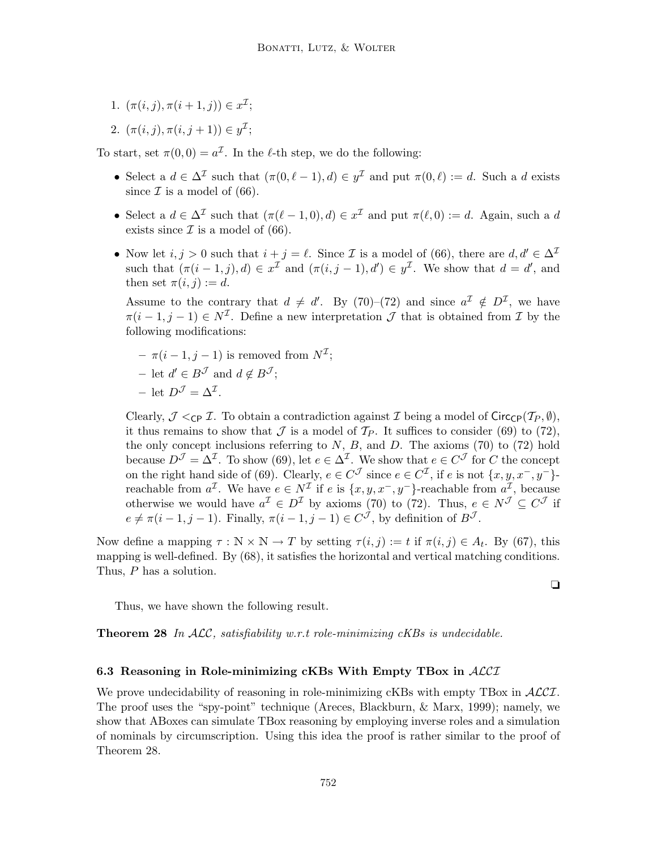- 1.  $(\pi(i,j), \pi(i+1,j)) \in x^{\mathcal{I}};$
- 2.  $(\pi(i,j), \pi(i,j+1)) \in y^{\mathcal{I}};$

To start, set  $\pi(0,0) = a^{\mathcal{I}}$ . In the  $\ell$ -th step, we do the following:

- Select a  $d \in \Delta^{\mathcal{I}}$  such that  $(\pi(0, \ell 1), d) \in y^{\mathcal{I}}$  and put  $\pi(0, \ell) := d$ . Such a d exists since  $\mathcal I$  is a model of (66).
- Select a  $d \in \Delta^{\mathcal{I}}$  such that  $(\pi(\ell 1, 0), d) \in x^{\mathcal{I}}$  and put  $\pi(\ell, 0) := d$ . Again, such a d exists since  $\mathcal I$  is a model of (66).
- Now let  $i, j > 0$  such that  $i + j = \ell$ . Since I is a model of (66), there are  $d, d' \in \Delta^{\mathcal{I}}$ such that  $(\pi(i-1,j),d) \in x^{\mathcal{I}}$  and  $(\pi(i,j-1),d') \in y^{\mathcal{I}}$ . We show that  $d = d'$ , and then set  $\pi(i, j) := d$ .

Assume to the contrary that  $d \neq d'$ . By (70)–(72) and since  $a^{\mathcal{I}} \notin D^{\mathcal{I}}$ , we have  $\pi(i-1,j-1) \in N^{\mathcal{I}}$ . Define a new interpretation  $\mathcal J$  that is obtained from  $\mathcal I$  by the following modifications:

 $- \pi(i-1, j-1)$  is removed from  $N^{\mathcal{I}}$ ; − let  $d' \in B^{\mathcal{J}}$  and  $d \notin B^{\mathcal{J}}$ ;  $-$  let  $D^{\mathcal{J}} = \Delta^{\mathcal{I}}$ .

Clearly,  $\mathcal{J} <_{\text{CP}} \mathcal{I}$ . To obtain a contradiction against  $\mathcal{I}$  being a model of Circ<sub>CP</sub>( $\mathcal{T}_P, \emptyset$ ), it thus remains to show that  $\mathcal J$  is a model of  $\mathcal T_P$ . It suffices to consider (69) to (72), the only concept inclusions referring to  $N$ ,  $B$ , and  $D$ . The axioms (70) to (72) hold because  $D^{\mathcal{J}} = \Delta^{\mathcal{I}}$ . To show (69), let  $e \in \Delta^{\mathcal{I}}$ . We show that  $e \in C^{\mathcal{J}}$  for C the concept on the right hand side of (69). Clearly,  $e \in C^{\mathcal{J}}$  since  $e \in C^{\mathcal{I}}$ , if e is not  $\{x, y, x^-, y^-\}$ reachable from  $a^{\mathcal{I}}$ . We have  $e \in N^{\mathcal{I}}$  if e is  $\{x, y, x^-, y^-\}$ -reachable from  $a^{\mathcal{I}}$ , because otherwise we would have  $a^{\mathcal{I}} \in D^{\mathcal{I}}$  by axioms (70) to (72). Thus,  $e \in N^{\mathcal{J}} \subseteq C^{\mathcal{J}}$  if  $e \neq \pi(i-1, j-1)$ . Finally,  $\pi(i-1, j-1) \in C^{\mathcal{J}}$ , by definition of  $B^{\mathcal{J}}$ .

Now define a mapping  $\tau : \mathbb{N} \times \mathbb{N} \to T$  by setting  $\tau(i, j) := t$  if  $\pi(i, j) \in A_t$ . By (67), this mapping is well-defined. By (68), it satisfies the horizontal and vertical matching conditions. Thus, P has a solution.

Thus, we have shown the following result.

**Theorem 28** In  $ALC$ , satisfiability w.r.t role-minimizing cKBs is undecidable.

#### 6.3 Reasoning in Role-minimizing cKBs With Empty TBox in  $ALCI$

We prove undecidability of reasoning in role-minimizing cKBs with empty TBox in  $\mathcal{ALCI}$ . The proof uses the "spy-point" technique (Areces, Blackburn, & Marx, 1999); namely, we show that ABoxes can simulate TBox reasoning by employing inverse roles and a simulation of nominals by circumscription. Using this idea the proof is rather similar to the proof of Theorem 28.

❏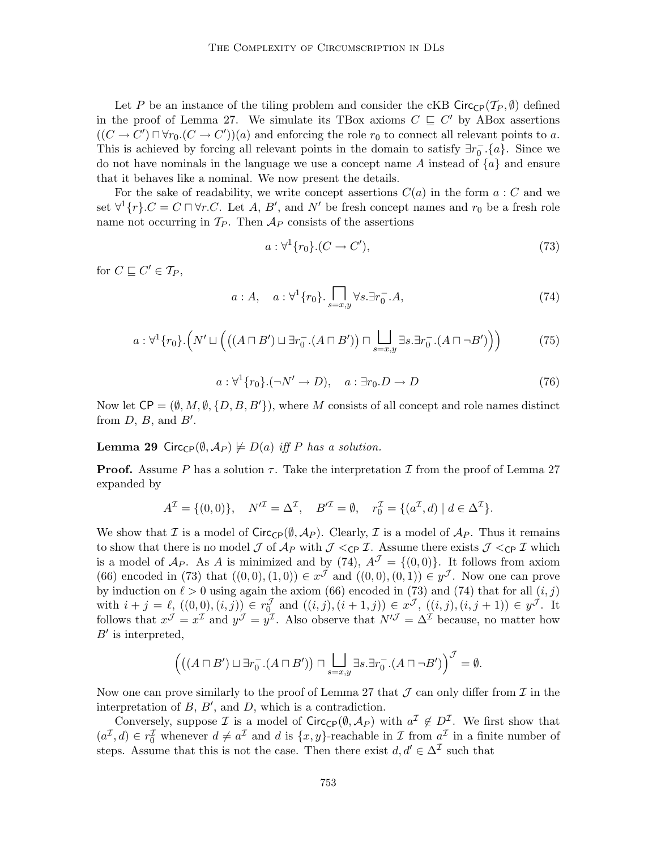Let P be an instance of the tiling problem and consider the cKB Circ $\mathsf{C}_{\mathsf{P}}(\mathcal{T}_P, \emptyset)$  defined in the proof of Lemma 27. We simulate its TBox axioms  $C \subseteq C'$  by ABox assertions  $((C \to C') \sqcap \forall r_0.(C \to C'))(a)$  and enforcing the role  $r_0$  to connect all relevant points to a. This is achieved by forcing all relevant points in the domain to satisfy  $\exists r_0^- \cdot \{a\}$ . Since we do not have nominals in the language we use a concept name  $A$  instead of  $\{a\}$  and ensure that it behaves like a nominal. We now present the details.

For the sake of readability, we write concept assertions  $C(a)$  in the form  $a: C$  and we set  $\forall^1 \{r\}$ . $C = C \sqcap \forall r$ .C. Let A, B', and N' be fresh concept names and  $r_0$  be a fresh role name not occurring in  $\mathcal{T}_P$ . Then  $\mathcal{A}_P$  consists of the assertions

$$
a: \forall^1 \{r_0\}.(C \to C'),\tag{73}
$$

for  $C \sqsubseteq C' \in \mathcal{T}_P$ ,

$$
a:A, \quad a: \forall^{1}\{r_{0}\}.\prod_{s=x,y} \forall s.\exists r_{0}^{-}.A,
$$
 (74)

$$
a: \forall^1 \{r_0\}.\left(N' \sqcup \left(\left((A \sqcap B') \sqcup \exists r_0^-(A \sqcap B')\right) \sqcap \bigsqcup_{s=x,y} \exists s. \exists r_0^-(A \sqcap \neg B')\right)\right) \tag{75}
$$

$$
a: \forall^1 \{r_0\}. (\neg N' \to D), \quad a: \exists r_0.D \to D \tag{76}
$$

Now let  $\mathsf{CP} = (\emptyset, M, \emptyset, \{D, B, B'\})$ , where M consists of all concept and role names distinct from  $D, B$ , and  $B'$ .

#### **Lemma 29** Circ<sub>CP</sub> $(\emptyset, \mathcal{A}_P) \not\models D(a)$  iff P has a solution.

**Proof.** Assume P has a solution  $\tau$ . Take the interpretation I from the proof of Lemma 27 expanded by

$$
A^{\mathcal{I}} = \{(0,0)\}, \quad N'^{\mathcal{I}} = \Delta^{\mathcal{I}}, \quad B'^{\mathcal{I}} = \emptyset, \quad r_0^{\mathcal{I}} = \{(a^{\mathcal{I}}, d) \mid d \in \Delta^{\mathcal{I}}\}.
$$

We show that I is a model of  $Circ_{\mathbb{C}P}(\emptyset, \mathcal{A}_P)$ . Clearly, I is a model of  $\mathcal{A}_P$ . Thus it remains to show that there is no model  $\mathcal J$  of  $\mathcal A_P$  with  $\mathcal J <_{\mathsf{CP}} \mathcal I$ . Assume there exists  $\mathcal J <_{\mathsf{CP}} \mathcal I$  which is a model of  $\mathcal{A}_P$ . As A is minimized and by (74),  $\mathcal{A}^{\mathcal{J}} = \{(0,0)\}\$ . It follows from axiom (66) encoded in (73) that  $((0,0),(1,0)) \in x^{\mathcal{J}}$  and  $((0,0),(0,1)) \in y^{\mathcal{J}}$ . Now one can prove by induction on  $\ell > 0$  using again the axiom (66) encoded in (73) and (74) that for all  $(i, j)$ with  $i + j = \ell_j ((0, 0), (i, j)) \in r_0^{\mathcal{J}}$  and  $((i, j), (i + 1, j)) \in x^{\mathcal{J}}$ ,  $((i, j), (i, j + 1)) \in y^{\mathcal{J}}$ . It follows that  $x^{\mathcal{J}} = x^{\mathcal{I}}$  and  $y^{\mathcal{J}} = y^{\mathcal{I}}$ . Also observe that  $N'^{\mathcal{J}} = \Delta^{\mathcal{I}}$  because, no matter how  $B'$  is interpreted,

$$
\left(\big((A \sqcap B') \sqcup \exists r_0^-(A \sqcap B')\big) \sqcap \bigsqcup_{s=x,y} \exists s. \exists r_0^-(A \sqcap \neg B')\right)^{\mathcal{J}} = \emptyset.
$$

Now one can prove similarly to the proof of Lemma 27 that  $\mathcal J$  can only differ from  $\mathcal I$  in the interpretation of  $B, B',$  and  $D$ , which is a contradiction.

Conversely, suppose  $\mathcal I$  is a model of  $Circ_{\mathbb C}(\emptyset,\mathcal A_P)$  with  $a^{\mathcal I}\notin D^{\mathcal I}$ . We first show that  $(a^{\mathcal{I}}, d) \in r_0^{\mathcal{I}}$  whenever  $d \neq a^{\mathcal{I}}$  and d is  $\{x, y\}$ -reachable in  $\mathcal{I}$  from  $a^{\mathcal{I}}$  in a finite number of steps. Assume that this is not the case. Then there exist  $d, d' \in \Delta^{\mathcal{I}}$  such that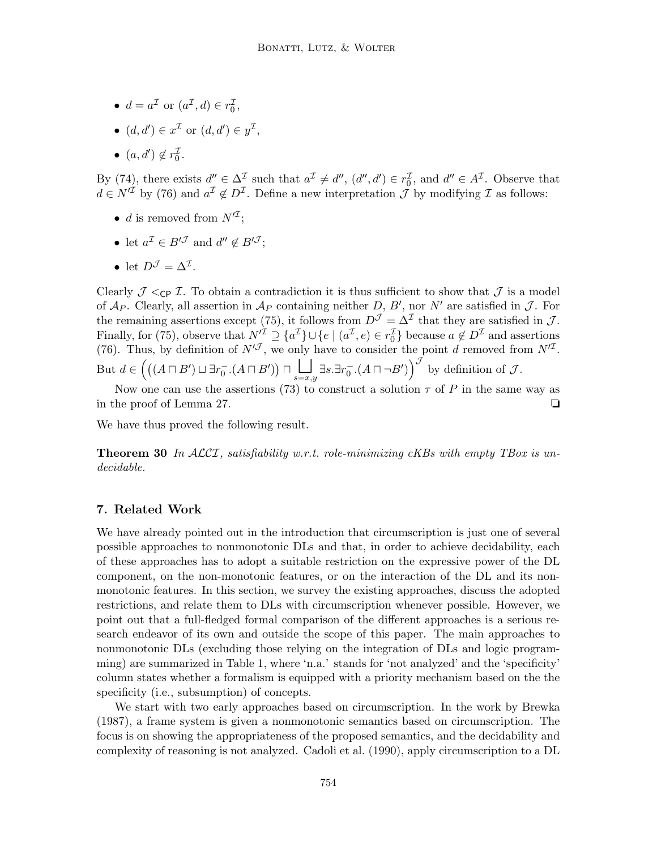- $d = a^{\mathcal{I}}$  or  $(a^{\mathcal{I}}, d) \in r_0^{\mathcal{I}},$
- $(d, d') \in x^{\mathcal{I}}$  or  $(d, d') \in y^{\mathcal{I}}$ ,
- $(a, d') \notin r_0^{\mathcal{I}}$ .

By (74), there exists  $d'' \in \Delta^{\mathcal{I}}$  such that  $a^{\mathcal{I}} \neq d'', (d'', d') \in r_0^{\mathcal{I}}$ , and  $d'' \in A^{\mathcal{I}}$ . Observe that By (14), there exists  $a \in \Delta$  such that  $a \neq a$ ,  $(a', a) \in r_0$ , and  $a \in A$ . Observe the  $d \in N^{\mathcal{I}}$  by (76) and  $a^{\mathcal{I}} \notin D^{\mathcal{I}}$ . Define a new interpretation  $\mathcal{J}$  by modifying  $\mathcal{I}$  as follows:

- d is removed from  $N'^{\mathcal{I}}$ ;
- let  $a^{\mathcal{I}} \in B'^{\mathcal{J}}$  and  $d'' \notin B'^{\mathcal{J}}$ ;
- let  $D^{\mathcal{J}} = \Delta^{\mathcal{I}}$ .

Clearly  $\mathcal{J} \leq_{\text{CP}} \mathcal{I}$ . To obtain a contradiction it is thus sufficient to show that  $\mathcal{J}$  is a model of  $\mathcal{A}_P$ . Clearly, all assertion in  $\mathcal{A}_P$  containing neither D, B', nor N' are satisfied in J. For the remaining assertions except (75), it follows from  $D^{\mathcal{J}} = \Delta^{\mathcal{I}}$  that they are satisfied in  $\mathcal{J}$ . Finally, for (75), observe that  $N'^{\mathcal{I}} \supseteq \{a^{\mathcal{I}}\} \cup \{e \mid (a^{\mathcal{I}}, e) \in r_0^{\mathcal{I}}\}$  because  $a \notin D^{\mathcal{I}}$  and assertions (76). Thus, by definition of  $N^{J}$ , we only have to consider the point d removed from  $N^{J}$ . But  $d \in \left( ((A \sqcap B') \sqcup \exists r_0^-(A \sqcap B')) \sqcap \bigsqcup_{s=x,y}^{\bullet} \exists s. \exists r_0^-(A \sqcap \neg B') \right)^{\mathcal{J}}$  by definition of  $\mathcal{J}$ .

Now one can use the assertions (73) to construct a solution  $\tau$  of P in the same way as in the proof of Lemma 27. ❏

We have thus proved the following result.

**Theorem 30** In ALCI, satisfiability w.r.t. role-minimizing cKBs with empty TBox is undecidable.

# 7. Related Work

We have already pointed out in the introduction that circumscription is just one of several possible approaches to nonmonotonic DLs and that, in order to achieve decidability, each of these approaches has to adopt a suitable restriction on the expressive power of the DL component, on the non-monotonic features, or on the interaction of the DL and its nonmonotonic features. In this section, we survey the existing approaches, discuss the adopted restrictions, and relate them to DLs with circumscription whenever possible. However, we point out that a full-fledged formal comparison of the different approaches is a serious research endeavor of its own and outside the scope of this paper. The main approaches to nonmonotonic DLs (excluding those relying on the integration of DLs and logic programming) are summarized in Table 1, where 'n.a.' stands for 'not analyzed' and the 'specificity' column states whether a formalism is equipped with a priority mechanism based on the the specificity (i.e., subsumption) of concepts.

We start with two early approaches based on circumscription. In the work by Brewka (1987), a frame system is given a nonmonotonic semantics based on circumscription. The focus is on showing the appropriateness of the proposed semantics, and the decidability and complexity of reasoning is not analyzed. Cadoli et al. (1990), apply circumscription to a DL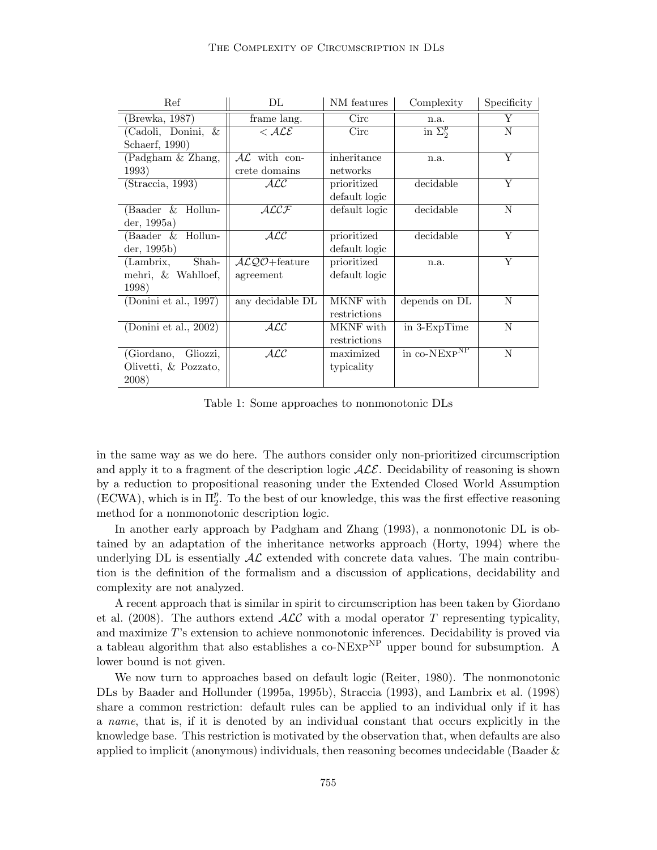| Ref                                       | $\rm DL$         | NM features   | Complexity      | Specificity    |
|-------------------------------------------|------------------|---------------|-----------------|----------------|
| (Brewka, 1987)                            | frame lang.      | Circ          | n.a.            | Y              |
| (Cadoli, Donini, &                        | $<$ ALE          | Circ          | in $\Sigma_2^p$ | N              |
| Schaerf, 1990)                            |                  |               |                 |                |
| (Padgham & Zhang,                         | $AL$ with con-   | inheritance   | n.a.            | Y              |
| 1993)                                     | crete domains    | networks      |                 |                |
| (Straccia, 1993)                          | ALC              | prioritized   | decidable       | $\overline{Y}$ |
|                                           |                  | default logic |                 |                |
| (Baader & Hollun-                         | $\mathcal{ALCF}$ | default logic | decidable       | N              |
| der, 1995a)                               |                  |               |                 |                |
| (Baader & Hollun-                         | $\cal{ALC}$      | prioritized   | decidable       | Y              |
| der, 1995b)                               |                  | default logic |                 |                |
| (Lambrix,<br>Shah-                        | $ALQO +$ feature | prioritized   | n.a.            | Y              |
| mehri, & Wahlloef,                        | agreement        | default logic |                 |                |
| 1998)                                     |                  |               |                 |                |
| (Donini et al., 1997)                     | any decidable DL | MKNF with     | depends on DL   | N              |
|                                           |                  | restrictions  |                 |                |
| $\overline{\text{(Donini et al., 2002)}}$ | $\cal{ALC}$      | MKNF with     | in 3-ExpTime    | N              |
|                                           |                  | restrictions  |                 |                |
| (Giordano,<br>Gliozzi,                    | $\cal{ALC}$      | maximized     | in co-NEXPNP    | N              |
| Olivetti, & Pozzato,                      |                  | typicality    |                 |                |
| 2008)                                     |                  |               |                 |                |

Table 1: Some approaches to nonmonotonic DLs

in the same way as we do here. The authors consider only non-prioritized circumscription and apply it to a fragment of the description logic  $\mathcal{ALE}$ . Decidability of reasoning is shown by a reduction to propositional reasoning under the Extended Closed World Assumption (ECWA), which is in  $\Pi_2^p$ . To the best of our knowledge, this was the first effective reasoning method for a nonmonotonic description logic.

In another early approach by Padgham and Zhang (1993), a nonmonotonic DL is obtained by an adaptation of the inheritance networks approach (Horty, 1994) where the underlying DL is essentially  $A\mathcal{L}$  extended with concrete data values. The main contribution is the definition of the formalism and a discussion of applications, decidability and complexity are not analyzed.

A recent approach that is similar in spirit to circumscription has been taken by Giordano et al. (2008). The authors extend  $\mathcal{ALC}$  with a modal operator T representing typicality, and maximize T's extension to achieve nonmonotonic inferences. Decidability is proved via a tableau algorithm that also establishes a  $\text{co-NExp}^{\text{NP}}$  upper bound for subsumption. A lower bound is not given.

We now turn to approaches based on default logic (Reiter, 1980). The nonmonotonic DLs by Baader and Hollunder (1995a, 1995b), Straccia (1993), and Lambrix et al. (1998) share a common restriction: default rules can be applied to an individual only if it has a name, that is, if it is denoted by an individual constant that occurs explicitly in the knowledge base. This restriction is motivated by the observation that, when defaults are also applied to implicit (anonymous) individuals, then reasoning becomes undecidable (Baader  $\&$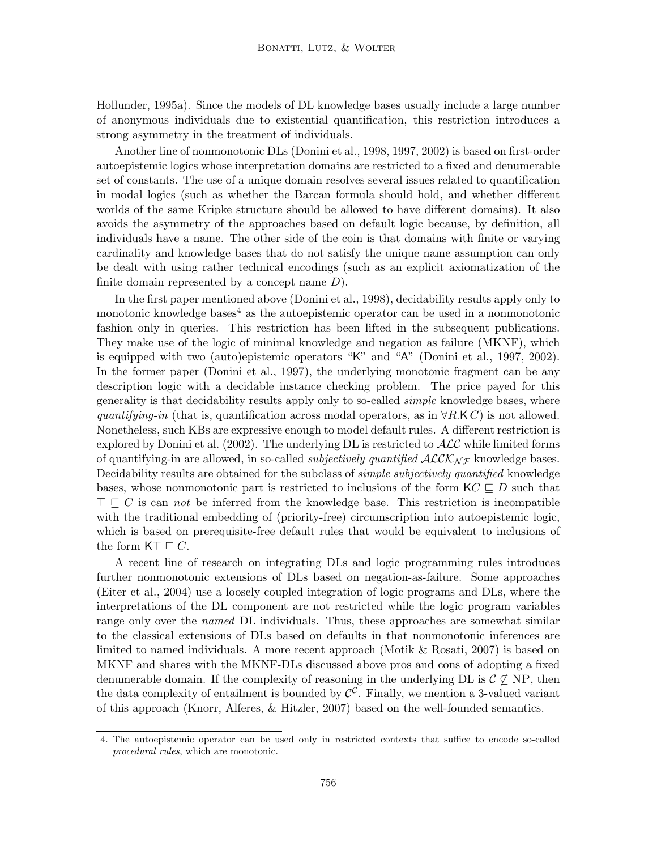Hollunder, 1995a). Since the models of DL knowledge bases usually include a large number of anonymous individuals due to existential quantification, this restriction introduces a strong asymmetry in the treatment of individuals.

Another line of nonmonotonic DLs (Donini et al., 1998, 1997, 2002) is based on first-order autoepistemic logics whose interpretation domains are restricted to a fixed and denumerable set of constants. The use of a unique domain resolves several issues related to quantification in modal logics (such as whether the Barcan formula should hold, and whether different worlds of the same Kripke structure should be allowed to have different domains). It also avoids the asymmetry of the approaches based on default logic because, by definition, all individuals have a name. The other side of the coin is that domains with finite or varying cardinality and knowledge bases that do not satisfy the unique name assumption can only be dealt with using rather technical encodings (such as an explicit axiomatization of the finite domain represented by a concept name  $D$ ).

In the first paper mentioned above (Donini et al., 1998), decidability results apply only to monotonic knowledge bases<sup>4</sup> as the autoepistemic operator can be used in a nonmonotonic fashion only in queries. This restriction has been lifted in the subsequent publications. They make use of the logic of minimal knowledge and negation as failure (MKNF), which is equipped with two (auto)epistemic operators "K" and "A" (Donini et al., 1997, 2002). In the former paper (Donini et al., 1997), the underlying monotonic fragment can be any description logic with a decidable instance checking problem. The price payed for this generality is that decidability results apply only to so-called simple knowledge bases, where quantifying-in (that is, quantification across modal operators, as in  $\forall R.K C$ ) is not allowed. Nonetheless, such KBs are expressive enough to model default rules. A different restriction is explored by Donini et al. (2002). The underlying DL is restricted to  $\mathcal{ALC}$  while limited forms of quantifying-in are allowed, in so-called *subjectively quantified*  $\mathcal{ALCK}_{\mathcal{NF}}$  knowledge bases. Decidability results are obtained for the subclass of *simple subjectively quantified* knowledge bases, whose nonmonotonic part is restricted to inclusions of the form  $KC \sqsubseteq D$  such that  $\top \sqsubset C$  is can not be inferred from the knowledge base. This restriction is incompatible with the traditional embedding of (priority-free) circumscription into autoepistemic logic, which is based on prerequisite-free default rules that would be equivalent to inclusions of the form  $\mathsf{KT} \sqsubseteq C$ .

A recent line of research on integrating DLs and logic programming rules introduces further nonmonotonic extensions of DLs based on negation-as-failure. Some approaches (Eiter et al., 2004) use a loosely coupled integration of logic programs and DLs, where the interpretations of the DL component are not restricted while the logic program variables range only over the *named* DL individuals. Thus, these approaches are somewhat similar to the classical extensions of DLs based on defaults in that nonmonotonic inferences are limited to named individuals. A more recent approach (Motik & Rosati, 2007) is based on MKNF and shares with the MKNF-DLs discussed above pros and cons of adopting a fixed denumerable domain. If the complexity of reasoning in the underlying DL is  $\mathcal{C} \not\subseteq NP$ , then the data complexity of entailment is bounded by  $\mathcal{C}^{\mathcal{C}}$ . Finally, we mention a 3-valued variant of this approach (Knorr, Alferes, & Hitzler, 2007) based on the well-founded semantics.

<sup>4.</sup> The autoepistemic operator can be used only in restricted contexts that suffice to encode so-called procedural rules, which are monotonic.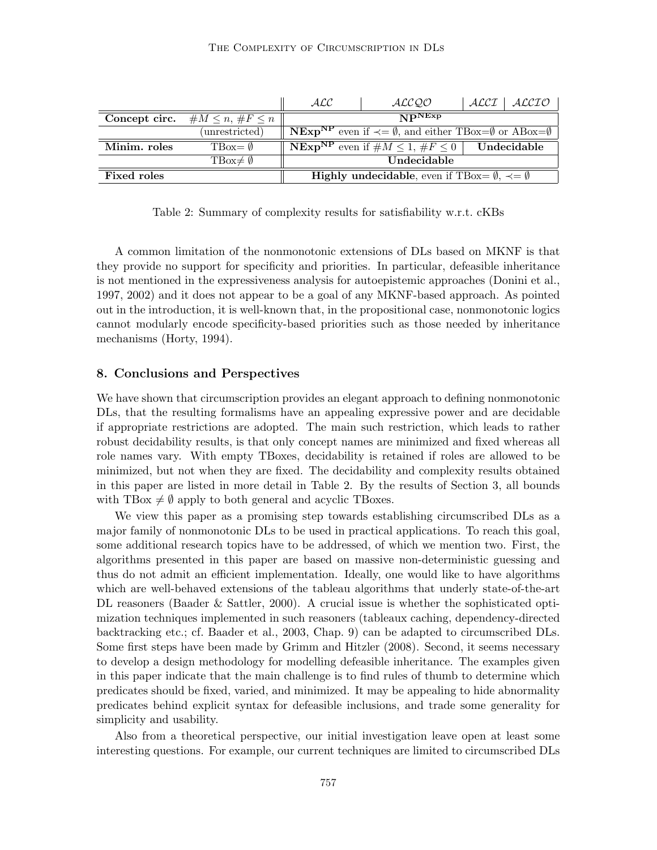|                    |                                        | ALC                                                                                                      | ALC QO                                                    | ALCL | ALCIO       |
|--------------------|----------------------------------------|----------------------------------------------------------------------------------------------------------|-----------------------------------------------------------|------|-------------|
|                    | Concept circ. $\#M \leq n, \#F \leq n$ | $\overline{\bf NP}$ NExp                                                                                 |                                                           |      |             |
|                    | (unrestricted)                         | <b>NEXP<sup>NP</sup></b> even if $\prec = \emptyset$ , and either TBox= $\emptyset$ or ABox= $\emptyset$ |                                                           |      |             |
| Minim. roles       | $TBox = \emptyset$                     |                                                                                                          | <b>NEXP<sup>NP</sup></b> even if $\#M \leq 1, \#F \leq 0$ |      | Undecidable |
|                    | $TBox \neq \emptyset$                  | Undecidable                                                                                              |                                                           |      |             |
| <b>Fixed roles</b> |                                        | <b>Highly undecidable, even if TBox= <math>\emptyset</math>, <math>\prec = \emptyset</math></b>          |                                                           |      |             |

Table 2: Summary of complexity results for satisfiability w.r.t. cKBs

A common limitation of the nonmonotonic extensions of DLs based on MKNF is that they provide no support for specificity and priorities. In particular, defeasible inheritance is not mentioned in the expressiveness analysis for autoepistemic approaches (Donini et al., 1997, 2002) and it does not appear to be a goal of any MKNF-based approach. As pointed out in the introduction, it is well-known that, in the propositional case, nonmonotonic logics cannot modularly encode specificity-based priorities such as those needed by inheritance mechanisms (Horty, 1994).

#### 8. Conclusions and Perspectives

We have shown that circumscription provides an elegant approach to defining nonmonotonic DLs, that the resulting formalisms have an appealing expressive power and are decidable if appropriate restrictions are adopted. The main such restriction, which leads to rather robust decidability results, is that only concept names are minimized and fixed whereas all role names vary. With empty TBoxes, decidability is retained if roles are allowed to be minimized, but not when they are fixed. The decidability and complexity results obtained in this paper are listed in more detail in Table 2. By the results of Section 3, all bounds with TBox  $\neq \emptyset$  apply to both general and acyclic TBoxes.

We view this paper as a promising step towards establishing circumscribed DLs as a major family of nonmonotonic DLs to be used in practical applications. To reach this goal, some additional research topics have to be addressed, of which we mention two. First, the algorithms presented in this paper are based on massive non-deterministic guessing and thus do not admit an efficient implementation. Ideally, one would like to have algorithms which are well-behaved extensions of the tableau algorithms that underly state-of-the-art DL reasoners (Baader & Sattler, 2000). A crucial issue is whether the sophisticated optimization techniques implemented in such reasoners (tableaux caching, dependency-directed backtracking etc.; cf. Baader et al., 2003, Chap. 9) can be adapted to circumscribed DLs. Some first steps have been made by Grimm and Hitzler (2008). Second, it seems necessary to develop a design methodology for modelling defeasible inheritance. The examples given in this paper indicate that the main challenge is to find rules of thumb to determine which predicates should be fixed, varied, and minimized. It may be appealing to hide abnormality predicates behind explicit syntax for defeasible inclusions, and trade some generality for simplicity and usability.

Also from a theoretical perspective, our initial investigation leave open at least some interesting questions. For example, our current techniques are limited to circumscribed DLs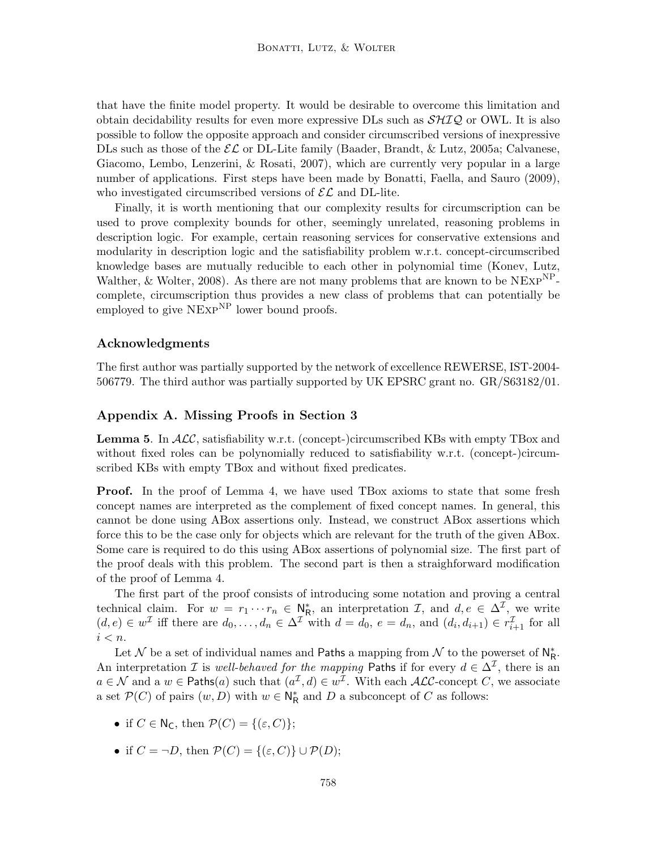that have the finite model property. It would be desirable to overcome this limitation and obtain decidability results for even more expressive DLs such as  $\mathcal{SHTQ}$  or OWL. It is also possible to follow the opposite approach and consider circumscribed versions of inexpressive DLs such as those of the  $\mathcal{EL}$  or DL-Lite family (Baader, Brandt, & Lutz, 2005a; Calvanese, Giacomo, Lembo, Lenzerini, & Rosati, 2007), which are currently very popular in a large number of applications. First steps have been made by Bonatti, Faella, and Sauro (2009), who investigated circumscribed versions of  $\mathcal{EL}$  and DL-lite.

Finally, it is worth mentioning that our complexity results for circumscription can be used to prove complexity bounds for other, seemingly unrelated, reasoning problems in description logic. For example, certain reasoning services for conservative extensions and modularity in description logic and the satisfiability problem w.r.t. concept-circumscribed knowledge bases are mutually reducible to each other in polynomial time (Konev, Lutz, Walther, & Wolter, 2008). As there are not many problems that are known to be  $NExp^{NP}$ complete, circumscription thus provides a new class of problems that can potentially be employed to give  $NExP<sup>NP</sup>$  lower bound proofs.

### Acknowledgments

The first author was partially supported by the network of excellence REWERSE, IST-2004- 506779. The third author was partially supported by UK EPSRC grant no. GR/S63182/01.

# Appendix A. Missing Proofs in Section 3

**Lemma 5.** In  $\mathcal{ALC}$ , satisfiability w.r.t. (concept-)circumscribed KBs with empty TBox and without fixed roles can be polynomially reduced to satisfiability w.r.t. (concept-)circumscribed KBs with empty TBox and without fixed predicates.

**Proof.** In the proof of Lemma 4, we have used TBox axioms to state that some fresh concept names are interpreted as the complement of fixed concept names. In general, this cannot be done using ABox assertions only. Instead, we construct ABox assertions which force this to be the case only for objects which are relevant for the truth of the given ABox. Some care is required to do this using ABox assertions of polynomial size. The first part of the proof deals with this problem. The second part is then a straighforward modification of the proof of Lemma 4.

The first part of the proof consists of introducing some notation and proving a central technical claim. For  $w = r_1 \cdots r_n \in \mathbb{N}_R^*$ , an interpretation  $\mathcal{I}$ , and  $d, e \in \Delta^{\mathcal{I}}$ , we write  $(d, e) \in w^{\mathcal{I}}$  iff there are  $d_0, \ldots, d_n \in \Delta^{\mathcal{I}}$  with  $d = d_0, e = d_n$ , and  $(d_i, d_{i+1}) \in r^{\mathcal{I}}_{i+1}$  for all  $i < n$ .

Let N be a set of individual names and Paths a mapping from N to the powerset of  $N_R^*$ . An interpretation *I* is *well-behaved for the mapping* Paths if for every  $d \in \Delta^{\mathcal{I}}$ , there is an  $a \in \mathcal{N}$  and a  $w \in \mathsf{Paths}(a)$  such that  $(a^{\mathcal{I}}, d) \in w^{\mathcal{I}}$ . With each  $\mathcal{ALC}$ -concept C, we associate a set  $\mathcal{P}(C)$  of pairs  $(w, D)$  with  $w \in \mathbb{N}_{\mathsf{R}}^*$  and  $D$  a subconcept of  $C$  as follows:

- if  $C \in N_C$ , then  $\mathcal{P}(C) = \{(\varepsilon, C)\};$
- if  $C = \neg D$ , then  $\mathcal{P}(C) = \{(\varepsilon, C)\} \cup \mathcal{P}(D)$ ;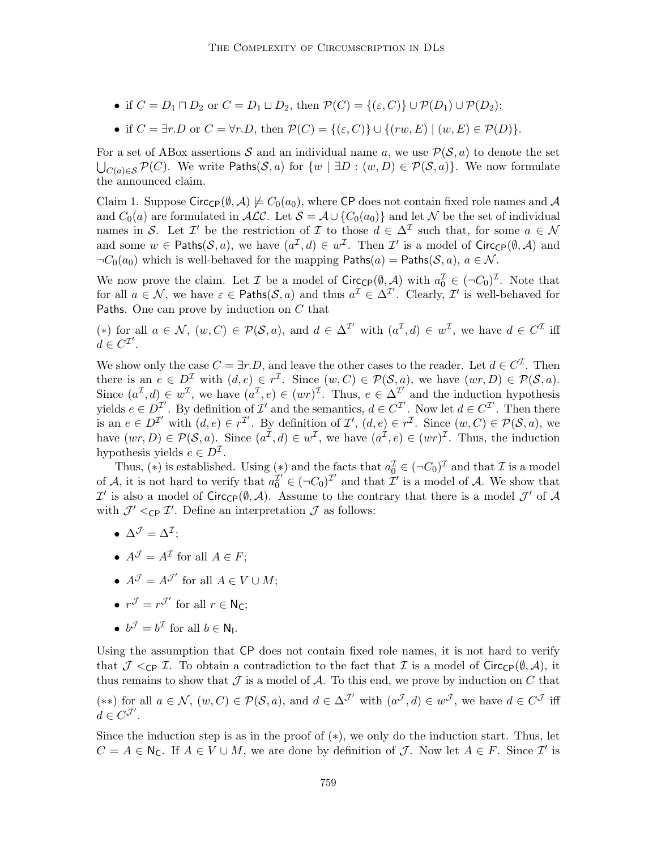- if  $C = D_1 \sqcap D_2$  or  $C = D_1 \sqcup D_2$ , then  $\mathcal{P}(C) = \{(\varepsilon, C)\} \cup \mathcal{P}(D_1) \cup \mathcal{P}(D_2);$
- if  $C = \exists r.D$  or  $C = \forall r.D$ , then  $\mathcal{P}(C) = \{(\varepsilon, C)\} \cup \{(rw, E) \mid (w, E) \in \mathcal{P}(D)\}.$

For a set of ABox assertions S and an individual name a, we use  $\mathcal{P}(\mathcal{S}, a)$  to denote the set  $\bigcup_{C(a) \in \mathcal{S}} \mathcal{P}(C)$ . We write Paths(S, a) for  $\{w \mid \exists D : (w, D) \in \mathcal{P}(\mathcal{S}, a)\}$ . We now formulate the announced claim.

Claim 1. Suppose Circ<sub>CP</sub>( $\emptyset$ , A)  $\not\models C_0(a_0)$ , where CP does not contain fixed role names and A and  $C_0(a)$  are formulated in  $\mathcal{ALC}$ . Let  $\mathcal{S} = \mathcal{A} \cup \{C_0(a_0)\}\$  and let N be the set of individual names in S. Let  $\mathcal{I}'$  be the restriction of  $\mathcal{I}$  to those  $d \in \Delta^{\mathcal{I}}$  such that, for some  $a \in \mathcal{N}$ and some  $w \in \mathsf{Paths}(\mathcal{S}, a)$ , we have  $(a^{\mathcal{I}}, d) \in w^{\mathcal{I}}$ . Then  $\mathcal{I}'$  is a model of Circ<sub>CP</sub> $(\emptyset, \mathcal{A})$  and  $\neg C_0(a_0)$  which is well-behaved for the mapping  $\mathsf{Paths}(a) = \mathsf{Paths}(\mathcal{S}, a), a \in \mathcal{N}$ .

We now prove the claim. Let  $\mathcal I$  be a model of  $Circ_{\mathsf{CP}}(\emptyset, \mathcal A)$  with  $a_0^{\mathcal I} \in (\neg C_0)^{\mathcal I}$ . Note that for all  $a \in \mathcal{N}$ , we have  $\varepsilon \in$  Paths $(\mathcal{S}, a)$  and thus  $a^{\mathcal{I}} \in \Delta^{\mathcal{I}'}$ . Clearly,  $\mathcal{I}'$  is well-behaved for Paths. One can prove by induction on C that

(\*) for all  $a \in \mathcal{N}$ ,  $(w, C) \in \mathcal{P}(\mathcal{S}, a)$ , and  $d \in \Delta^{\mathcal{I}'}$  with  $(a^{\mathcal{I}}, d) \in w^{\mathcal{I}}$ , we have  $d \in C^{\mathcal{I}}$  iff  $d \in C^{\mathcal{I}'}$ .

We show only the case  $C = \exists r.D$ , and leave the other cases to the reader. Let  $d \in C^{\mathcal{I}}$ . Then there is an  $e \in D^{\mathcal{I}}$  with  $(d, e) \in r^{\mathcal{I}}$ . Since  $(w, C) \in \mathcal{P}(\mathcal{S}, a)$ , we have  $(wr, D) \in \mathcal{P}(\mathcal{S}, a)$ . Since  $(a^{\mathcal{I}}, d) \in w^{\mathcal{I}}$ , we have  $(a^{\mathcal{I}}, e) \in (wr)^{\mathcal{I}}$ . Thus,  $e \in \Delta^{\mathcal{I}'}$  and the induction hypothesis yields  $e \in D^{\mathcal{I}}$ . By definition of  $\mathcal{I}'$  and the semantics,  $d \in C^{\mathcal{I}'}$ . Now let  $d \in C^{\mathcal{I}'}$ . Then there is an  $e \in D^{\mathcal{I}'}$  with  $(d, e) \in r^{\mathcal{I}'}$ . By definition of  $\mathcal{I}'$ ,  $(d, e) \in r^{\mathcal{I}}$ . Since  $(w, C) \in \mathcal{P}(\mathcal{S}, a)$ , we have  $(wr, D) \in \mathcal{P}(\mathcal{S}, a)$ . Since  $(a^{\mathcal{I}}, d) \in w^{\mathcal{I}}$ , we have  $(a^{\mathcal{I}}, e) \in (wr)^{\mathcal{I}}$ . Thus, the induction hypothesis yields  $e \in D^{\mathcal{I}}$ .

Thus, (\*) is established. Using (\*) and the facts that  $a_0^{\mathcal{I}} \in (\neg C_0)^{\mathcal{I}}$  and that  $\mathcal{I}$  is a model of A, it is not hard to verify that  $a_0^{\mathcal{I}'} \in (\neg C_0)^{\mathcal{I}'}$  and that  $\mathcal{I}'$  is a model of A. We show that  $\mathcal{I}'$  is also a model of Circ<sub>CP</sub>( $\emptyset$ , A). Assume to the contrary that there is a model  $\mathcal{J}'$  of A with  $\mathcal{J}' <_{\text{CP }} \mathcal{I}'$ . Define an interpretation  $\mathcal{J}$  as follows:

- $\bullet\;\, \Delta^{\mathcal{J}}=\Delta^{\mathcal{I}};$
- $A^{\mathcal{J}} = A^{\mathcal{I}}$  for all  $A \in F$ ;
- $A^{\mathcal{J}} = A^{\mathcal{J}'}$  for all  $A \in V \cup M$ ;
- $r^{\mathcal{J}} = r^{\mathcal{J}'}$  for all  $r \in \mathsf{N}_{\mathsf{C}};$
- $b^{\mathcal{J}} = b^{\mathcal{I}}$  for all  $b \in \mathbb{N}_1$ .

Using the assumption that CP does not contain fixed role names, it is not hard to verify that  $\mathcal{J} <_{\text{CP}} \mathcal{I}$ . To obtain a contradiction to the fact that  $\mathcal{I}$  is a model of Circ<sub>CP</sub>(Ø, A), it thus remains to show that  $\mathcal J$  is a model of  $\mathcal A$ . To this end, we prove by induction on C that (\*\*) for all  $a \in \mathcal{N}$ ,  $(w, C) \in \mathcal{P}(\mathcal{S}, a)$ , and  $d \in \Delta^{\mathcal{J}'}$  with  $(a^{\mathcal{J}}, d) \in w^{\mathcal{J}}$ , we have  $d \in C^{\mathcal{J}}$  iff  $d \in C^{\mathcal{J}'}$ .

Since the induction step is as in the proof of  $(*)$ , we only do the induction start. Thus, let  $C = A \in \mathbb{N}_{\mathsf{C}}$ . If  $A \in V \cup M$ , we are done by definition of  $\mathcal{J}$ . Now let  $A \in F$ . Since  $\mathcal{I}'$  is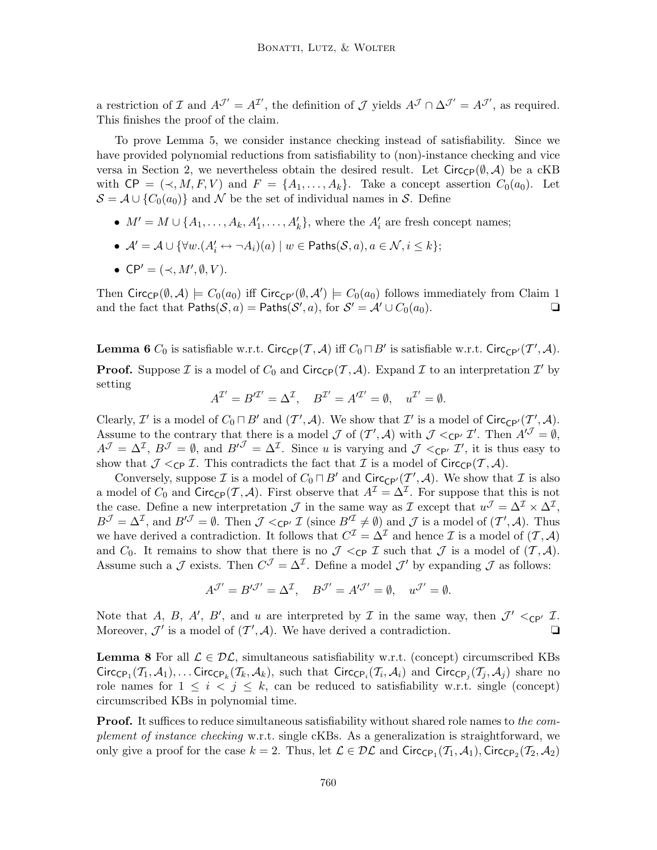a restriction of  $\mathcal I$  and  $A^{\mathcal J'} = A^{\mathcal I'}$ , the definition of  $\mathcal J$  yields  $A^{\mathcal J} \cap \Delta^{\mathcal J'} = A^{\mathcal J'}$ , as required. This finishes the proof of the claim.

To prove Lemma 5, we consider instance checking instead of satisfiability. Since we have provided polynomial reductions from satisfiability to (non)-instance checking and vice versa in Section 2, we nevertheless obtain the desired result. Let  $Circ_{\mathbb{CP}}(\emptyset, \mathcal{A})$  be a cKB with  $\mathsf{CP} = (\prec, M, F, V)$  and  $F = \{A_1, \ldots, A_k\}$ . Take a concept assertion  $C_0(a_0)$ . Let  $S = A \cup \{C_0(a_0)\}\$ and N be the set of individual names in S. Define

- $M' = M \cup \{A_1, \ldots, A_k, A'_1, \ldots, A'_k\}$ , where the  $A'_i$  are fresh concept names;
- $\bullet \ \mathcal{A}'=\mathcal{A} \cup \{ \forall w . (A_i' \leftrightarrow \neg A_i)(a) \mid w \in \mathsf{Paths}(\mathcal{S},a), a \in \mathcal{N}, i \leq k \};$
- $\mathsf{CP}' = (\prec, M', \emptyset, V).$

Then  $Circ_{\mathsf{CP}}(\emptyset, \mathcal{A}) \models C_0(a_0)$  iff  $Circ_{\mathsf{CP}'}(\emptyset, \mathcal{A}') \models C_0(a_0)$  follows immediately from Claim 1 and the fact that  $\mathsf{Paths}(\mathcal{S}, a) = \mathsf{Paths}(\mathcal{S}', a)$ , for  $\mathcal{S}' = \mathcal{A}' \cup C_0(a_0)$ .

**Lemma 6**  $C_0$  is satisfiable w.r.t. Circ<sub>CP</sub> $(\mathcal{T}, \mathcal{A})$  iff  $C_0 \sqcap B'$  is satisfiable w.r.t. Circ<sub>CP'</sub> $(\mathcal{T}', \mathcal{A})$ . **Proof.** Suppose  $\mathcal I$  is a model of  $C_0$  and  $\text{Circ}_{\text{CP}}(\mathcal T, \mathcal A)$ . Expand  $\mathcal I$  to an interpretation  $\mathcal I'$  by setting

$$
A^{\mathcal{I}'}=B'^{\mathcal{I}'}=\Delta^{\mathcal{I}},\quad B^{\mathcal{I}'}=A'^{\mathcal{I}'}=\emptyset,\quad u^{\mathcal{I}'}=\emptyset.
$$

Clearly,  $\mathcal{I}'$  is a model of  $C_0 \sqcap B'$  and  $(\mathcal{I}', \mathcal{A})$ . We show that  $\mathcal{I}'$  is a model of  $\text{Circ}_{\text{CP'}}(\mathcal{I}', \mathcal{A})$ . Assume to the contrary that there is a model  $\mathcal J$  of  $(\mathcal T',\mathcal A)$  with  $\mathcal J <_{\mathsf{CP'}} \mathcal I'$ . Then  $A'^{\mathcal J} = \emptyset$ ,  $A^{\mathcal{J}} = \Delta^{\mathcal{I}}, B^{\mathcal{J}} = \emptyset$ , and  $B'^{\mathcal{J}} = \Delta^{\mathcal{I}}$ . Since u is varying and  $\mathcal{J} <_{\mathsf{CP'}} \mathcal{I}'$ , it is thus easy to show that  $\mathcal{J} <_{\text{CP}} \mathcal{I}$ . This contradicts the fact that  $\mathcal{I}$  is a model of Circ<sub>CP</sub>( $\mathcal{T}, \mathcal{A}$ ).

Conversely, suppose  $\mathcal I$  is a model of  $C_0 \sqcap B'$  and  $Circ_{\mathbb{CP}'}(\mathcal I',\mathcal A)$ . We show that  $\mathcal I$  is also a model of  $C_0$  and  $\text{Circ}_{\text{CP}}(\mathcal{T}, \mathcal{A})$ . First observe that  $A^{\mathcal{I}} = \Delta^{\mathcal{I}}$ . For suppose that this is not the case. Define a new interpretation  $\mathcal J$  in the same way as  $\mathcal I$  except that  $u^{\mathcal J} = \Delta^{\mathcal I} \times \Delta^{\mathcal I}$ ,  $B^{\mathcal{J}} = \Delta^{\mathcal{I}}$ , and  $B'^{\mathcal{J}} = \emptyset$ . Then  $\mathcal{J} <_{\mathsf{CP'}} \mathcal{I}$  (since  $B'^{\mathcal{I}} \neq \emptyset$ ) and  $\mathcal{J}$  is a model of  $(\mathcal{T}', \mathcal{A})$ . Thus we have derived a contradiction. It follows that  $C^{\mathcal{I}} = \Delta^{\mathcal{I}}$  and hence  $\mathcal{I}$  is a model of  $(\mathcal{I}, \mathcal{A})$ and  $C_0$ . It remains to show that there is no  $\mathcal{J} \lt_{\mathbb{CP}} \mathcal{I}$  such that  $\mathcal{J}$  is a model of  $(\mathcal{T}, \mathcal{A})$ . Assume such a  $\mathcal J$  exists. Then  $C^{\mathcal J} = \Delta^{\mathcal I}$ . Define a model  $\mathcal J'$  by expanding  $\mathcal J$  as follows:

$$
A^{\mathcal{J}'} = B^{\prime \mathcal{J}'} = \Delta^{\mathcal{I}}, \quad B^{\mathcal{J}'} = A^{\prime \mathcal{J}'} = \emptyset, \quad u^{\mathcal{J}'} = \emptyset.
$$

Note that A, B, A', B', and u are interpreted by  $\mathcal I$  in the same way, then  $\mathcal J' <_{\mathbb{CP'}} \mathcal I$ . Moreover,  $\mathcal{J}'$  is a model of  $(\mathcal{T}',\mathcal{A})$ . We have derived a contradiction.

**Lemma 8** For all  $\mathcal{L} \in \mathcal{DL}$ , simultaneous satisfiability w.r.t. (concept) circumscribed KBs Circ<sub>CP1</sub>( $T_1, A_1$ ),...Circ<sub>CP<sub>k</sub>( $T_k, A_k$ ), such that Circ<sub>CP<sub>i</sub></sub>( $T_i, A_i$ ) and Circ<sub>CP<sub>j</sub></sub>( $T_j, A_j$ ) share no</sub> role names for  $1 \leq i \leq j \leq k$ , can be reduced to satisfiability w.r.t. single (concept) circumscribed KBs in polynomial time.

**Proof.** It suffices to reduce simultaneous satisfiability without shared role names to the complement of instance checking w.r.t. single cKBs. As a generalization is straightforward, we only give a proof for the case  $k = 2$ . Thus, let  $\mathcal{L} \in \mathcal{DL}$  and  $\text{Circ}_{\text{CP}_1}(\mathcal{T}_1, \mathcal{A}_1)$ ,  $\text{Circ}_{\text{CP}_2}(\mathcal{T}_2, \mathcal{A}_2)$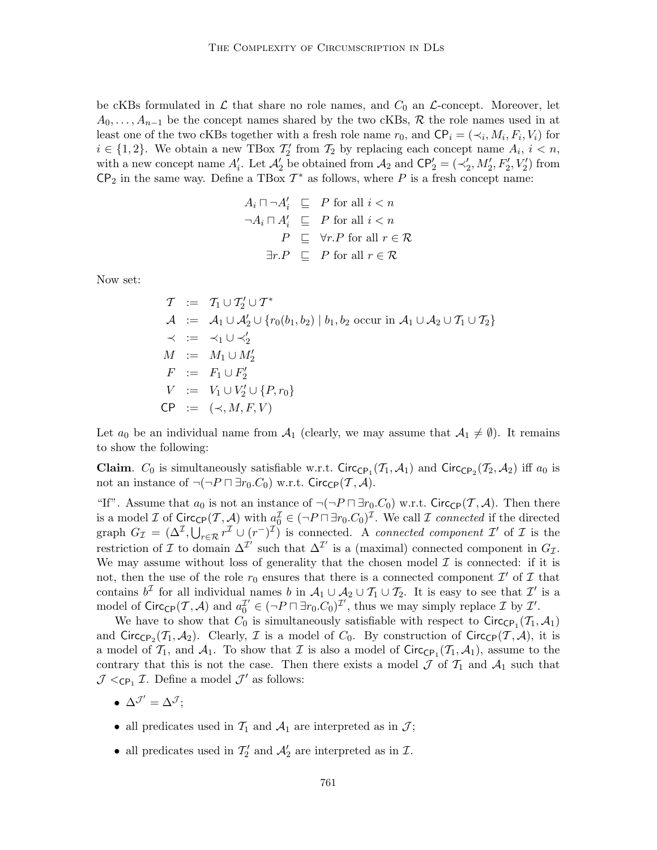be cKBs formulated in  $\mathcal L$  that share no role names, and  $C_0$  an  $\mathcal L$ -concept. Moreover, let  $A_0, \ldots, A_{n-1}$  be the concept names shared by the two cKBs, R the role names used in at least one of the two cKBs together with a fresh role name  $r_0$ , and  $\mathsf{CP}_i = (\prec_i, M_i, F_i, V_i)$  for  $i \in \{1,2\}$ . We obtain a new TBox  $\mathcal{T}'_2$  from  $\mathcal{T}_2$  by replacing each concept name  $A_i$ ,  $i < n$ , with a new concept name  $A'_i$ . Let  $A'_2$  be obtained from  $A_2$  and  $\mathsf{CP}'_2 = (\prec'_2, M'_2, F'_2, V'_2)$  from  $\mathsf{CP}_2$  in the same way. Define a TBox  $\mathcal{T}^*$  as follows, where P is a fresh concept name:

$$
A_i \sqcap \neg A'_i \sqsubseteq P \text{ for all } i < n
$$
  
\n
$$
\neg A_i \sqcap A'_i \sqsubseteq P \text{ for all } i < n
$$
  
\n
$$
P \sqsubseteq \forall r.P \text{ for all } r \in \mathcal{R}
$$
  
\n
$$
\exists r.P \sqsubseteq P \text{ for all } r \in \mathcal{R}
$$

Now set:

$$
T := T_1 \cup T_2' \cup T^*
$$
  
\n
$$
A := A_1 \cup A_2' \cup \{r_0(b_1, b_2) \mid b_1, b_2 \text{ occur in } A_1 \cup A_2 \cup T_1 \cup T_2\}
$$
  
\n
$$
\prec := \prec_1 \cup \prec_2'
$$
  
\n
$$
M := M_1 \cup M_2'
$$
  
\n
$$
F := F_1 \cup F_2'
$$
  
\n
$$
V := V_1 \cup V_2' \cup \{P, r_0\}
$$
  
\n
$$
CP := (\prec, M, F, V)
$$

Let  $a_0$  be an individual name from  $A_1$  (clearly, we may assume that  $A_1 \neq \emptyset$ ). It remains to show the following:

**Claim.**  $C_0$  is simultaneously satisfiable w.r.t. Circ<sub>CP<sub>1</sub></sub> $(\mathcal{T}_1, \mathcal{A}_1)$  and Circ<sub>CP<sub>2</sub></sub> $(\mathcal{T}_2, \mathcal{A}_2)$  iff  $a_0$  is not an instance of  $\neg(\neg P \sqcap \exists r_0.C_0)$  w.r.t. Circ<sub>CP</sub> $(\mathcal{T}, \mathcal{A})$ .

"If". Assume that  $a_0$  is not an instance of  $\neg(\neg P \sqcap \exists r_0.C_0)$  w.r.t. Circ<sub>CP</sub>(T, A). Then there is a model  $\mathcal I$  of  $\text{Circ}_{\text{CP}}(\mathcal T, \mathcal A)$  with  $a_0^{\mathcal I} \in (\neg P \sqcap \exists r_0 C_0)^{\mathcal I}$ . We call  $\mathcal I$  connected if the directed graph  $G_{\mathcal{I}} = (\Delta^{\mathcal{I}}, \bigcup_{r \in \mathcal{R}} r^{\mathcal{I}} \cup (r^{-})^{\mathcal{I}})$  is connected. A connected component  $\mathcal{I}'$  of  $\mathcal{I}$  is the restriction of  $\mathcal I$  to domain  $\Delta^{\mathcal I'}$  such that  $\Delta^{\mathcal I'}$  is a (maximal) connected component in  $G_{\mathcal I}$ . We may assume without loss of generality that the chosen model  $\mathcal I$  is connected: if it is not, then the use of the role  $r_0$  ensures that there is a connected component  $\mathcal{I}'$  of  $\mathcal I$  that contains  $b^{\mathcal{I}}$  for all individual names b in  $\mathcal{A}_1 \cup \mathcal{A}_2 \cup \mathcal{T}_1 \cup \mathcal{T}_2$ . It is easy to see that  $\mathcal{I}'$  is a model of Circ<sub>CP</sub> $(\mathcal{T}, \mathcal{A})$  and  $a_0^{\mathcal{I}'} \in (\neg P \sqcap \exists r_0.C_0)^{\mathcal{I}'},$  thus we may simply replace  $\mathcal{I}$  by  $\mathcal{I}'.$ 

We have to show that  $C_0$  is simultaneously satisfiable with respect to  $Circ_{\mathsf{CP}_1}(\mathcal{T}_1, \mathcal{A}_1)$ and Circ<sub>CP2</sub>( $T_1, A_2$ ). Clearly,  $\mathcal I$  is a model of  $C_0$ . By construction of Circ<sub>CP</sub>( $\mathcal I, \mathcal A$ ), it is a model of  $\mathcal{T}_1$ , and  $\mathcal{A}_1$ . To show that  $\mathcal I$  is also a model of  $\text{Circ}_{\text{CP}_1}(\mathcal{T}_1, \mathcal{A}_1)$ , assume to the contrary that this is not the case. Then there exists a model  $\mathcal J$  of  $\mathcal T_1$  and  $\mathcal A_1$  such that  $\mathcal{J} <_{\mathsf{CP}_1} \mathcal{I}$ . Define a model  $\mathcal{J}'$  as follows:

- $\Delta^{\mathcal{J}'} = \Delta^{\mathcal{J}};$
- all predicates used in  $\mathcal{T}_1$  and  $\mathcal{A}_1$  are interpreted as in  $\mathcal{J}$ ;
- all predicates used in  $\mathcal{T}'_2$  and  $\mathcal{A}'_2$  are interpreted as in  $\mathcal{I}$ .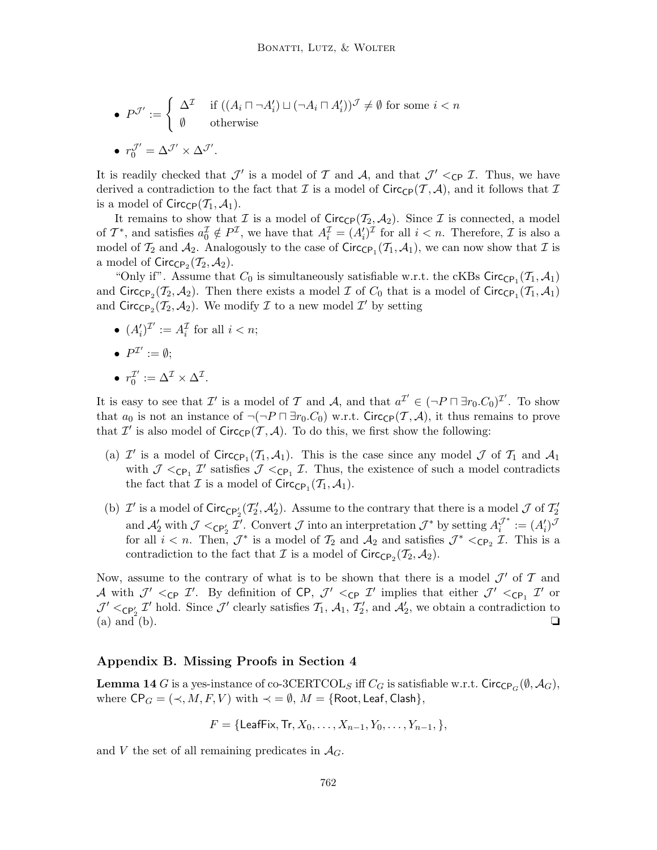\n- \n
$$
P^{\mathcal{J}'} := \n\begin{cases}\n\Delta^{\mathcal{I}} & \text{if } \left( (A_i \sqcap \neg A'_i) \sqcup (\neg A_i \sqcap A'_i) \right)^{\mathcal{J}} \neq \emptyset \text{ for some } i < n \\
\emptyset & \text{otherwise}\n\end{cases}
$$
\n
\n- \n
$$
r_0^{\mathcal{J}'} = \Delta^{\mathcal{J}'} \times \Delta^{\mathcal{J}'}.
$$
\n
\n

It is readily checked that  $\mathcal{J}'$  is a model of T and A, and that  $\mathcal{J}' <_{\mathsf{CP}} \mathcal{I}$ . Thus, we have derived a contradiction to the fact that  $\mathcal I$  is a model of  $Circ_{\mathbb C}P(\mathcal T,\mathcal A)$ , and it follows that  $\mathcal I$ is a model of  $Circ_{\mathbb{CP}}(\mathcal{T}_1, \mathcal{A}_1)$ .

It remains to show that I is a model of  $Circ_{\mathbb{C}P}(\mathcal{I}_2, \mathcal{A}_2)$ . Since I is connected, a model of  $\mathcal{T}^*$ , and satisfies  $a_0^{\mathcal{T}} \notin P^{\mathcal{I}}$ , we have that  $A_i^{\mathcal{I}} = (A_i')^{\mathcal{I}}$  for all  $i < n$ . Therefore,  $\mathcal{I}$  is also a model of  $\mathcal{T}_2$  and  $\mathcal{A}_2$ . Analogously to the case of  $\text{Circ}_{\text{CP}_1}(\mathcal{T}_1, \mathcal{A}_1)$ , we can now show that  $\mathcal{I}$  is a model of  $\textsf{Circ}_{\textsf{CP}_2}(\mathcal{T}_2, \mathcal{A}_2).$ 

"Only if". Assume that  $C_0$  is simultaneously satisfiable w.r.t. the cKBs Circ<sub>CP1</sub> $(\mathcal{T}_1, \mathcal{A}_1)$ and Circ<sub>CP<sub>2</sub></sub>( $\mathcal{T}_2$ ,  $\mathcal{A}_2$ ). Then there exists a model  $\mathcal{I}$  of  $C_0$  that is a model of Circ<sub>CP<sub>1</sub></sub>( $\mathcal{T}_1$ ,  $\mathcal{A}_1$ ) and  $\text{Circ}_{\text{CP}_2}(\mathcal{T}_2, \mathcal{A}_2)$ . We modify  $\mathcal I$  to a new model  $\mathcal I'$  by setting

•  $(A'_i)^{\mathcal{I}'} := A_i^{\mathcal{I}}$  for all  $i < n$ ;

$$
\bullet\ \ P^{\mathcal I'}:=\emptyset;
$$

$$
\bullet \ \ r_0^{\mathcal{I}'}:=\Delta^{\mathcal{I}}\times \Delta^{\mathcal{I}}.
$$

It is easy to see that  $\mathcal{I}'$  is a model of  $\mathcal{T}$  and  $\mathcal{A}$ , and that  $a^{\mathcal{I}'} \in (\neg P \sqcap \exists r_0.C_0)^{\mathcal{I}'}$ . To show that  $a_0$  is not an instance of  $\neg(\neg P \sqcap \exists r_0.C_0)$  w.r.t. Circ<sub>CP</sub>(T, A), it thus remains to prove that  $\mathcal{I}'$  is also model of  $\text{Circ}_{\text{CP}}(\mathcal{T}, \mathcal{A})$ . To do this, we first show the following:

- (a)  $\mathcal{I}'$  is a model of  $Circ_{\mathbb{C}P_1}(\mathcal{T}_1,\mathcal{A}_1)$ . This is the case since any model  $\mathcal J$  of  $\mathcal T_1$  and  $\mathcal A_1$ with  $\mathcal{J} <_{\text{CP}_1} \mathcal{I}'$  satisfies  $\mathcal{J} <_{\text{CP}_1} \mathcal{I}$ . Thus, the existence of such a model contradicts the fact that  $\mathcal I$  is a model of  $Circ_{\mathsf{CP}_1}(\mathcal T_1, \mathcal A_1)$ .
- (b)  $\mathcal{I}'$  is a model of  $\text{Circ}_{\mathbb{CP}'_2}(\mathcal{I}'_2, \mathcal{A}'_2)$ . Assume to the contrary that there is a model  $\mathcal{J}$  of  $\mathcal{I}'_2$ and  $\mathcal{A}'_2$  with  $\mathcal{J} <_{\mathsf{CP}'_2} \mathcal{I}'$ . Convert  $\mathcal{J}$  into an interpretation  $\mathcal{J}^*$  by setting  $A_i^{\mathcal{J}^*} := (A'_i)^{\mathcal{J}}$ for all  $i < n$ . Then,  $\mathcal{J}^*$  is a model of  $\mathcal{T}_2$  and  $\mathcal{A}_2$  and satisfies  $\mathcal{J}^* <_{\mathsf{CP}_2} \mathcal{I}$ . This is a contradiction to the fact that  $\mathcal I$  is a model of  $\text{Circ}_{\text{CP}_2}(\mathcal T_2, \mathcal A_2)$ .

Now, assume to the contrary of what is to be shown that there is a model  $\mathcal{J}'$  of  $\mathcal{T}$  and A with  $\mathcal{J}' <_{\mathsf{CP}} \mathcal{I}'$ . By definition of  $\mathsf{CP}, \ \mathcal{J}' <_{\mathsf{CP}} \mathcal{I}'$  implies that either  $\mathcal{J}' <_{\mathsf{CP}_1} \mathcal{I}'$  or  $\mathcal{J}' \leq_{\mathsf{CP}'_2} \mathcal{I}'$  hold. Since  $\mathcal{J}'$  clearly satisfies  $\mathcal{T}_1$ ,  $\mathcal{A}_1$ ,  $\mathcal{T}'_2$ , and  $\mathcal{A}'_2$ , we obtain a contradiction to (a) and (b).  $\Box$ 

# Appendix B. Missing Proofs in Section 4

**Lemma 14** G is a yes-instance of co-3CERTCOL<sub>S</sub> iff  $C_G$  is satisfiable w.r.t. Circ<sub>CP<sub>G</sub>( $\emptyset$ ,  $\mathcal{A}_G$ ),</sub> where  $\mathsf{CP}_G = (\prec, M, F, V)$  with  $\prec = \emptyset$ ,  $M = \{\mathsf{Root}, \mathsf{Leaf}, \mathsf{Cash}\},\$ 

$$
F = \{ \text{LeafFix}, \text{Tr}, X_0, \ldots, X_{n-1}, Y_0, \ldots, Y_{n-1}, \},
$$

and V the set of all remaining predicates in  $\mathcal{A}_G$ .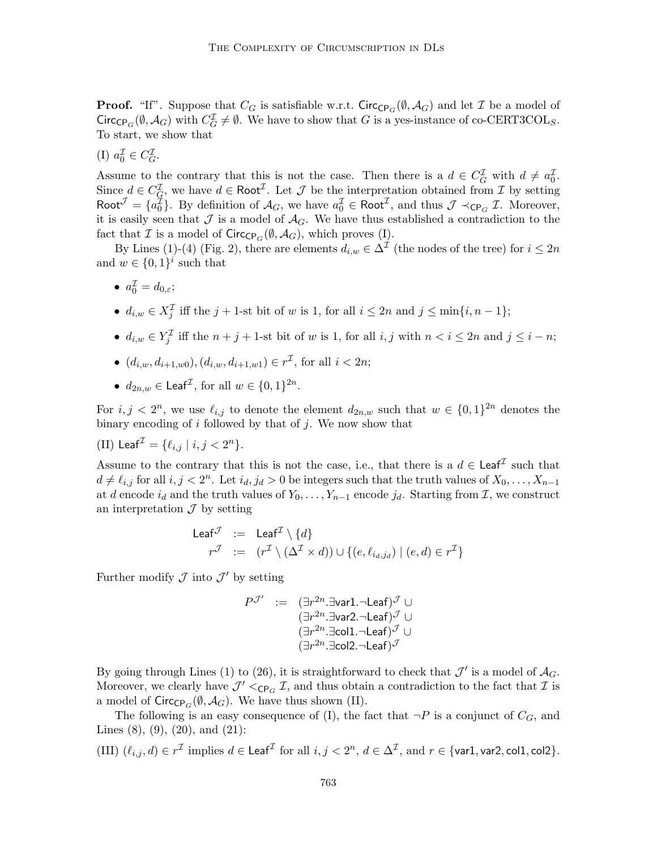**Proof.** "If". Suppose that  $C_G$  is satisfiable w.r.t. Circ<sub>CP<sub>G</sub>( $\emptyset$ ,  $\mathcal{A}_G$ ) and let  $\mathcal I$  be a model of</sub> Circ<sub>CP<sub>G</sub>( $\emptyset$ ,  $\mathcal{A}_G$ ) with  $C_G^{\mathcal{I}} \neq \emptyset$ . We have to show that G is a yes-instance of co-CERT3COL<sub>S</sub>.</sub> To start, we show that

(I) 
$$
a_0^{\mathcal{I}} \in C_G^{\mathcal{I}}
$$
.

Assume to the contrary that this is not the case. Then there is a  $d \in C_G^{\mathcal{I}}$  with  $d \neq a_0^{\mathcal{I}}$ . Since  $d \in C_G^{\mathcal{I}}$ , we have  $d \in \text{Root}^{\mathcal{I}}$ . Let  $\mathcal{J}$  be the interpretation obtained from  $\mathcal{I}$  by setting Root  $\mathcal{J} = \{a_0^{\mathcal{I}}\}$ . By definition of  $\mathcal{A}_G$ , we have  $a_0^{\mathcal{I}} \in \text{Root}^{\mathcal{I}}$ , and thus  $\mathcal{J} \prec_{\text{CP}_G} \mathcal{I}$ . Moreover, it is easily seen that  $\mathcal J$  is a model of  $\mathcal A_G$ . We have thus established a contradiction to the fact that  $\mathcal I$  is a model of  $\text{Circ}_{\text{CP}_G}(\emptyset, \mathcal A_G)$ , which proves (I).

By Lines (1)-(4) (Fig. 2), there are elements  $d_{i,w} \in \Delta^{\mathcal{I}}$  (the nodes of the tree) for  $i \leq 2n$ and  $w \in \{0,1\}^i$  such that

- $a_0^{\mathcal{I}} = d_{0,\varepsilon};$
- $d_{i,w} \in X_j^{\mathcal{I}}$  iff the  $j + 1$ -st bit of w is 1, for all  $i \leq 2n$  and  $j \leq \min\{i, n-1\}$ ;
- $d_{i,w} \in Y_j^{\mathcal{I}}$  iff the  $n + j + 1$ -st bit of w is 1, for all  $i, j$  with  $n < i \leq 2n$  and  $j \leq i n$ ;
- $(d_{i,w}, d_{i+1,w0}), (d_{i,w}, d_{i+1,w1}) \in r^{\mathcal{I}}$ , for all  $i < 2n$ ;
- $d_{2n,w} \in \text{Leaf}^{\mathcal{I}}, \text{ for all } w \in \{0,1\}^{2n}.$

For  $i, j < 2^n$ , we use  $\ell_{i,j}$  to denote the element  $d_{2n,w}$  such that  $w \in \{0,1\}^{2n}$  denotes the binary encoding of  $i$  followed by that of  $j$ . We now show that

(II) 
$$
\mathsf{Leaf}^{\mathcal{I}} = \{\ell_{i,j} \mid i,j < 2^n\}.
$$

Assume to the contrary that this is not the case, i.e., that there is a  $d \in \text{Leaf}^{\mathcal{I}}$  such that  $d \neq \ell_{i,j}$  for all  $i, j < 2^n$ . Let  $i_d, j_d > 0$  be integers such that the truth values of  $X_0, \ldots, X_{n-1}$ at d encode  $i_d$  and the truth values of  $Y_0, \ldots, Y_{n-1}$  encode  $j_d$ . Starting from  $\mathcal{I}$ , we construct an interpretation  $\mathcal J$  by setting

$$
\begin{array}{rcl}\n\text{Leaf}^{\mathcal{J}} & := & \text{Leaf}^{\mathcal{I}} \setminus \{d\} \\
r^{\mathcal{J}} & := & (r^{\mathcal{I}} \setminus (\Delta^{\mathcal{I}} \times d)) \cup \{(e, \ell_{i_d, j_d}) \mid (e, d) \in r^{\mathcal{I}}\}\n\end{array}
$$

Further modify  $\mathcal J$  into  $\mathcal J'$  by setting

$$
\begin{array}{rcl} P^{\mathcal{J}'} & := & (\exists r^{2n}.\exists \text{var1}.\neg \text{Leaf})^{\mathcal{J}} \cup \\ & & (\exists r^{2n}.\exists \text{var2}.\neg \text{Leaf})^{\mathcal{J}} \cup \\ & & (\exists r^{2n}.\exists \text{coll}.\neg \text{Leaf})^{\mathcal{J}} \cup \\ & & (\exists r^{2n}.\exists \text{col2}.\neg \text{Leaf})^{\mathcal{J}} \end{array}
$$

By going through Lines (1) to (26), it is straightforward to check that  $\mathcal{J}'$  is a model of  $\mathcal{A}_G$ . Moreover, we clearly have  $\mathcal{J}' <_{\mathsf{CP}_G} \mathcal{I}$ , and thus obtain a contradiction to the fact that  $\mathcal{I}$  is a model of  $\text{Circ}_{\text{CP}_G}(\emptyset, \mathcal{A}_G)$ . We have thus shown (II).

The following is an easy consequence of (I), the fact that  $\neg P$  is a conjunct of  $C_G$ , and Lines  $(8)$ ,  $(9)$ ,  $(20)$ , and  $(21)$ :

(III) 
$$
(\ell_{i,j}, d) \in r^{\mathcal{I}}
$$
 implies  $d \in \text{Leaf}^{\mathcal{I}}$  for all  $i, j < 2^n$ ,  $d \in \Delta^{\mathcal{I}}$ , and  $r \in \{\text{var1}, \text{var2}, \text{col1}, \text{col2}\}.$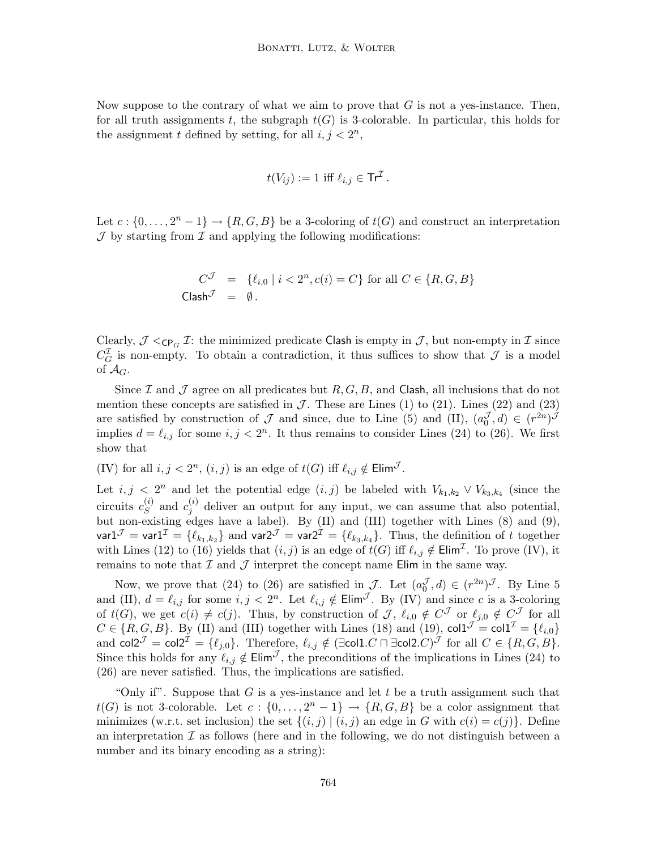Now suppose to the contrary of what we aim to prove that  $G$  is not a yes-instance. Then, for all truth assignments t, the subgraph  $t(G)$  is 3-colorable. In particular, this holds for the assignment t defined by setting, for all  $i, j < 2<sup>n</sup>$ ,

$$
t(V_{ij}) := 1 \text{ iff } \ell_{i,j} \in \text{Tr}^{\mathcal{I}}.
$$

Let  $c: \{0, \ldots, 2^n - 1\} \to \{R, G, B\}$  be a 3-coloring of  $t(G)$  and construct an interpretation  $J$  by starting from  $I$  and applying the following modifications:

$$
C^{\mathcal{J}} = \{ \ell_{i,0} \mid i < 2^n, c(i) = C \} \text{ for all } C \in \{R, G, B \}
$$
\n
$$
\text{Class}^{\mathcal{J}} = \emptyset.
$$

Clearly,  $\mathcal{J} <_{\mathsf{CP}_G} \mathcal{I}$ : the minimized predicate Clash is empty in  $\mathcal{J}$ , but non-empty in  $\mathcal{I}$  since  $C_G^{\mathcal{I}}$  is non-empty. To obtain a contradiction, it thus suffices to show that  $\mathcal J$  is a model of  $\mathcal{A}_G$ .

Since  $\mathcal I$  and  $\mathcal J$  agree on all predicates but  $R, G, B$ , and Clash, all inclusions that do not mention these concepts are satisfied in  $\mathcal{J}$ . These are Lines (1) to (21). Lines (22) and (23) are satisfied by construction of  $\mathcal J$  and since, due to Line (5) and (II),  $(a_0^{\mathcal J},d) \in (r^{2n})^{\mathcal J}$ implies  $d = \ell_{i,j}$  for some  $i, j < 2^n$ . It thus remains to consider Lines (24) to (26). We first show that

(IV) for all  $i, j < 2<sup>n</sup>$ ,  $(i, j)$  is an edge of  $t(G)$  iff  $\ell_{i,j} \notin \textsf{Elim}^{\mathcal{J}}$ .

Let  $i, j < 2^n$  and let the potential edge  $(i, j)$  be labeled with  $V_{k_1, k_2} \vee V_{k_3, k_4}$  (since the circuits  $c_S^{(i)}$  $s^{(i)}$  and  $c_j^{(i)}$  $j^{(i)}$  deliver an output for any input, we can assume that also potential, but non-existing edges have a label). By (II) and (III) together with Lines (8) and (9), var $1^\mathcal{J} =$  var $1^\mathcal{I} = \{\ell_{k_1,k_2}\}$  and var $2^\mathcal{J} =$  var $2^\mathcal{I} = \{\ell_{k_3,k_4}\}.$  Thus, the definition of  $t$  together with Lines (12) to (16) yields that  $(i, j)$  is an edge of  $t(G)$  iff  $\ell_{i,j} \notin \text{Elim}^{\mathcal{I}}$ . To prove (IV), it remains to note that  $\mathcal I$  and  $\mathcal J$  interpret the concept name Elim in the same way.

Now, we prove that (24) to (26) are satisfied in J. Let  $(a_0^{\mathcal{J}}, d) \in (r^{2n})^{\mathcal{J}}$ . By Line 5 and (II),  $d = \ell_{i,j}$  for some  $i, j < 2^n$ . Let  $\ell_{i,j} \notin \text{Elim}^{\mathcal{J}}$ . By (IV) and since c is a 3-coloring of  $t(G)$ , we get  $c(i) \neq c(j)$ . Thus, by construction of J,  $\ell_{i,0} \notin C^{\mathcal{J}}$  or  $\ell_{j,0} \notin C^{\mathcal{J}}$  for all  $C \in \{R, G, B\}$ . By (II) and (III) together with Lines (18) and (19),  $\text{col}1^{\mathcal{J}} = \text{col}1^{\mathcal{I}} = \{\ell_{i,0}\}$ and col2 $\mathcal{I} = \mathsf{col2}^\mathcal{I} = \{\ell_{j,0}\}.$  Therefore,  $\ell_{i,j} \notin (\exists \mathsf{col1}.C \sqcap \exists \mathsf{col2}.C)^\mathcal{J}$  for all  $C \in \{R,G,B\}.$ Since this holds for any  $\ell_{i,j} \notin \text{Elim}^{\mathcal{J}}$ , the preconditions of the implications in Lines (24) to (26) are never satisfied. Thus, the implications are satisfied.

"Only if". Suppose that  $G$  is a yes-instance and let  $t$  be a truth assignment such that  $t(G)$  is not 3-colorable. Let  $c: \{0, \ldots, 2^n-1\} \to \{R, G, B\}$  be a color assignment that minimizes (w.r.t. set inclusion) the set  $\{(i, j) | (i, j)$  an edge in G with  $c(i) = c(j)\}$ . Define an interpretation  $\mathcal I$  as follows (here and in the following, we do not distinguish between a number and its binary encoding as a string):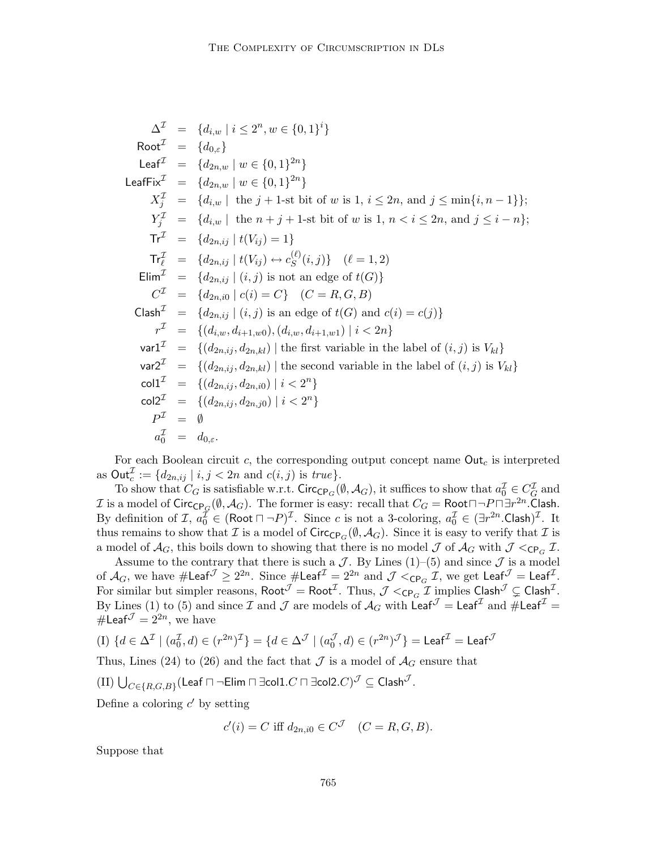$$
\Delta^{T} = \{d_{i,w} \mid i \leq 2^{n}, w \in \{0,1\}^{i}\}
$$
  
\n
$$
\text{Root}^{T} = \{d_{0,\varepsilon}\}
$$
  
\n
$$
\text{Leaf}^{T} = \{d_{2n,w} \mid w \in \{0,1\}^{2n}\}
$$
  
\n
$$
\text{LeafFix}^{T} = \{d_{2n,w} \mid w \in \{0,1\}^{2n}\}
$$
  
\n
$$
X_{j}^{T} = \{d_{i,w} \mid \text{ the } j+1\text{-st bit of } w \text{ is } 1, i \leq 2n, \text{ and } j \leq \min\{i, n-1\}\};
$$
  
\n
$$
Y_{j}^{T} = \{d_{i,w} \mid \text{ the } n+j+1\text{-st bit of } w \text{ is } 1, n < i \leq 2n, \text{ and } j \leq i-n\};
$$
  
\n
$$
\text{Tr}^{T} = \{d_{2n,ij} \mid t(V_{ij}) = 1\}
$$
  
\n
$$
\text{Tr}^{T}_{\ell} = \{d_{2n,ij} \mid t(V_{ij}) \leftrightarrow c_{S}^{(\ell)}(i,j)\} \quad (\ell = 1, 2)
$$
  
\n
$$
\text{Elim}^{T} = \{d_{2n,ij} \mid (i,j) \text{ is not an edge of } t(G)\}
$$
  
\n
$$
C^{T} = \{d_{2n,ij} \mid (i,j) \text{ is an edge of } t(G) \text{ and } c(i) = c(j)\}
$$
  
\n
$$
r^{T} = \{(d_{i,w}, d_{i+1,w0}), (d_{i,w}, d_{i+1,w1}) \mid i < 2n\}
$$
  
\n
$$
\text{var}^{T} = \{(d_{2n,ij}, d_{2n,kl}) \mid \text{the first variable in the label of } (i,j) \text{ is } V_{kl}\}
$$
  
\n
$$
\text{var}^{T} = \{(d_{2n,ij}, d_{2n,kl}) \mid \text{the second variable in the label of } (i,j) \text{ is } V_{kl}\}
$$
  
\n
$$
\text{col}^{T} = \{(d_{2n,ij}, d_{2n,ij0}) \mid i < 2^n\}
$$
  
\n
$$
\text{col}
$$

For each Boolean circuit  $c$ , the corresponding output concept name  $\text{Out}_c$  is interpreted as  $\text{Out}_c^{\mathcal{I}} := \{d_{2n,ij} \mid i, j < 2n \text{ and } c(i,j) \text{ is } true\}.$ 

To show that  $C_G$  is satisfiable w.r.t. Circ<sub>CP<sub>G</sub>( $\emptyset$ ,  $\mathcal{A}_G$ ), it suffices to show that  $a_0^{\mathcal{I}} \in C_G^{\mathcal{I}}$  and</sub>  $\mathcal I$  is a model of  $\mathsf{Circ}_{\mathsf{CP}_G}(\emptyset,\mathcal A_G).$  The former is easy: recall that  $C_G=\mathsf{Root}\sqcap\neg P\sqcap\exists r^{2n}.$  Clash. By definition of  $\mathcal{I}, a_0^{\mathcal{I}} \in (\text{Root } \sqcap \neg P)^{\mathcal{I}}$ . Since c is not a 3-coloring,  $a_0^{\mathcal{I}} \in (\exists r^{2n}.\text{Cash})^{\mathcal{I}}$ . It thus remains to show that  $\mathcal I$  is a model of  $\text{Circ}_{\text{CP}_G}(\emptyset, \mathcal A_G)$ . Since it is easy to verify that  $\mathcal I$  is a model of  $A_G$ , this boils down to showing that there is no model  $J$  of  $A_G$  with  $J<sub>CPG</sub>$   $\mathcal I$ .

Assume to the contrary that there is such a  $\mathcal J$ . By Lines (1)–(5) and since  $\mathcal J$  is a model of  $\mathcal{A}_G$ , we have  $\#\mathsf{Leaf}^{\mathcal{J}} \geq 2^{2n}$ . Since  $\#\mathsf{Leaf}^{\mathcal{I}} = 2^{2n}$  and  $\mathcal{J} <_{\mathsf{CP}_G} \mathcal{I}$ , we get  $\mathsf{Leaf}^{\mathcal{J}} = \mathsf{Leaf}^{\mathcal{I}}$ . For similar but simpler reasons,  $\mathsf{Root}^{\mathcal{J}} = \mathsf{Root}^{\mathcal{I}}$ . Thus,  $\mathcal{J} <_{\mathsf{CP}_G} \mathcal{I}$  implies  $\mathsf{Cash}^{\mathcal{J}} \subsetneq \mathsf{Cash}^{\mathcal{I}}$ . By Lines (1) to (5) and since  $\cal I$  and  $\cal J$  are models of  ${\cal A}_G$  with  $\tilde{\sf Leaf}^{\cal J} = {\sf Leaf}^{\cal I}$  and  $\# {\sf Leaf}^{\cal I} =$ #Leaf $\mathcal{J}=2^{2n}$ , we have

(I) 
$$
\{d \in \Delta^{\mathcal{I}} \mid (a_0^{\mathcal{I}}, d) \in (r^{2n})^{\mathcal{I}}\} = \{d \in \Delta^{\mathcal{J}} \mid (a_0^{\mathcal{J}}, d) \in (r^{2n})^{\mathcal{J}}\} = \text{Leaf}^{\mathcal{I}} = \text{Leaf}^{\mathcal{J}}
$$

Thus, Lines (24) to (26) and the fact that  $\mathcal J$  is a model of  $\mathcal A_G$  ensure that

$$
(\mathrm{II})\ \bigcup_{C\in\{R,G,B\}} (\mathsf{Leaf}\sqcap\neg\mathsf{Elim}\sqcap\exists\mathsf{col1}.C\sqcap\exists\mathsf{col2}.C)^{\mathcal{J}}\subseteq\mathsf{Clash}^{\mathcal{J}}.
$$

Define a coloring  $c'$  by setting

$$
c'(i) = C \text{ iff } d_{2n,i0} \in C^{\mathcal{J}} \quad (C = R, G, B).
$$

Suppose that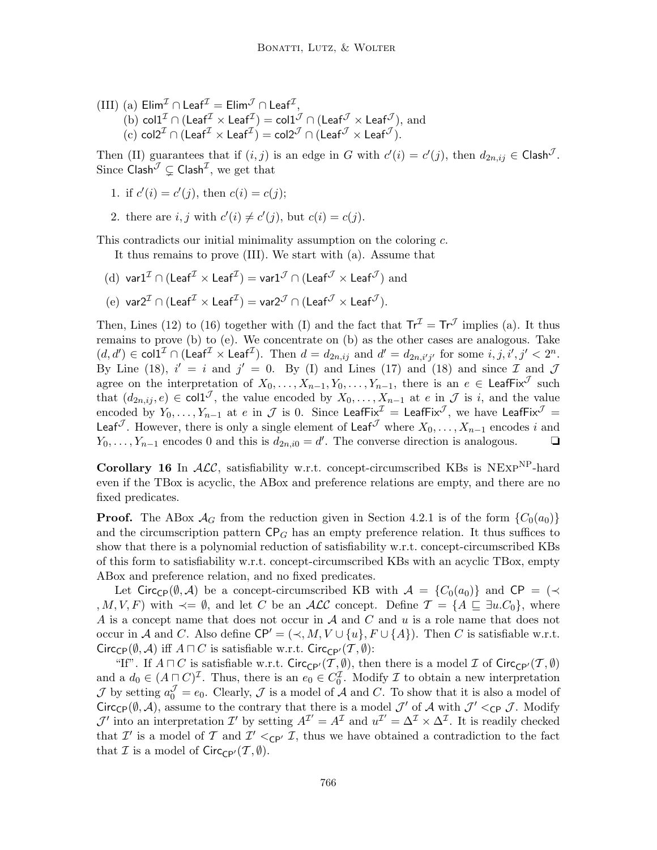$\text{(III)} \text{ (a) } \textsf{Elim}^{\mathcal I} \cap \textsf{Leaf}^{\mathcal I} = \textsf{Elim}^{\mathcal J} \cap \textsf{Leaf}^{\mathcal I},$ (b)  $\text{col1}^{\mathcal{I}} \cap (\text{Leaf}^{\mathcal{I}} \times \text{Leaf}^{\mathcal{I}}) = \text{col1}^{\mathcal{J}} \cap (\text{Leaf}^{\mathcal{J}} \times \text{Leaf}^{\mathcal{J}}),$  and  $\mathcal{L}(\mathbf{c})$  col2<sup>T</sup> ∩ (Leaf $^{\mathcal{I}} \times \mathsf{Leaf}^{\mathcal{I}}) = \mathsf{col2}^{\mathcal{J}} \cap (\mathsf{Leaf}^{\mathcal{J}} \times \mathsf{Leaf}^{\mathcal{J}}).$ 

Then (II) guarantees that if  $(i, j)$  is an edge in G with  $c'(i) = c'(j)$ , then  $d_{2n, ij} \in \mathsf{Clash}^{\mathcal{J}}$ . Since  $\mathsf{Clash}^\mathcal{J} \subsetneq \mathsf{Clash}^\mathcal{I},$  we get that

1. if 
$$
c'(i) = c'(j)
$$
, then  $c(i) = c(j)$ ;

2. there are  $i, j$  with  $c'(i) \neq c'(j)$ , but  $c(i) = c(j)$ .

This contradicts our initial minimality assumption on the coloring c.

It thus remains to prove (III). We start with (a). Assume that

(d) var1<sup>I</sup> ∩ (Leaf $^{\cal I}$   $\times$  Leaf $^{\cal I}$ )  $=$  var1 $^{\cal J}$  ∩ (Leaf $^{\cal J}$   $\times$  Leaf $^{\cal J}$ )  $\rm{and}$ (e) var2<sup>I</sup> ∩ (Leaf<sup>I</sup> × Leaf<sup>I</sup>) = var2<sup>J</sup> ∩ (Leaf<sup>J</sup> × Leaf<sup>J</sup>).

Then, Lines (12) to (16) together with (I) and the fact that  $Tr^{\mathcal{I}} = Tr^{\mathcal{J}}$  implies (a). It thus remains to prove (b) to (e). We concentrate on (b) as the other cases are analogous. Take  $(d, d') \in \mathsf{coll}^\mathcal{I} \cap (\mathsf{Leaf}^\mathcal{I} \times \mathsf{Leaf}^\mathcal{I}).$  Then  $d = d_{2n, ij}$  and  $d' = d_{2n, i'j'}$  for some  $i, j, i', j' < 2^n$ . By Line (18),  $i' = i$  and  $j' = 0$ . By (I) and Lines (17) and (18) and since  $\mathcal I$  and  $\mathcal J$ agree on the interpretation of  $X_0, \ldots, X_{n-1}, Y_0, \ldots, Y_{n-1}$ , there is an  $e \in \text{LeafFix}^{\mathcal{J}}$  such that  $(d_{2n,ij}, e) \in \text{col}1^{\mathcal{J}}$ , the value encoded by  $X_0, \ldots, X_{n-1}$  at  $e$  in  $\mathcal{J}$  is i, and the value encoded by  $Y_0,\ldots,Y_{n-1}$  at  $e$  in  ${\cal J}$  is  $0.$  Since <code>LeafFix $^{\cal J}$  = LeafFix $^{\cal J}$ , we have <code>LeafFix $^{\cal J}$  =</code></code> Leaf<sup>J</sup>. However, there is only a single element of Leaf<sup>J</sup> where  $X_0, \ldots, X_{n-1}$  encodes i and  $Y_0, \ldots, Y_{n-1}$  encodes 0 and this is  $d_{2n,i0} = d'$ . The converse direction is analogous. <br>□

Corollary 16 In  $ALC$ , satisfiability w.r.t. concept-circumscribed KBs is NEXP<sup>NP</sup>-hard even if the TBox is acyclic, the ABox and preference relations are empty, and there are no fixed predicates.

**Proof.** The ABox  $\mathcal{A}_G$  from the reduction given in Section 4.2.1 is of the form  $\{C_0(a_0)\}$ and the circumscription pattern  $\mathsf{CP}_G$  has an empty preference relation. It thus suffices to show that there is a polynomial reduction of satisfiability w.r.t. concept-circumscribed KBs of this form to satisfiability w.r.t. concept-circumscribed KBs with an acyclic TBox, empty ABox and preference relation, and no fixed predicates.

Let Circ<sub>CP</sub>( $\emptyset$ , A) be a concept-circumscribed KB with  $A = \{C_0(a_0)\}\$ and CP = ( $\prec$ , M, V, F) with  $\prec = \emptyset$ , and let C be an ALC concept. Define  $\mathcal{T} = \{A \sqsubseteq \exists u.C_0\}$ , where A is a concept name that does not occur in  $A$  and  $C$  and  $u$  is a role name that does not occur in A and C. Also define  $\mathsf{CP}' = (\prec, M, V \cup \{u\}, F \cup \{A\})$ . Then C is satisfiable w.r.t. Circ<sub>CP</sub>( $(\emptyset, \mathcal{A})$  iff  $A \sqcap C$  is satisfiable w.r.t. Circ<sub>CP'</sub>( $\mathcal{T}, \emptyset$ ):

"If". If  $A \sqcap C$  is satisfiable w.r.t. Circ<sub>CP'</sub> $(\mathcal{T}, \emptyset)$ , then there is a model  $\mathcal I$  of Circ<sub>CP'</sub> $(\mathcal{T}, \emptyset)$ and a  $d_0 \in (A \cap C)^{\mathcal{I}}$ . Thus, there is an  $e_0 \in C_0^{\mathcal{I}}$ . Modify  $\mathcal{I}$  to obtain a new interpretation  $\mathcal J$  by setting  $a_0^{\mathcal J} = e_0$ . Clearly,  $\mathcal J$  is a model of  $\mathcal A$  and  $C$ . To show that it is also a model of Circ<sub>CP</sub>( $(\emptyset, \mathcal{A})$ , assume to the contrary that there is a model  $\mathcal{J}'$  of  $\mathcal{A}$  with  $\mathcal{J}' <_{\mathsf{CP}} \mathcal{J}$ . Modify  $\mathcal{J}'$  into an interpretation  $\mathcal{I}'$  by setting  $A^{\mathcal{I}'} = A^{\mathcal{I}}$  and  $u^{\mathcal{I}'} = \Delta^{\mathcal{I}} \times \Delta^{\mathcal{I}}$ . It is readily checked that  $\mathcal{I}'$  is a model of  $\mathcal{T}$  and  $\mathcal{I}' <_{\mathsf{CP'}} \mathcal{I}$ , thus we have obtained a contradiction to the fact that  $\mathcal I$  is a model of  $Circ_{\mathsf{CP}'}(\mathcal T, \emptyset)$ .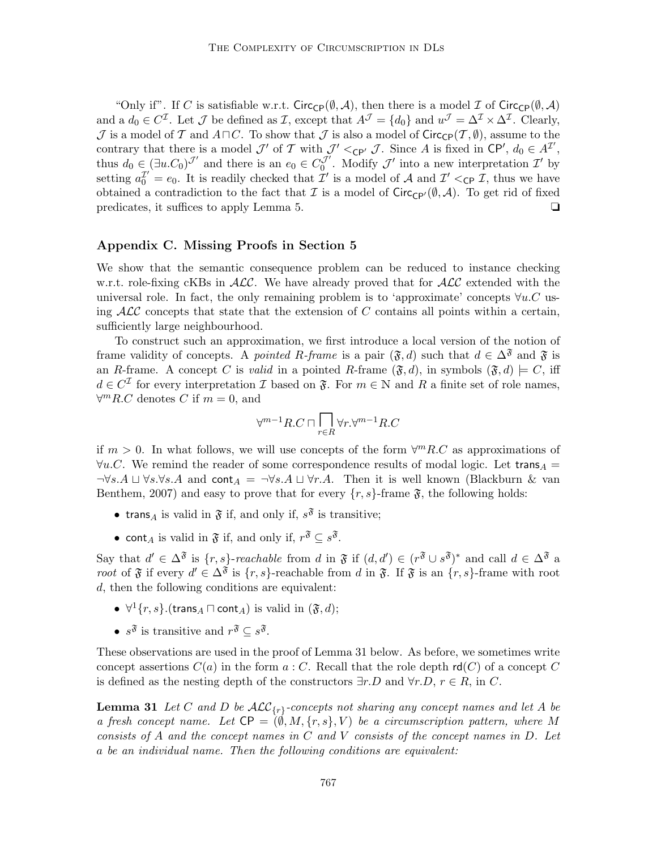"Only if". If C is satisfiable w.r.t. Circ<sub>CP</sub>( $(\emptyset, \mathcal{A})$ , then there is a model  $\mathcal{I}$  of Circ<sub>CP</sub>( $(\emptyset, \mathcal{A})$ ) and a  $d_0 \in C^{\mathcal{I}}$ . Let  $\mathcal J$  be defined as  $\mathcal I$ , except that  $A^{\mathcal{J}} = \{d_0\}$  and  $u^{\mathcal{J}} = \Delta^{\mathcal{I}} \times \Delta^{\mathcal{I}}$ . Clearly, J is a model of T and  $A\sqcap C$ . To show that J is also a model of Circ<sub>CP</sub> $(\mathcal{T}, \emptyset)$ , assume to the contrary that there is a model  $\mathcal{J}'$  of  $\mathcal{T}$  with  $\mathcal{J}' <_{\mathsf{CP'}} \mathcal{J}$ . Since A is fixed in  $\mathsf{CP}', d_0 \in A^{\mathcal{I}'},$ thus  $d_0 \in (\exists u.C_0)^{\mathcal{J}'}$  and there is an  $e_0 \in C_0^{\mathcal{J}'}$ . Modify  $\mathcal{J}'$  into a new interpretation  $\mathcal{I}'$  by setting  $a_0^{\mathcal{I}'} = e_0$ . It is readily checked that  $\mathcal{I}'$  is a model of A and  $\mathcal{I}' <_{\mathsf{CP}} \mathcal{I}$ , thus we have obtained a contradiction to the fact that I is a model of  $Circ_{\mathbb{CP}'}(\emptyset, \mathcal{A})$ . To get rid of fixed predicates, it suffices to apply Lemma 5. ◯

### Appendix C. Missing Proofs in Section 5

We show that the semantic consequence problem can be reduced to instance checking w.r.t. role-fixing cKBs in  $ALC$ . We have already proved that for  $ALC$  extended with the universal role. In fact, the only remaining problem is to 'approximate' concepts  $\forall u.C$  using  $\mathcal{ALC}$  concepts that state that the extension of C contains all points within a certain, sufficiently large neighbourhood.

To construct such an approximation, we first introduce a local version of the notion of frame validity of concepts. A pointed R-frame is a pair  $(\mathfrak{F}, d)$  such that  $d \in \Delta^{\mathfrak{F}}$  and  $\mathfrak{F}$  is an R-frame. A concept C is valid in a pointed R-frame  $(\mathfrak{F}, d)$ , in symbols  $(\mathfrak{F}, d) \models C$ , iff  $d \in C^{\mathcal{I}}$  for every interpretation  $\mathcal{I}$  based on  $\mathfrak{F}$ . For  $m \in \mathbb{N}$  and  $R$  a finite set of role names,  $\forall^m R.C$  denotes C if  $m = 0$ , and

$$
\forall^{m-1}R.C\sqcap \overline{\bigcap_{r\in R}\forall r.} \forall^{m-1}R.C
$$

if  $m > 0$ . In what follows, we will use concepts of the form  $\forall^m R.C$  as approximations of  $\forall u.C.$  We remind the reader of some correspondence results of modal logic. Let trans $\overline{A} =$  $\neg \forall s.A \sqcup \forall s.\forall s.A$  and cont $A = \neg \forall s.A \sqcup \forall r.A$ . Then it is well known (Blackburn & van Benthem, 2007) and easy to prove that for every  $\{r, s\}$ -frame  $\mathfrak{F}$ , the following holds:

- trans<sub>A</sub> is valid in  $\mathfrak F$  if, and only if,  $s^{\mathfrak F}$  is transitive;
- cont<sub>A</sub> is valid in  $\mathfrak{F}$  if, and only if,  $r^{\mathfrak{F}} \subseteq s^{\mathfrak{F}}$ .

Say that  $d' \in \Delta^{\mathfrak{F}}$  is  $\{r, s\}$ -reachable from d in  $\mathfrak{F}$  if  $(d, d') \in (r^{\mathfrak{F}} \cup s^{\mathfrak{F}})^*$  and call  $d \in \Delta^{\mathfrak{F}}$  a root of  $\mathfrak F$  if every  $d' \in \Delta^{\mathfrak F}$  is  $\{r, s\}$ -reachable from d in  $\mathfrak F$ . If  $\mathfrak F$  is an  $\{r, s\}$ -frame with root d, then the following conditions are equivalent:

- $\forall$ <sup>1</sup> $\{r, s\}$ .(trans<sub>A</sub>  $\sqcap$  cont<sub>A</sub>) is valid in  $(\mathfrak{F}, d)$ ;
- $s^{\mathfrak{F}}$  is transitive and  $r^{\mathfrak{F}} \subseteq s^{\mathfrak{F}}$ .

These observations are used in the proof of Lemma 31 below. As before, we sometimes write concept assertions  $C(a)$  in the form  $a: C$ . Recall that the role depth  $rd(C)$  of a concept C is defined as the nesting depth of the constructors  $\exists r.D$  and  $\forall r.D, r \in R$ , in C.

**Lemma 31** Let C and D be  $\mathcal{ALC}_{\{r\}}$ -concepts not sharing any concept names and let A be a fresh concept name. Let  $\mathsf{CP} = (\emptyset, M, \{r, s\}, V)$  be a circumscription pattern, where M consists of A and the concept names in C and V consists of the concept names in D. Let a be an individual name. Then the following conditions are equivalent: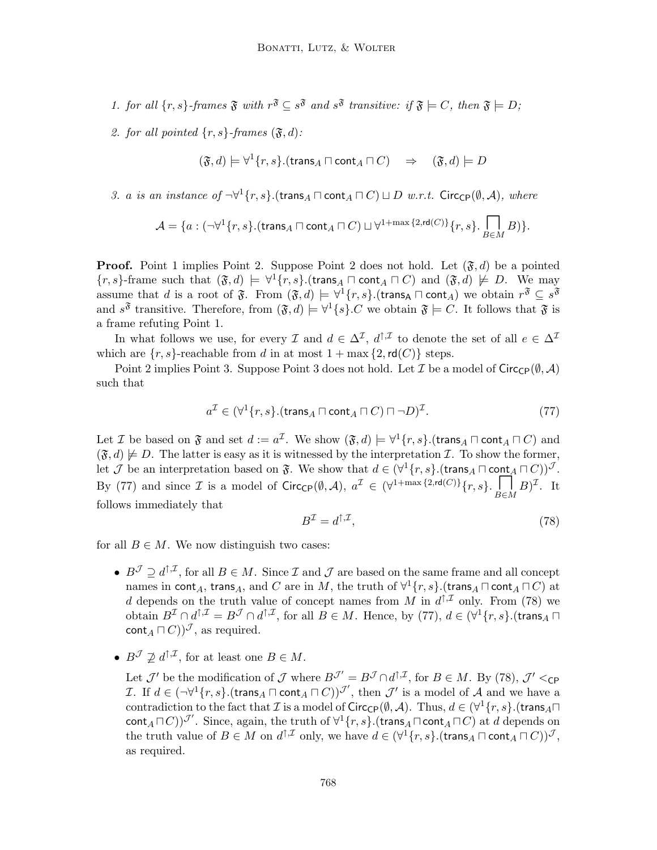- 1. for all  $\{r, s\}$ -frames  $\mathfrak{F}$  with  $r^{\mathfrak{F}} \subseteq s^{\mathfrak{F}}$  and  $s^{\mathfrak{F}}$  transitive: if  $\mathfrak{F} \models C$ , then  $\mathfrak{F} \models D$ ;
- 2. for all pointed  $\{r, s\}$ -frames  $(\mathfrak{F}, d)$ :

$$
(\mathfrak{F},d) \models \forall^1 \{r,s\}.(\mathsf{trans}_A \sqcap \mathsf{cont}_A \sqcap C) \quad \Rightarrow \quad (\mathfrak{F},d) \models D
$$

3. a is an instance of  $\neg \forall^1 \{r, s\}$ .(trans<sub>A</sub>  $\Box$  cont<sub>A</sub>  $\Box C$ )  $\Box$  *D* w.r.t. Circ<sub>CP</sub>(Ø, A), where

$$
\mathcal{A}=\{a:(\neg \forall^1 \{r,s\}.(\text{trans}_A \sqcap \text{cont}_A \sqcap C) \sqcup \forall^{1+\max{\{2,\text{rd}(C)\}}} \{r,s\}.\prod_{B \in M} B)\}.
$$

**Proof.** Point 1 implies Point 2. Suppose Point 2 does not hold. Let  $(\mathfrak{F}, d)$  be a pointed  $\{r, s\}$ -frame such that  $(\mathfrak{F}, d) \models \forall^1 \{r, s\}$ . (trans  $\land \Box$  cont $\land \Box$   $\Box$ ) and  $(\mathfrak{F}, d) \not\models D$ . We may assume that d is a root of  $\mathfrak{F}$ . From  $(\mathfrak{F},d) \models \forall^1 \{r,s\}$ .(trans<sub>A</sub>  $\sqcap$  cont<sub>A</sub>) we obtain  $r^{\mathfrak{F}} \subseteq s^{\mathfrak{F}}$ and  $s^{\mathfrak{F}}$  transitive. Therefore, from  $(\mathfrak{F},d) \models \forall^1\{s\}.C$  we obtain  $\mathfrak{F} \models C$ . It follows that  $\mathfrak{F}$  is a frame refuting Point 1.

In what follows we use, for every  $\mathcal I$  and  $d \in \Delta^{\mathcal I}$ ,  $d^{\uparrow, \mathcal I}$  to denote the set of all  $e \in \Delta^{\mathcal I}$ which are  $\{r, s\}$ -reachable from d in at most  $1 + \max\{2, \text{rd}(C)\}\)$  steps.

Point 2 implies Point 3. Suppose Point 3 does not hold. Let T be a model of Circ $_{\mathsf{CP}}(\emptyset, \mathcal{A})$ such that

$$
a^{\mathcal{I}} \in (\forall^1 \{r, s\}.(\mathsf{trans}_A \sqcap \mathsf{cont}_A \sqcap C) \sqcap \neg D)^{\mathcal{I}}.
$$
\n(77)

Let *I* be based on  $\mathfrak{F}$  and set  $d := a^{\mathcal{I}}$ . We show  $(\mathfrak{F}, d) \models \forall^1 \{r, s\}$ . (trans<sub>A</sub>  $\sqcap$  cont<sub>A</sub>  $\sqcap$  *C*) and  $(\mathfrak{F}, d) \not\models D$ . The latter is easy as it is witnessed by the interpretation  $\mathcal{I}$ . To show the former, let  $\mathcal J$  be an interpretation based on  $\mathfrak F$ . We show that  $d \in (\forall^1\{r,s\}.(\mathsf{trans}_A \sqcap \mathsf{cont}_A \sqcap C))^{\mathcal J}$ . By (77) and since *I* is a model of Circ<sub>CP</sub>( $(\emptyset, \mathcal{A})$ ,  $a^{\mathcal{I}} \in (\forall^{1+\max\{2,rd(C)\}} \{r, s\} \cdot \prod_{B \in M} B)^{\mathcal{I}}$ . It follows immediately that

$$
B^{\mathcal{I}} = d^{\uparrow, \mathcal{I}},\tag{78}
$$

for all  $B \in M$ . We now distinguish two cases:

- $B^{\mathcal{J}} \supseteq d^{\uparrow, \mathcal{I}}$ , for all  $B \in M$ . Since  $\mathcal{I}$  and  $\mathcal{J}$  are based on the same frame and all concept names in  $\mathsf{cont}_A, \mathsf{trans}_A,$  and  $C$  are in  $M,$  the truth of  $\forall^1 \{r,s\}.$ (trans ${}_A \sqcap \mathsf{cont}_A \sqcap C)$  at d depends on the truth value of concept names from M in  $d^{\uparrow,\mathcal{I}}$  only. From (78) we obtain  $B^{\mathcal{I}}\cap d^{\uparrow,\mathcal{I}}=B^{\mathcal{J}}\cap d^{\uparrow,\mathcal{I}},$  for all  $B\in M$ . Hence, by (77),  $d\in(\forall^1\{r,s\}).$ (trans<sub>A</sub> $\sqcap$  $\text{cont}_A \sqcap C$ )) $\mathcal{I}$ , as required.
- $B^{\mathcal{J}} \nsubseteq d^{\uparrow, \mathcal{I}}$ , for at least one  $B \in M$ .

Let  $\mathcal{J}'$  be the modification of  $\mathcal{J}$  where  $B^{\mathcal{J}'} = B^{\mathcal{J}} \cap d^{\uparrow,\mathcal{I}}$ , for  $B \in M$ . By (78),  $\mathcal{J}' <$ cp I. If  $d \in (\neg \forall^1 \{r, s\}.)$  (trans $_A \sqcap \text{cont}_A \sqcap C)$ )<sup>T'</sup>, then  $\mathcal{J}'$  is a model of  $\mathcal{A}$  and we have a contradiction to the fact that  $\mathcal I$  is a model of  $\mathsf{Circ}_{\mathsf{CP}}(\emptyset,\mathcal A)$ . Thus,  $d\in(\forall^1\{r,s\}.(\mathsf{trans}_A\sqcap$ cont $_A \sqcap C$ ))<sup> $\mathcal{J}'$ </sup>. Since, again, the truth of  $\forall^1\{r,s\}$ . (trans $_A \sqcap$  cont $_A \sqcap C$ ) at d depends on the truth value of  $B \in M$  on  $d^{\uparrow, \mathcal{I}}$  only, we have  $d \in (\forall^1 \{r, s\}.)$  (trans $_A \sqcap \text{cont}_A \sqcap C)$ ) $^{\mathcal{J}},$ as required.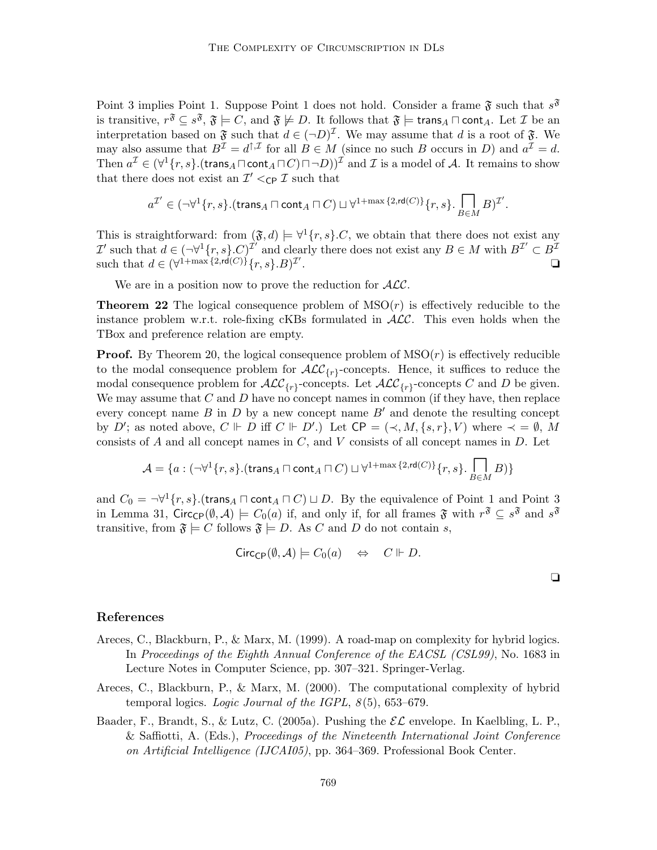Point 3 implies Point 1. Suppose Point 1 does not hold. Consider a frame  $\mathfrak{F}$  such that  $s^{\mathfrak{F}}$ is transitive,  $r^{\mathfrak{F}} \subseteq s^{\mathfrak{F}}, \mathfrak{F} \models C,$  and  $\mathfrak{F} \not\models D.$  It follows that  $\mathfrak{F} \models \mathsf{trans}_A \sqcap \mathsf{cont}_A.$  Let  $\mathcal I$  be an interpretation based on  $\mathfrak{F}$  such that  $d \in (\neg D)^{\mathcal{I}}$ . We may assume that d is a root of  $\mathfrak{F}$ . We may also assume that  $B^{\mathcal{I}} = d^{\uparrow, \mathcal{I}}$  for all  $B \in M$  (since no such B occurs in D) and  $a^{\mathcal{I}} = d$ . Then  $a^{\mathcal{I}} \in (\forall^1\{r,s\}.(\mathsf{trans}_A \sqcap \mathsf{cont}_A \sqcap C)\sqcap \neg D))^{\mathcal{I}}$  and  $\mathcal I$  is a model of  $\mathcal A$ . It remains to show that there does not exist an  $\mathcal{I}' <_{\mathsf{CP}} \mathcal{I}$  such that

$$
a^{\mathcal{I}'}\in (\neg \forall^1 \{r,s\}.(\mathsf{trans}_A \sqcap \mathsf{cont}_A \sqcap C) \sqcup \forall^{1+\max{\{2,\mathsf{rd}(C)\}}} \{r,s\}.\prod_{B\in M} B)^{\mathcal{I}'}.
$$

This is straightforward: from  $(\mathfrak{F}, d) \models \forall^1 \{r, s\}$ .C, we obtain that there does not exist any  $\mathcal{I}'$  such that  $d \in (\neg \forall^1 \{r, s\} . C)^{\mathcal{I}'}$  and clearly there does not exist any  $B \in M$  with  $B^{\mathcal{I}'} \subset B^{\mathcal{I}}$ such that  $d \in (\forall^{1+\max\{2,\text{rd}(C)\}} \{r,s\}.B)^{\mathcal{I}'}$ . ❏

We are in a position now to prove the reduction for  $ALC$ .

**Theorem 22** The logical consequence problem of  $MSO(r)$  is effectively reducible to the instance problem w.r.t. role-fixing cKBs formulated in  $ALC$ . This even holds when the TBox and preference relation are empty.

**Proof.** By Theorem 20, the logical consequence problem of  $MSO(r)$  is effectively reducible to the modal consequence problem for  $\text{ALC}_{\{r\}}$ -concepts. Hence, it suffices to reduce the modal consequence problem for  $\mathcal{ALC}_{\{r\}}$ -concepts. Let  $\mathcal{ALC}_{\{r\}}$ -concepts C and D be given. We may assume that  $C$  and  $D$  have no concept names in common (if they have, then replace every concept name  $B$  in  $D$  by a new concept name  $B'$  and denote the resulting concept by D'; as noted above,  $C \Vdash D$  iff  $C \Vdash D'$ .) Let  $\mathsf{CP} = (\prec, M, \{s, r\}, V)$  where  $\prec = \emptyset$ , M consists of  $A$  and all concept names in  $C$ , and  $V$  consists of all concept names in  $D$ . Let

$$
\mathcal{A} = \{a:(\neg \forall^{1}\{r,s\}.(\text{trans}_{A} \sqcap \text{cont}_{A} \sqcap C) \sqcup \forall^{1+\max\{2,\text{rd}(C)\}}\{r,s\}.\prod_{B \in M}B)\}
$$

and  $C_0 = \neg \forall^1 \{r, s\}$ .(trans<sub>A</sub>  $\sqcap$  cont<sub>A</sub>  $\sqcap$  C)  $\sqcup$  D. By the equivalence of Point 1 and Point 3 in Lemma 31, Circ<sub>CP</sub> $(\emptyset, \mathcal{A}) \models C_0(a)$  if, and only if, for all frames  $\mathfrak{F}$  with  $r^{\mathfrak{F}} \subseteq s^{\mathfrak{F}}$  and  $s^{\mathfrak{F}}$ transitive, from  $\mathfrak{F} \models C$  follows  $\mathfrak{F} \models D$ . As C and D do not contain s,

$$
Circ_{\mathbb{C}P}(\emptyset, \mathcal{A}) \models C_0(a) \quad \Leftrightarrow \quad C \Vdash D.
$$

|  | í |  |
|--|---|--|
|  |   |  |
|  |   |  |

#### References

- Areces, C., Blackburn, P., & Marx, M. (1999). A road-map on complexity for hybrid logics. In Proceedings of the Eighth Annual Conference of the EACSL (CSL99), No. 1683 in Lecture Notes in Computer Science, pp. 307–321. Springer-Verlag.
- Areces, C., Blackburn, P., & Marx, M. (2000). The computational complexity of hybrid temporal logics. Logic Journal of the IGPL,  $8(5)$ , 653–679.
- Baader, F., Brandt, S., & Lutz, C. (2005a). Pushing the  $\mathcal{EL}$  envelope. In Kaelbling, L. P., & Saffiotti, A. (Eds.), Proceedings of the Nineteenth International Joint Conference on Artificial Intelligence (IJCAI05), pp. 364–369. Professional Book Center.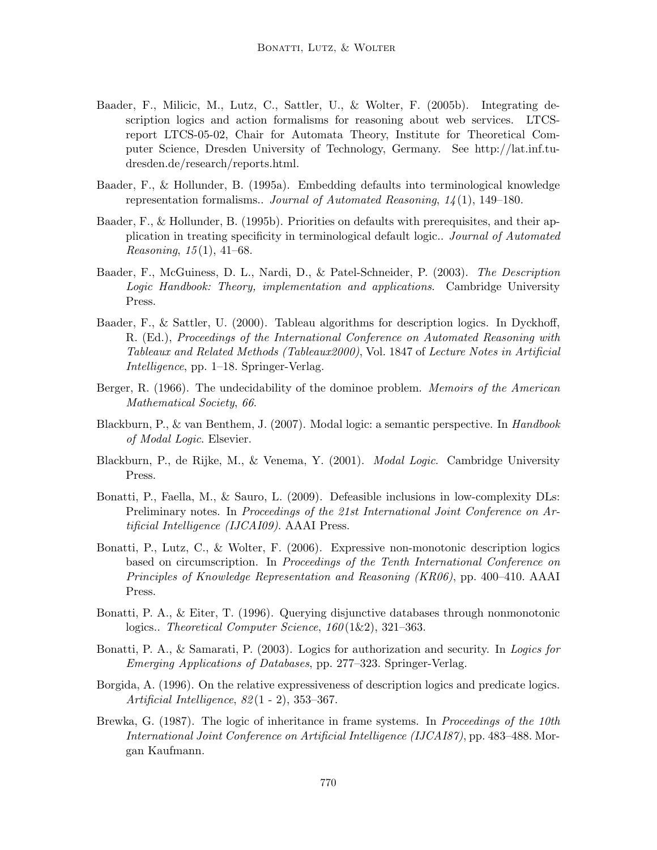- Baader, F., Milicic, M., Lutz, C., Sattler, U., & Wolter, F. (2005b). Integrating description logics and action formalisms for reasoning about web services. LTCSreport LTCS-05-02, Chair for Automata Theory, Institute for Theoretical Computer Science, Dresden University of Technology, Germany. See http://lat.inf.tudresden.de/research/reports.html.
- Baader, F., & Hollunder, B. (1995a). Embedding defaults into terminological knowledge representation formalisms.. Journal of Automated Reasoning,  $14(1)$ , 149–180.
- Baader, F., & Hollunder, B. (1995b). Priorities on defaults with prerequisites, and their application in treating specificity in terminological default logic.. Journal of Automated *Reasoning,*  $15(1)$ ,  $41-68$ .
- Baader, F., McGuiness, D. L., Nardi, D., & Patel-Schneider, P. (2003). The Description Logic Handbook: Theory, implementation and applications. Cambridge University Press.
- Baader, F., & Sattler, U. (2000). Tableau algorithms for description logics. In Dyckhoff, R. (Ed.), Proceedings of the International Conference on Automated Reasoning with Tableaux and Related Methods (Tableaux2000), Vol. 1847 of Lecture Notes in Artificial Intelligence, pp. 1–18. Springer-Verlag.
- Berger, R. (1966). The undecidability of the dominoe problem. *Memoirs of the American* Mathematical Society, 66.
- Blackburn, P., & van Benthem, J. (2007). Modal logic: a semantic perspective. In Handbook of Modal Logic. Elsevier.
- Blackburn, P., de Rijke, M., & Venema, Y. (2001). Modal Logic. Cambridge University Press.
- Bonatti, P., Faella, M., & Sauro, L. (2009). Defeasible inclusions in low-complexity DLs: Preliminary notes. In Proceedings of the 21st International Joint Conference on Artificial Intelligence (IJCAI09). AAAI Press.
- Bonatti, P., Lutz, C., & Wolter, F. (2006). Expressive non-monotonic description logics based on circumscription. In Proceedings of the Tenth International Conference on Principles of Knowledge Representation and Reasoning (KR06), pp. 400–410. AAAI Press.
- Bonatti, P. A., & Eiter, T. (1996). Querying disjunctive databases through nonmonotonic logics.. Theoretical Computer Science,  $160(1\&2)$ , 321–363.
- Bonatti, P. A., & Samarati, P. (2003). Logics for authorization and security. In Logics for Emerging Applications of Databases, pp. 277–323. Springer-Verlag.
- Borgida, A. (1996). On the relative expressiveness of description logics and predicate logics. Artificial Intelligence, 82 (1 - 2), 353–367.
- Brewka, G. (1987). The logic of inheritance in frame systems. In *Proceedings of the 10th* International Joint Conference on Artificial Intelligence (IJCAI87), pp. 483–488. Morgan Kaufmann.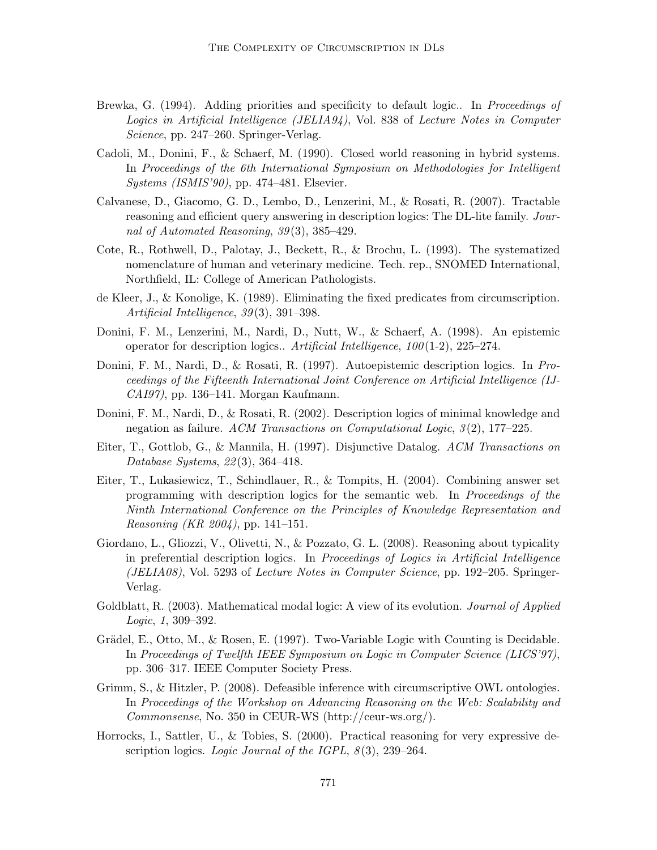- Brewka, G. (1994). Adding priorities and specificity to default logic.. In *Proceedings of* Logics in Artificial Intelligence (JELIA94), Vol. 838 of Lecture Notes in Computer Science, pp. 247–260. Springer-Verlag.
- Cadoli, M., Donini, F., & Schaerf, M. (1990). Closed world reasoning in hybrid systems. In Proceedings of the 6th International Symposium on Methodologies for Intelligent Systems (ISMIS'90), pp. 474–481. Elsevier.
- Calvanese, D., Giacomo, G. D., Lembo, D., Lenzerini, M., & Rosati, R. (2007). Tractable reasoning and efficient query answering in description logics: The DL-lite family. Journal of Automated Reasoning, 39(3), 385–429.
- Cote, R., Rothwell, D., Palotay, J., Beckett, R., & Brochu, L. (1993). The systematized nomenclature of human and veterinary medicine. Tech. rep., SNOMED International, Northfield, IL: College of American Pathologists.
- de Kleer, J., & Konolige, K. (1989). Eliminating the fixed predicates from circumscription. Artificial Intelligence, 39(3), 391–398.
- Donini, F. M., Lenzerini, M., Nardi, D., Nutt, W., & Schaerf, A. (1998). An epistemic operator for description logics.. Artificial Intelligence,  $100(1-2)$ ,  $225-274$ .
- Donini, F. M., Nardi, D., & Rosati, R. (1997). Autoepistemic description logics. In Proceedings of the Fifteenth International Joint Conference on Artificial Intelligence (IJ-CAI97), pp. 136–141. Morgan Kaufmann.
- Donini, F. M., Nardi, D., & Rosati, R. (2002). Description logics of minimal knowledge and negation as failure. ACM Transactions on Computational Logic,  $3(2)$ , 177–225.
- Eiter, T., Gottlob, G., & Mannila, H. (1997). Disjunctive Datalog. ACM Transactions on Database Systems, 22 (3), 364–418.
- Eiter, T., Lukasiewicz, T., Schindlauer, R., & Tompits, H. (2004). Combining answer set programming with description logics for the semantic web. In Proceedings of the Ninth International Conference on the Principles of Knowledge Representation and Reasoning (KR 2004), pp. 141–151.
- Giordano, L., Gliozzi, V., Olivetti, N., & Pozzato, G. L. (2008). Reasoning about typicality in preferential description logics. In Proceedings of Logics in Artificial Intelligence (JELIA08), Vol. 5293 of Lecture Notes in Computer Science, pp. 192–205. Springer-Verlag.
- Goldblatt, R. (2003). Mathematical modal logic: A view of its evolution. *Journal of Applied* Logic, 1, 309–392.
- Grädel, E., Otto, M., & Rosen, E.  $(1997)$ . Two-Variable Logic with Counting is Decidable. In Proceedings of Twelfth IEEE Symposium on Logic in Computer Science (LICS'97), pp. 306–317. IEEE Computer Society Press.
- Grimm, S., & Hitzler, P. (2008). Defeasible inference with circumscriptive OWL ontologies. In Proceedings of the Workshop on Advancing Reasoning on the Web: Scalability and Commonsense, No. 350 in CEUR-WS (http://ceur-ws.org/).
- Horrocks, I., Sattler, U., & Tobies, S. (2000). Practical reasoning for very expressive description logics. Logic Journal of the IGPL,  $8(3)$ , 239–264.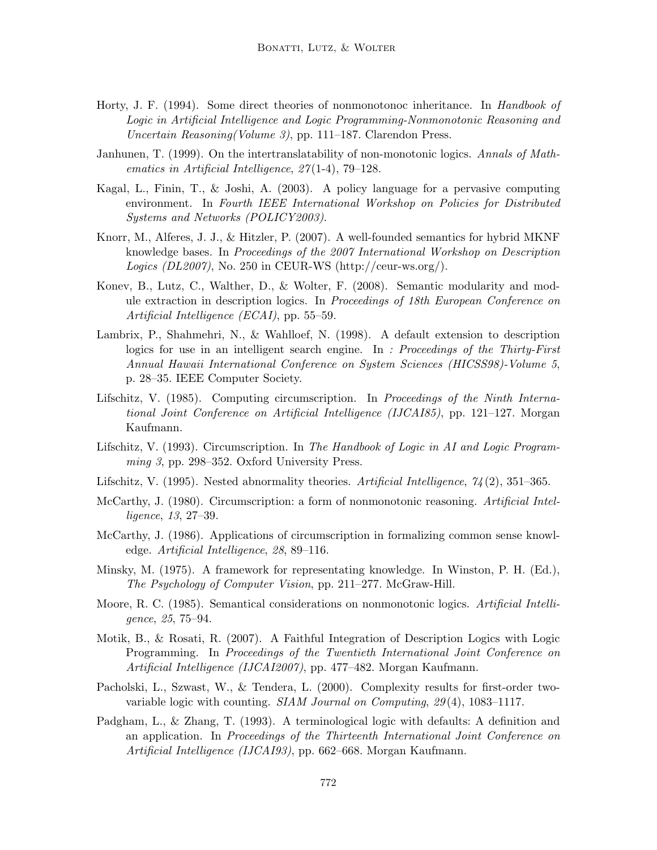- Horty, J. F. (1994). Some direct theories of nonmonotonoc inheritance. In *Handbook of* Logic in Artificial Intelligence and Logic Programming-Nonmonotonic Reasoning and Uncertain Reasoning(Volume 3), pp. 111–187. Clarendon Press.
- Janhunen, T. (1999). On the intertranslatability of non-monotonic logics. Annals of Mathematics in Artificial Intelligence, 27 (1-4), 79–128.
- Kagal, L., Finin, T., & Joshi, A. (2003). A policy language for a pervasive computing environment. In Fourth IEEE International Workshop on Policies for Distributed Systems and Networks (POLICY2003).
- Knorr, M., Alferes, J. J., & Hitzler, P. (2007). A well-founded semantics for hybrid MKNF knowledge bases. In Proceedings of the 2007 International Workshop on Description Logics (DL2007), No. 250 in CEUR-WS (http://ceur-ws.org/).
- Konev, B., Lutz, C., Walther, D., & Wolter, F. (2008). Semantic modularity and module extraction in description logics. In Proceedings of 18th European Conference on Artificial Intelligence (ECAI), pp. 55–59.
- Lambrix, P., Shahmehri, N., & Wahlloef, N. (1998). A default extension to description logics for use in an intelligent search engine. In : Proceedings of the Thirty-First Annual Hawaii International Conference on System Sciences (HICSS98)-Volume 5, p. 28–35. IEEE Computer Society.
- Lifschitz, V. (1985). Computing circumscription. In Proceedings of the Ninth International Joint Conference on Artificial Intelligence (IJCAI85), pp. 121–127. Morgan Kaufmann.
- Lifschitz, V. (1993). Circumscription. In The Handbook of Logic in AI and Logic Programming 3, pp. 298–352. Oxford University Press.
- Lifschitz, V. (1995). Nested abnormality theories. Artificial Intelligence,  $\gamma_4(2)$ , 351–365.
- McCarthy, J. (1980). Circumscription: a form of nonmonotonic reasoning. Artificial Intelligence, 13, 27–39.
- McCarthy, J. (1986). Applications of circumscription in formalizing common sense knowledge. Artificial Intelligence, 28, 89–116.
- Minsky, M. (1975). A framework for representating knowledge. In Winston, P. H. (Ed.), The Psychology of Computer Vision, pp. 211–277. McGraw-Hill.
- Moore, R. C. (1985). Semantical considerations on nonmonotonic logics. Artificial Intelligence, 25, 75–94.
- Motik, B., & Rosati, R. (2007). A Faithful Integration of Description Logics with Logic Programming. In Proceedings of the Twentieth International Joint Conference on Artificial Intelligence (IJCAI2007), pp. 477–482. Morgan Kaufmann.
- Pacholski, L., Szwast, W., & Tendera, L. (2000). Complexity results for first-order twovariable logic with counting. SIAM Journal on Computing, 29(4), 1083-1117.
- Padgham, L., & Zhang, T. (1993). A terminological logic with defaults: A definition and an application. In Proceedings of the Thirteenth International Joint Conference on Artificial Intelligence (IJCAI93), pp. 662–668. Morgan Kaufmann.